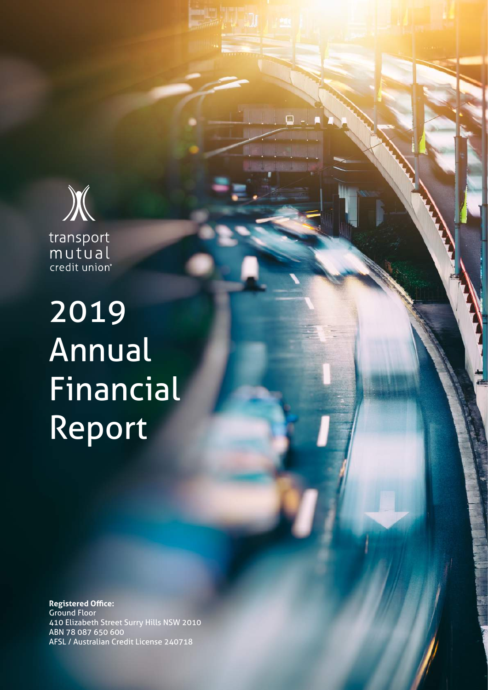

transport<br>mutual<br>credit union<sup>®</sup>

2019 Annual Financial Report

**Registered Office:** Ground Floor 410 Elizabeth Street Surry Hills NSW 2010 ABN 78 087 650 600 AFSL / Australian Credit License 240718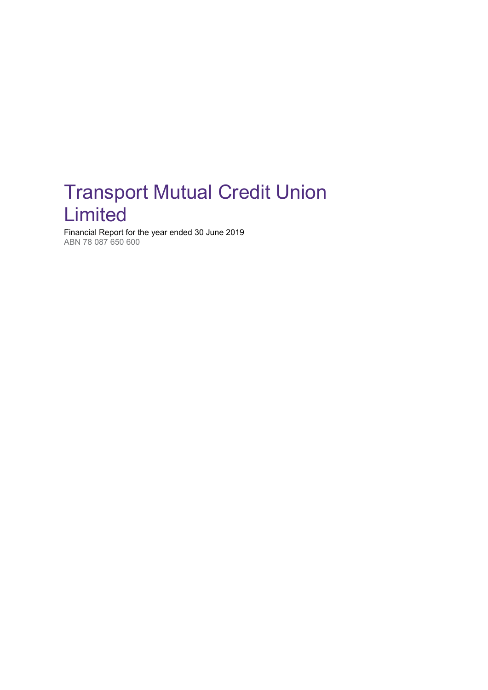## <span id="page-1-0"></span>Transport Mutual Credit Union Limited

Financial Report for the year ended 30 June 2019 ABN 78 087 650 600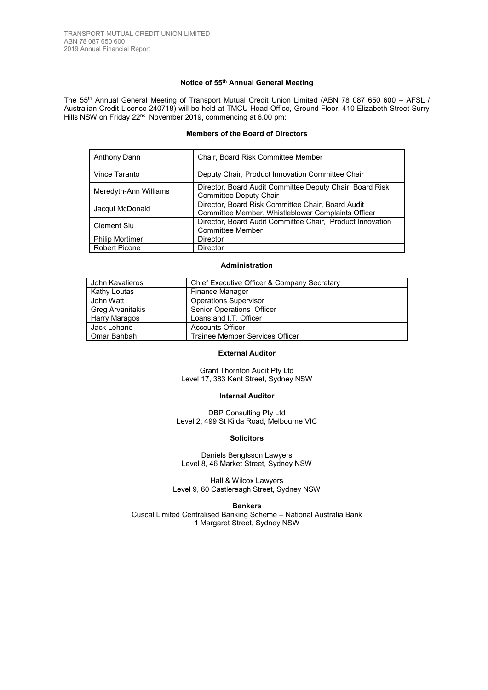### **Notice of 55th Annual General Meeting**

The 55<sup>th</sup> Annual General Meeting of Transport Mutual Credit Union Limited (ABN 78 087 650 600 - AFSL / Australian Credit Licence 240718) will be held at TMCU Head Office, Ground Floor, 410 Elizabeth Street Surry Hills NSW on Friday 22<sup>nd</sup> November 2019, commencing at 6.00 pm:

## **Members of the Board of Directors**

| Anthony Dann           | Chair, Board Risk Committee Member                                                                      |
|------------------------|---------------------------------------------------------------------------------------------------------|
| Vince Taranto          | Deputy Chair, Product Innovation Committee Chair                                                        |
| Meredyth-Ann Williams  | Director, Board Audit Committee Deputy Chair, Board Risk<br>Committee Deputy Chair                      |
| Jacqui McDonald        | Director, Board Risk Committee Chair, Board Audit<br>Committee Member, Whistleblower Complaints Officer |
| Clement Siu            | Director, Board Audit Committee Chair, Product Innovation<br><b>Committee Member</b>                    |
| <b>Philip Mortimer</b> | Director                                                                                                |
| <b>Robert Picone</b>   | Director                                                                                                |

## **Administration**

| John Kavalieros         | Chief Executive Officer & Company Secretary |
|-------------------------|---------------------------------------------|
| Kathy Loutas            | Finance Manager                             |
| John Watt               | <b>Operations Supervisor</b>                |
| <b>Greg Arvanitakis</b> | Senior Operations Officer                   |
| Harry Maragos           | Loans and I.T. Officer                      |
| Jack Lehane             | <b>Accounts Officer</b>                     |
| Omar Bahbah             | Trainee Member Services Officer             |

### **External Auditor**

Grant Thornton Audit Pty Ltd Level 17, 383 Kent Street, Sydney NSW

#### **Internal Auditor**

DBP Consulting Pty Ltd Level 2, 499 St Kilda Road, Melbourne VIC

## **Solicitors**

Daniels Bengtsson Lawyers Level 8, 46 Market Street, Sydney NSW

Hall & Wilcox Lawyers Level 9, 60 Castlereagh Street, Sydney NSW

**Bankers**

Cuscal Limited Centralised Banking Scheme – National Australia Bank 1 Margaret Street, Sydney NSW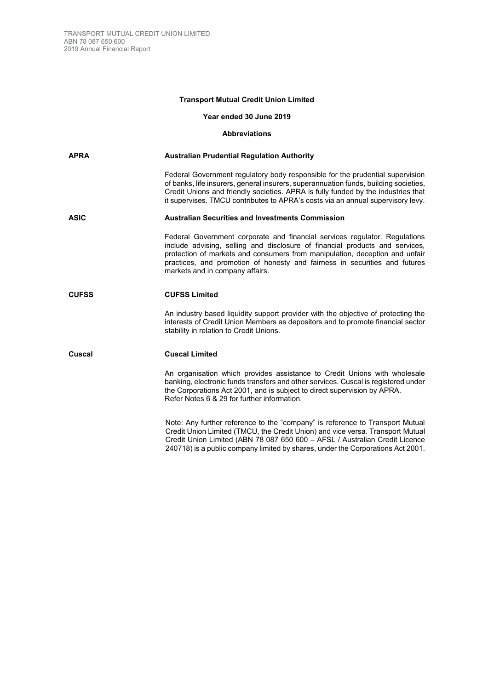## **Transport Mutual Credit Union Limited**

## **Year ended 30 June 2019**

## **Abbreviations**

| APRA         | <b>Australian Prudential Regulation Authority</b>                                                                                                                                                                                                                                                                                                          |
|--------------|------------------------------------------------------------------------------------------------------------------------------------------------------------------------------------------------------------------------------------------------------------------------------------------------------------------------------------------------------------|
|              | Federal Government regulatory body responsible for the prudential supervision<br>of banks, life insurers, general insurers, superannuation funds, building societies,<br>Credit Unions and friendly societies. APRA is fully funded by the industries that<br>it supervises. TMCU contributes to APRA's costs via an annual supervisory levy.              |
| ASIC         | <b>Australian Securities and Investments Commission</b>                                                                                                                                                                                                                                                                                                    |
|              | Federal Government corporate and financial services regulator. Regulations<br>include advising, selling and disclosure of financial products and services,<br>protection of markets and consumers from manipulation, deception and unfair<br>practices, and promotion of honesty and fairness in securities and futures<br>markets and in company affairs. |
| <b>CUFSS</b> | <b>CUFSS Limited</b>                                                                                                                                                                                                                                                                                                                                       |
|              | An industry based liquidity support provider with the objective of protecting the<br>interests of Credit Union Members as depositors and to promote financial sector<br>stability in relation to Credit Unions.                                                                                                                                            |
| Cuscal       | <b>Cuscal Limited</b>                                                                                                                                                                                                                                                                                                                                      |
|              | An organisation which provides assistance to Credit Unions with wholesale<br>banking, electronic funds transfers and other services. Cuscal is registered under<br>the Corporations Act 2001, and is subject to direct supervision by APRA.<br>Refer Notes 6 & 29 for further information.                                                                 |
|              | Note: Any further reference to the "company" is reference to Transport Mutual<br>Credit Union Limited (TMCU, the Credit Union) and vice versa. Transport Mutual<br>Credit Union Limited (ABN 78 087 650 600 - AFSL / Australian Credit Licence                                                                                                             |

240718) is a public company limited by shares, under the Corporations Act 2001.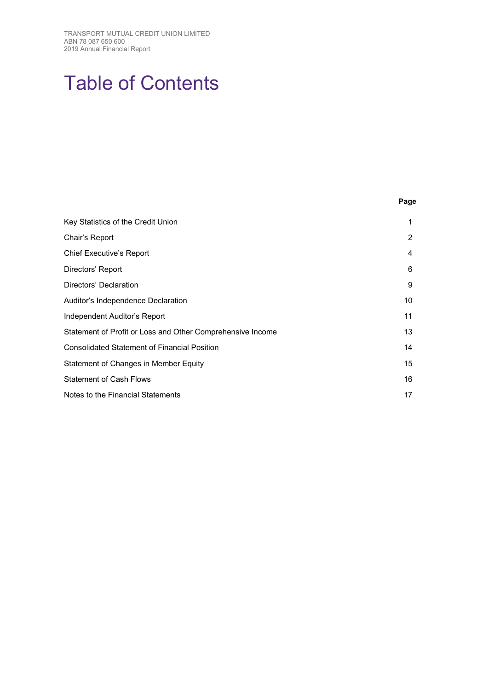# Table of Contents

|                                                            | Page |
|------------------------------------------------------------|------|
| Key Statistics of the Credit Union                         | 1    |
| Chair's Report                                             | 2    |
| <b>Chief Executive's Report</b>                            | 4    |
| Directors' Report                                          | 6    |
| Directors' Declaration                                     | 9    |
| Auditor's Independence Declaration                         | 10   |
| Independent Auditor's Report                               | 11   |
| Statement of Profit or Loss and Other Comprehensive Income | 13   |
| <b>Consolidated Statement of Financial Position</b>        | 14   |
| Statement of Changes in Member Equity                      | 15   |
| <b>Statement of Cash Flows</b>                             | 16   |
| Notes to the Financial Statements                          | 17   |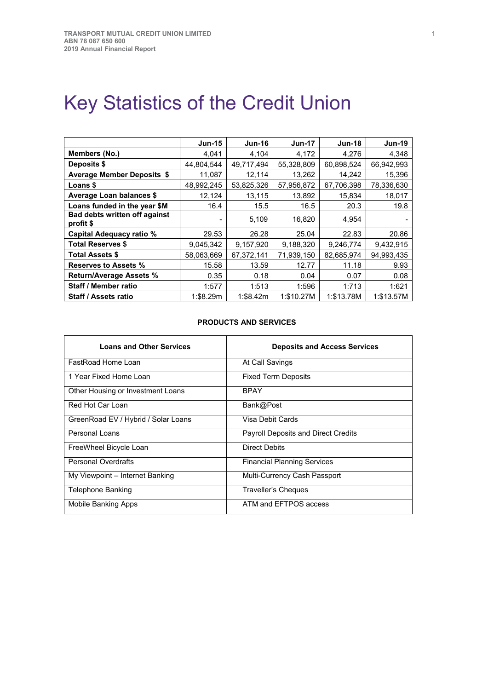# <span id="page-5-0"></span>Key Statistics of the Credit Union

|                                                   | <b>Jun-15</b> | <b>Jun-16</b> | <b>Jun-17</b> | <b>Jun-18</b> | <b>Jun-19</b> |
|---------------------------------------------------|---------------|---------------|---------------|---------------|---------------|
| Members (No.)                                     | 4,041         | 4,104         | 4,172         | 4,276         | 4,348         |
| Deposits \$                                       | 44,804,544    | 49,717,494    | 55,328,809    | 60,898,524    | 66,942,993    |
| <b>Average Member Deposits \$</b>                 | 11,087        | 12,114        | 13,262        | 14,242        | 15,396        |
| <b>Loans \$</b>                                   | 48,992,245    | 53,825,326    | 57,956,872    | 67,706,398    | 78,336,630    |
| <b>Average Loan balances \$</b>                   | 12,124        | 13,115        | 13,892        | 15,834        | 18,017        |
| Loans funded in the year \$M                      | 16.4          | 15.5          | 16.5          | 20.3          | 19.8          |
| <b>Bad debts written off against</b><br>profit \$ |               | 5,109         | 16,820        | 4,954         |               |
| Capital Adequacy ratio %                          | 29.53         | 26.28         | 25.04         | 22.83         | 20.86         |
| <b>Total Reserves \$</b>                          | 9,045,342     | 9,157,920     | 9,188,320     | 9,246,774     | 9,432,915     |
| <b>Total Assets \$</b>                            | 58,063,669    | 67,372,141    | 71,939,150    | 82,685,974    | 94,993,435    |
| <b>Reserves to Assets %</b>                       | 15.58         | 13.59         | 12.77         | 11.18         | 9.93          |
| <b>Return/Average Assets %</b>                    | 0.35          | 0.18          | 0.04          | 0.07          | 0.08          |
| <b>Staff / Member ratio</b>                       | 1:577         | 1:513         | 1:596         | 1:713         | 1:621         |
| Staff / Assets ratio                              | 1:\$8.29m     | 1:\$8.42m     | 1:\$10.27M    | 1:\$13.78M    | 1:\$13.57M    |

## **PRODUCTS AND SERVICES**

| <b>Loans and Other Services</b>     | <b>Deposits and Access Services</b>        |
|-------------------------------------|--------------------------------------------|
| FastRoad Home Loan                  | At Call Savings                            |
| 1 Year Fixed Home Loan              | <b>Fixed Term Deposits</b>                 |
| Other Housing or Investment Loans   | <b>BPAY</b>                                |
| Red Hot Car Loan                    | Bank@Post                                  |
| GreenRoad EV / Hybrid / Solar Loans | Visa Debit Cards                           |
| Personal Loans                      | <b>Payroll Deposits and Direct Credits</b> |
| FreeWheel Bicycle Loan              | Direct Debits                              |
| <b>Personal Overdrafts</b>          | <b>Financial Planning Services</b>         |
| My Viewpoint - Internet Banking     | Multi-Currency Cash Passport               |
| Telephone Banking                   | Traveller's Cheques                        |
| Mobile Banking Apps                 | ATM and EFTPOS access                      |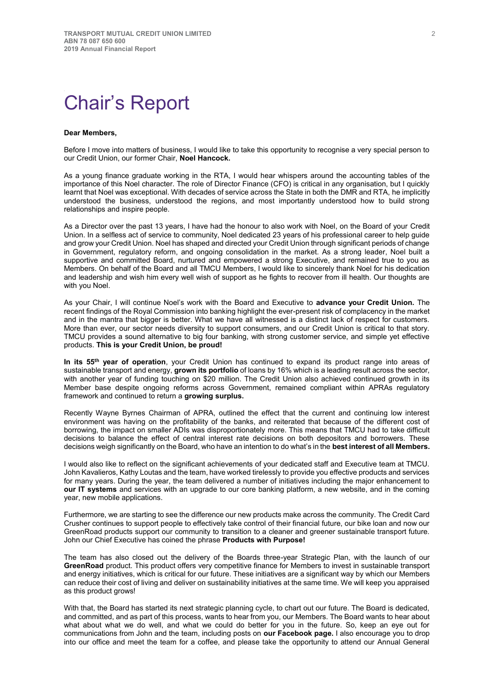## <span id="page-6-0"></span>Chair's Report

#### **Dear Members,**

Before I move into matters of business, I would like to take this opportunity to recognise a very special person to our Credit Union, our former Chair, **Noel Hancock.** 

As a young finance graduate working in the RTA, I would hear whispers around the accounting tables of the importance of this Noel character. The role of Director Finance (CFO) is critical in any organisation, but I quickly learnt that Noel was exceptional. With decades of service across the State in both the DMR and RTA, he implicitly understood the business, understood the regions, and most importantly understood how to build strong relationships and inspire people.

As a Director over the past 13 years, I have had the honour to also work with Noel, on the Board of your Credit Union. In a selfless act of service to community, Noel dedicated 23 years of his professional career to help guide and grow your Credit Union. Noel has shaped and directed your Credit Union through significant periods of change in Government, regulatory reform, and ongoing consolidation in the market. As a strong leader, Noel built a supportive and committed Board, nurtured and empowered a strong Executive, and remained true to you as Members. On behalf of the Board and all TMCU Members, I would like to sincerely thank Noel for his dedication and leadership and wish him every well wish of support as he fights to recover from ill health. Our thoughts are with you Noel.

As your Chair, I will continue Noel's work with the Board and Executive to **advance your Credit Union.** The recent findings of the Royal Commission into banking highlight the ever-present risk of complacency in the market and in the mantra that bigger is better. What we have all witnessed is a distinct lack of respect for customers. More than ever, our sector needs diversity to support consumers, and our Credit Union is critical to that story. TMCU provides a sound alternative to big four banking, with strong customer service, and simple yet effective products. **This is your Credit Union, be proud!**

**In its 55th year of operation**, your Credit Union has continued to expand its product range into areas of sustainable transport and energy, **grown its portfolio** of loans by 16% which is a leading result across the sector, with another year of funding touching on \$20 million. The Credit Union also achieved continued growth in its Member base despite ongoing reforms across Government, remained compliant within APRAs regulatory framework and continued to return a **growing surplus.** 

Recently Wayne Byrnes Chairman of APRA, outlined the effect that the current and continuing low interest environment was having on the profitability of the banks, and reiterated that because of the different cost of borrowing, the impact on smaller ADIs was disproportionately more. This means that TMCU had to take difficult decisions to balance the effect of central interest rate decisions on both depositors and borrowers. These decisions weigh significantly on the Board, who have an intention to do what's in the **best interest of all Members.**

I would also like to reflect on the significant achievements of your dedicated staff and Executive team at TMCU. John Kavalieros, Kathy Loutas and the team, have worked tirelessly to provide you effective products and services for many years. During the year, the team delivered a number of initiatives including the major enhancement to **our IT systems** and services with an upgrade to our core banking platform, a new website, and in the coming year, new mobile applications.

Furthermore, we are starting to see the difference our new products make across the community. The Credit Card Crusher continues to support people to effectively take control of their financial future, our bike loan and now our GreenRoad products support our community to transition to a cleaner and greener sustainable transport future. John our Chief Executive has coined the phrase **Products with Purpose!**

The team has also closed out the delivery of the Boards three-year Strategic Plan, with the launch of our **GreenRoad** product. This product offers very competitive finance for Members to invest in sustainable transport and energy initiatives, which is critical for our future. These initiatives are a significant way by which our Members can reduce their cost of living and deliver on sustainability initiatives at the same time. We will keep you appraised as this product grows!

With that, the Board has started its next strategic planning cycle, to chart out our future. The Board is dedicated, and committed, and as part of this process, wants to hear from you, our Members. The Board wants to hear about what about what we do well, and what we could do better for you in the future. So, keep an eye out for communications from John and the team, including posts on **our Facebook page.** I also encourage you to drop into our office and meet the team for a coffee, and please take the opportunity to attend our Annual General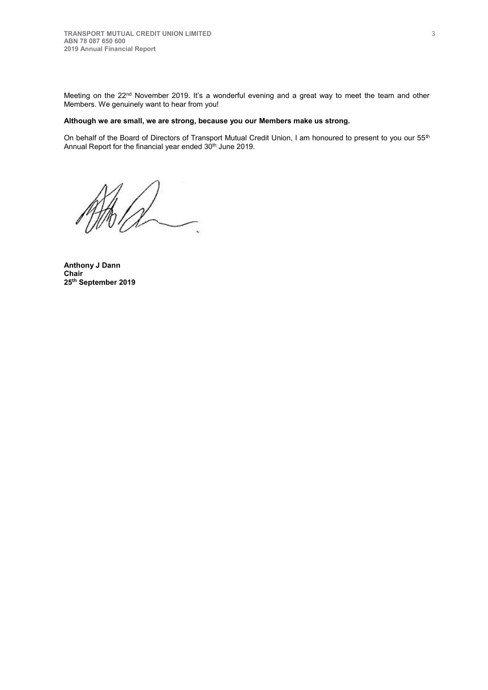Meeting on the 22<sup>nd</sup> November 2019. It's a wonderful evening and a great way to meet the team and other Members. We genuinely want to hear from you!

## **Although we are small, we are strong, because you our Members make us strong.**

On behalf of the Board of Directors of Transport Mutual Credit Union, I am honoured to present to you our 55<sup>th</sup> Annual Report for the financial year ended 30<sup>th</sup> June 2019.

 $\lambda$ 

<span id="page-7-0"></span>**Anthony J Dann Chair 25th September 2019**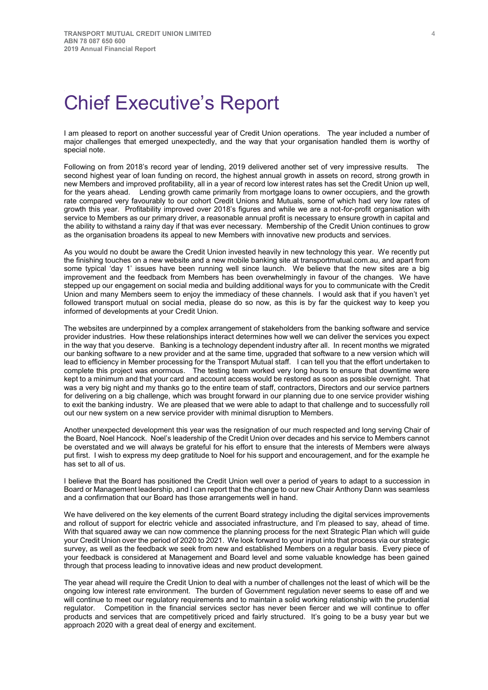## Chief Executive's Report

I am pleased to report on another successful year of Credit Union operations. The year included a number of major challenges that emerged unexpectedly, and the way that your organisation handled them is worthy of special note.

Following on from 2018's record year of lending, 2019 delivered another set of very impressive results. The second highest year of loan funding on record, the highest annual growth in assets on record, strong growth in new Members and improved profitability, all in a year of record low interest rates has set the Credit Union up well, for the years ahead. Lending growth came primarily from mortgage loans to owner occupiers, and the growth rate compared very favourably to our cohort Credit Unions and Mutuals, some of which had very low rates of growth this year. Profitability improved over 2018's figures and while we are a not-for-profit organisation with service to Members as our primary driver, a reasonable annual profit is necessary to ensure growth in capital and the ability to withstand a rainy day if that was ever necessary. Membership of the Credit Union continues to grow as the organisation broadens its appeal to new Members with innovative new products and services.

As you would no doubt be aware the Credit Union invested heavily in new technology this year. We recently put the finishing touches on a new website and a new mobile banking site at transportmutual.com.au, and apart from some typical 'day 1' issues have been running well since launch. We believe that the new sites are a big improvement and the feedback from Members has been overwhelmingly in favour of the changes. We have stepped up our engagement on social media and building additional ways for you to communicate with the Credit Union and many Members seem to enjoy the immediacy of these channels. I would ask that if you haven't yet followed transport mutual on social media, please do so now, as this is by far the quickest way to keep you informed of developments at your Credit Union.

The websites are underpinned by a complex arrangement of stakeholders from the banking software and service provider industries. How these relationships interact determines how well we can deliver the services you expect in the way that you deserve. Banking is a technology dependent industry after all. In recent months we migrated our banking software to a new provider and at the same time, upgraded that software to a new version which will lead to efficiency in Member processing for the Transport Mutual staff. I can tell you that the effort undertaken to complete this project was enormous. The testing team worked very long hours to ensure that downtime were kept to a minimum and that your card and account access would be restored as soon as possible overnight. That was a very big night and my thanks go to the entire team of staff, contractors, Directors and our service partners for delivering on a big challenge, which was brought forward in our planning due to one service provider wishing to exit the banking industry. We are pleased that we were able to adapt to that challenge and to successfully roll out our new system on a new service provider with minimal disruption to Members.

Another unexpected development this year was the resignation of our much respected and long serving Chair of the Board, Noel Hancock. Noel's leadership of the Credit Union over decades and his service to Members cannot be overstated and we will always be grateful for his effort to ensure that the interests of Members were always put first. I wish to express my deep gratitude to Noel for his support and encouragement, and for the example he has set to all of us.

I believe that the Board has positioned the Credit Union well over a period of years to adapt to a succession in Board or Management leadership, and I can report that the change to our new Chair Anthony Dann was seamless and a confirmation that our Board has those arrangements well in hand.

We have delivered on the key elements of the current Board strategy including the digital services improvements and rollout of support for electric vehicle and associated infrastructure, and I'm pleased to say, ahead of time. With that squared away we can now commence the planning process for the next Strategic Plan which will guide your Credit Union over the period of 2020 to 2021. We look forward to your input into that process via our strategic survey, as well as the feedback we seek from new and established Members on a regular basis. Every piece of your feedback is considered at Management and Board level and some valuable knowledge has been gained through that process leading to innovative ideas and new product development.

The year ahead will require the Credit Union to deal with a number of challenges not the least of which will be the ongoing low interest rate environment. The burden of Government regulation never seems to ease off and we will continue to meet our regulatory requirements and to maintain a solid working relationship with the prudential regulator. Competition in the financial services sector has never been fiercer and we will continue to offer products and services that are competitively priced and fairly structured. It's going to be a busy year but we approach 2020 with a great deal of energy and excitement.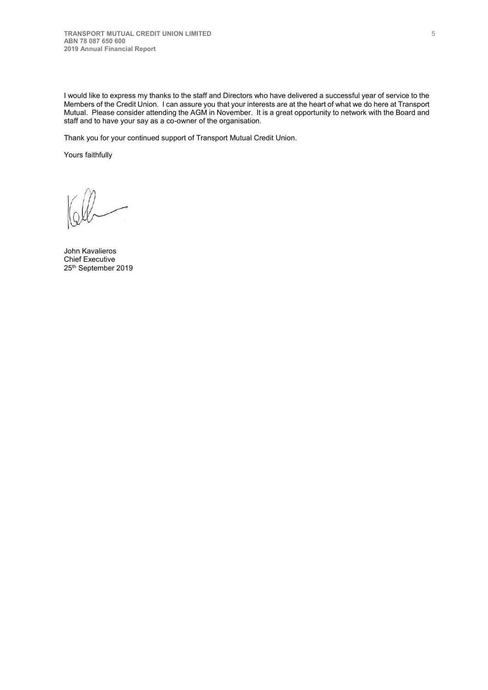I would like to express my thanks to the staff and Directors who have delivered a successful year of service to the Members of the Credit Union. I can assure you that your interests are at the heart of what we do here at Transport Mutual. Please consider attending the AGM in November. It is a great opportunity to network with the Board and staff and to have your say as a co-owner of the organisation.

Thank you for your continued support of Transport Mutual Credit Union.

Yours faithfully

John Kavalieros Chief Executive 25th September 2019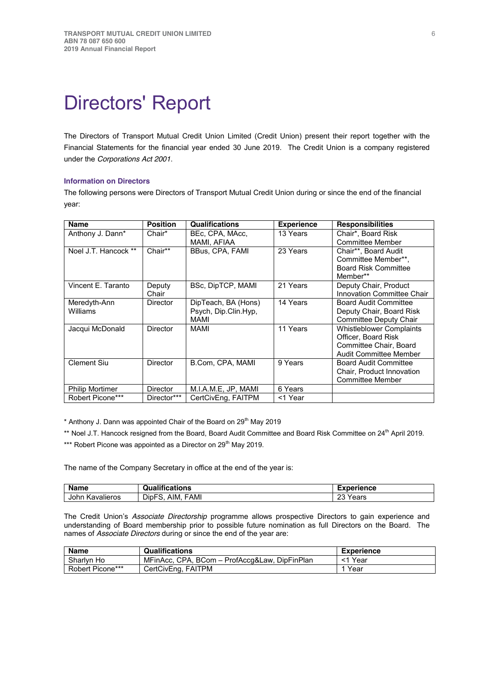## Directors' Report

The Directors of Transport Mutual Credit Union Limited (Credit Union) present their report together with the Financial Statements for the financial year ended 30 June 2019. The Credit Union is a company registered under the *Corporations Act 2001*.

### **Information on Directors**

The following persons were Directors of Transport Mutual Credit Union during or since the end of the financial year:

| <b>Name</b>            | <b>Position</b> | <b>Qualifications</b> | <b>Experience</b> | <b>Responsibilities</b>         |
|------------------------|-----------------|-----------------------|-------------------|---------------------------------|
| Anthony J. Dann*       | Chair*          | BEc, CPA, MAcc,       | 13 Years          | Chair*, Board Risk              |
|                        |                 | MAMI, AFIAA           |                   | <b>Committee Member</b>         |
| Noel J.T. Hancock **   | Chair**         | BBus, CPA, FAMI       | 23 Years          | Chair**, Board Audit            |
|                        |                 |                       |                   | Committee Member**.             |
|                        |                 |                       |                   | <b>Board Risk Committee</b>     |
|                        |                 |                       |                   | Member**                        |
| Vincent E. Taranto     | Deputy          | BSc, DipTCP, MAMI     | 21 Years          | Deputy Chair, Product           |
|                        | Chair           |                       |                   | Innovation Committee Chair      |
| Meredyth-Ann           | Director        | DipTeach, BA (Hons)   | 14 Years          | <b>Board Audit Committee</b>    |
| Williams               |                 | Psych, Dip.Clin.Hyp,  |                   | Deputy Chair, Board Risk        |
|                        |                 | MAMI                  |                   | Committee Deputy Chair          |
| Jacqui McDonald        | Director        | MAMI                  | 11 Years          | <b>Whistleblower Complaints</b> |
|                        |                 |                       |                   | Officer, Board Risk             |
|                        |                 |                       |                   | Committee Chair, Board          |
|                        |                 |                       |                   | <b>Audit Committee Member</b>   |
| <b>Clement Siu</b>     | <b>Director</b> | B.Com, CPA, MAMI      | 9 Years           | <b>Board Audit Committee</b>    |
|                        |                 |                       |                   | Chair, Product Innovation       |
|                        |                 |                       |                   | Committee Member                |
| <b>Philip Mortimer</b> | Director        | M.I.A.M.E. JP. MAMI   | 6 Years           |                                 |
| Robert Picone***       | Director***     | CertCivEng, FAITPM    | <1 Year           |                                 |

\* Anthony J. Dann was appointed Chair of the Board on 29<sup>th</sup> May 2019

\*\* Noel J.T. Hancock resigned from the Board, Board Audit Committee and Board Risk Committee on 24<sup>th</sup> April 2019.

\*\*\* Robert Picone was appointed as a Director on 29<sup>th</sup> May 2019.

The name of the Company Secretary in office at the end of the year is:

| <b>Name</b>        | Qualifications                         | Experience           |
|--------------------|----------------------------------------|----------------------|
| John<br>Kavalieros | DipF<br><b>FAMI</b><br>AIM.<br>--<br>ີ | nn Ve<br>Years<br>ںے |

The Credit Union's *Associate Directorship* programme allows prospective Directors to gain experience and understanding of Board membership prior to possible future nomination as full Directors on the Board. The names of *Associate Directors* during or since the end of the year are:

| <b>Name</b>      | <b>Qualifications</b>                         | Experience |
|------------------|-----------------------------------------------|------------|
| Sharlyn Ho       | MFinAcc, CPA, BCom - ProfAccq&Law, DipFinPlan | <1 Year    |
| Robert Picone*** | CertCivEng, FAITPM                            | 1 Year     |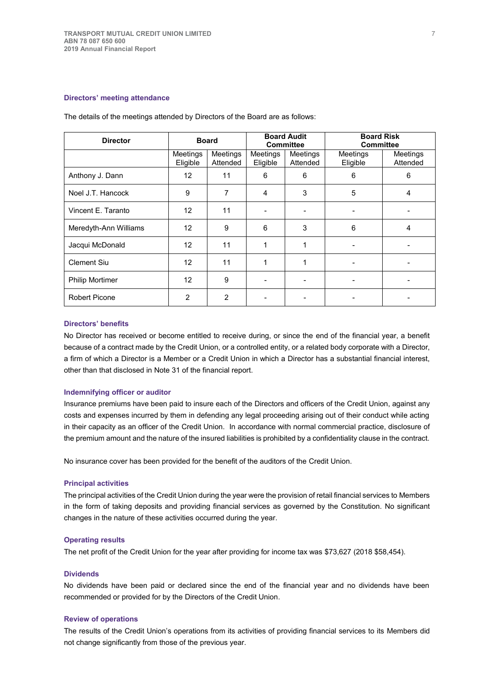#### **Directors' meeting attendance**

| <b>Director</b>        | <b>Board</b>         |                      | <b>Board Audit</b><br><b>Committee</b> |                          | <b>Board Risk</b><br><b>Committee</b> |                      |
|------------------------|----------------------|----------------------|----------------------------------------|--------------------------|---------------------------------------|----------------------|
|                        | Meetings<br>Eligible | Meetings<br>Attended | Meetings<br>Eligible                   | Meetings<br>Attended     | Meetings<br>Eligible                  | Meetings<br>Attended |
| Anthony J. Dann        | 12                   | 11                   | 6                                      | 6                        | 6                                     | 6                    |
| Noel J.T. Hancock      | 9                    | 7                    | 4                                      | 3                        | 5                                     | 4                    |
| Vincent E. Taranto     | 12                   | 11                   |                                        |                          |                                       |                      |
| Meredyth-Ann Williams  | 12                   | 9                    | 6                                      | 3                        | 6                                     | 4                    |
| Jacqui McDonald        | 12                   | 11                   | 1                                      |                          |                                       |                      |
| <b>Clement Siu</b>     | 12                   | 11                   | 1                                      |                          |                                       |                      |
| <b>Philip Mortimer</b> | 12                   | 9                    | $\overline{\phantom{a}}$               | $\overline{\phantom{a}}$ |                                       |                      |
| <b>Robert Picone</b>   | $\overline{2}$       | $\mathbf{2}$         |                                        |                          |                                       |                      |

The details of the meetings attended by Directors of the Board are as follows:

#### **Directors' benefits**

No Director has received or become entitled to receive during, or since the end of the financial year, a benefit because of a contract made by the Credit Union, or a controlled entity, or a related body corporate with a Director, a firm of which a Director is a Member or a Credit Union in which a Director has a substantial financial interest, other than that disclosed in Note 31 of the financial report.

#### **Indemnifying officer or auditor**

Insurance premiums have been paid to insure each of the Directors and officers of the Credit Union, against any costs and expenses incurred by them in defending any legal proceeding arising out of their conduct while acting in their capacity as an officer of the Credit Union. In accordance with normal commercial practice, disclosure of the premium amount and the nature of the insured liabilities is prohibited by a confidentiality clause in the contract.

No insurance cover has been provided for the benefit of the auditors of the Credit Union.

#### **Principal activities**

The principal activities of the Credit Union during the year were the provision of retail financial services to Members in the form of taking deposits and providing financial services as governed by the Constitution. No significant changes in the nature of these activities occurred during the year.

#### **Operating results**

The net profit of the Credit Union for the year after providing for income tax was \$73,627 (2018 \$58,454).

## **Dividends**

No dividends have been paid or declared since the end of the financial year and no dividends have been recommended or provided for by the Directors of the Credit Union.

#### **Review of operations**

The results of the Credit Union's operations from its activities of providing financial services to its Members did not change significantly from those of the previous year.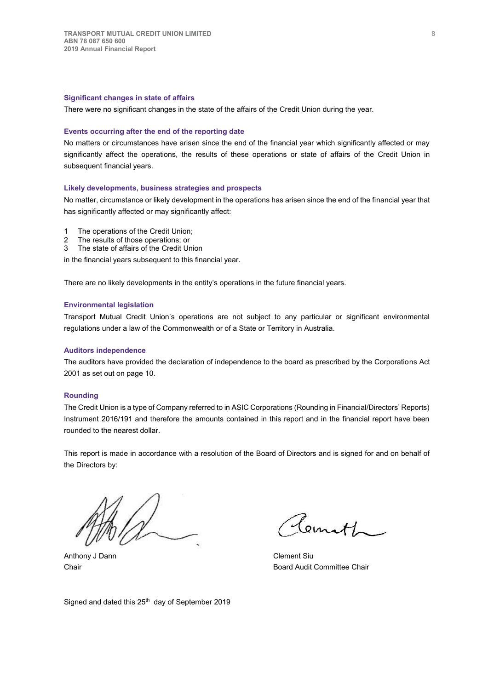#### **Significant changes in state of affairs**

There were no significant changes in the state of the affairs of the Credit Union during the year.

#### **Events occurring after the end of the reporting date**

No matters or circumstances have arisen since the end of the financial year which significantly affected or may significantly affect the operations, the results of these operations or state of affairs of the Credit Union in subsequent financial years.

### **Likely developments, business strategies and prospects**

No matter, circumstance or likely development in the operations has arisen since the end of the financial year that has significantly affected or may significantly affect:

- 1 The operations of the Credit Union;
- 2 The results of those operations; or
- 3 The state of affairs of the Credit Union

in the financial years subsequent to this financial year.

There are no likely developments in the entity's operations in the future financial years.

#### **Environmental legislation**

Transport Mutual Credit Union's operations are not subject to any particular or significant environmental regulations under a law of the Commonwealth or of a State or Territory in Australia.

#### **Auditors independence**

The auditors have provided the declaration of independence to the board as prescribed by the Corporations Act 2001 as set out on page 10.

#### **Rounding**

The Credit Union is a type of Company referred to in ASIC Corporations (Rounding in Financial/Directors' Reports) Instrument 2016/191 and therefore the amounts contained in this report and in the financial report have been rounded to the nearest dollar.

This report is made in accordance with a resolution of the Board of Directors and is signed for and on behalf of the Directors by:

Anthony J Dann Clement Siu

Temith

Chair **Chair** Board Audit Committee Chair

Signed and dated this 25<sup>th</sup> day of September 2019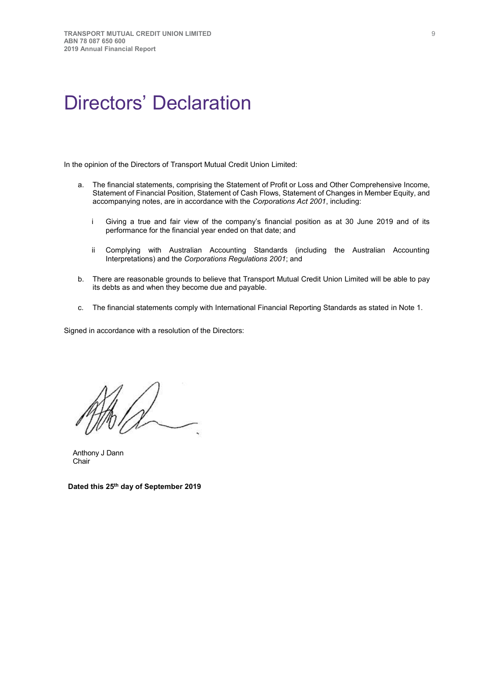## <span id="page-13-0"></span>Directors' Declaration

In the opinion of the Directors of Transport Mutual Credit Union Limited:

- a. The financial statements, comprising the Statement of Profit or Loss and Other Comprehensive Income, Statement of Financial Position, Statement of Cash Flows, Statement of Changes in Member Equity, and accompanying notes, are in accordance with the *Corporations Act 2001*, including:
	- i Giving a true and fair view of the company's financial position as at 30 June 2019 and of its performance for the financial year ended on that date; and
	- ii Complying with Australian Accounting Standards (including the Australian Accounting Interpretations) and the *Corporations Regulations 2001*; and
- b. There are reasonable grounds to believe that Transport Mutual Credit Union Limited will be able to pay its debts as and when they become due and payable.
- c. The financial statements comply with International Financial Reporting Standards as stated in Note 1.

Signed in accordance with a resolution of the Directors:

Anthony J Dann Chair

 **Dated this 25th day of September 2019**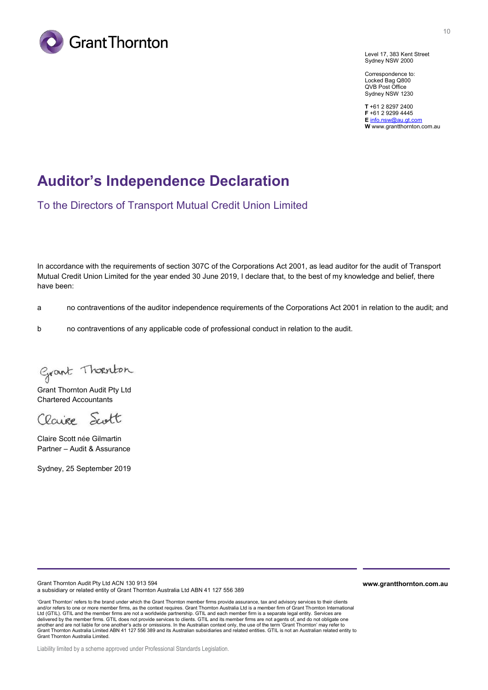

10

Level 17, 383 Kent Street Sydney NSW 2000

Correspondence to: Locked Bag Q800 QVB Post Office Sydney NSW 1230

**T** +61 2 8297 2400 **F** +61 2 9299 4445 **E** [info.nsw@au.gt.com](mailto:info.nsw@au.gt.com) **W** www.grantthornton.com.au

## **Auditor's Independence Declaration**

To the Directors of Transport Mutual Credit Union Limited

In accordance with the requirements of section 307C of the Corporations Act 2001, as lead auditor for the audit of Transport Mutual Credit Union Limited for the year ended 30 June 2019, I declare that, to the best of my knowledge and belief, there have been:

a no contraventions of the auditor independence requirements of the Corporations Act 2001 in relation to the audit; and

b no contraventions of any applicable code of professional conduct in relation to the audit.

Grant Thoenton

Grant Thornton Audit Pty Ltd Chartered Accountants

Clarise Scott

Claire Scott née Gilmartin Partner – Audit & Assurance

Sydney, 25 September 2019

Grant Thornton Audit Pty Ltd ACN 130 913 594 a subsidiary or related entity of Grant Thornton Australia Ltd ABN 41 127 556 389

'Grant Thornton' refers to the brand under which the Grant Thornton member firms provide assurance, tax and advisory services to their clients and/or refers to one or more member firms, as the context requires. Grant Thornton Australia Ltd is a member firm of Grant Thornton International Ltd (GTIL). GTIL and the member firms are not a worldwide partnership. GTIL and each member firm is a separate legal entity. Services are delivered by the member firms. GTIL does not provide services to clients. GTIL and its member firms are not agents of, and do not obligate one another and are not liable for one another's acts or omissions. In the Australian context only, the use of the term 'Grant Thomton' may refer to<br>Grant Thornton Australia Limited ABN 41 127 556 389 and its Australian subsid Grant Thornton Australia Limited.

Liability limited by a scheme approved under Professional Standards Legislation.

**www.grantthornton.com.au**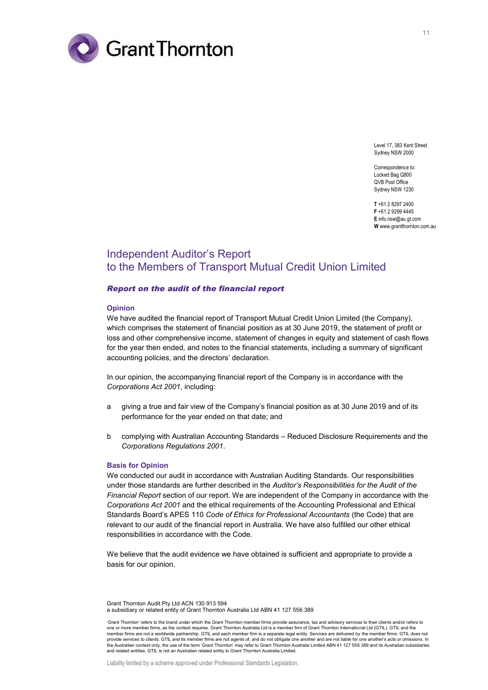

Level 17, 383 Kent Street Sydney NSW 2000

Correspondence to: Locked Bag Q800 QVB Post Office Sydney NSW 1230

**T** +61 2 8297 2400 **F** +61 2 9299 4445 **E** info.nsw@au.gt.com **W** [www.grantthornton.com.au](http://portal/sites/TAL/Shared%20Documents/AUDIT%20-%20Report%20and%20communicate/Audit%20reports/Audit%20Reports/Non%20Listed%20Corps%20Act/www.grantthornton.com.au)

## Independent Auditor's Report to the Members of Transport Mutual Credit Union Limited

#### *Report on the audit of the financial report*

#### **Opinion**

We have audited the financial report of Transport Mutual Credit Union Limited (the Company), which comprises the statement of financial position as at 30 June 2019, the statement of profit or loss and other comprehensive income, statement of changes in equity and statement of cash flows for the year then ended, and notes to the financial statements, including a summary of significant accounting policies, and the directors' declaration.

In our opinion, the accompanying financial report of the Company is in accordance with the *Corporations Act 2001*, including:

- a giving a true and fair view of the Company's financial position as at 30 June 2019 and of its performance for the year ended on that date; and
- b complying with Australian Accounting Standards Reduced Disclosure Requirements and the *Corporations Regulations 2001*.

#### **Basis for Opinion**

We conducted our audit in accordance with Australian Auditing Standards. Our responsibilities under those standards are further described in the *Auditor's Responsibilities for the Audit of the Financial Report* section of our report. We are independent of the Company in accordance with the *Corporations Act 2001* and the ethical requirements of the Accounting Professional and Ethical Standards Board's APES 110 *Code of Ethics for Professional Accountants* (the Code) that are relevant to our audit of the financial report in Australia. We have also fulfilled our other ethical responsibilities in accordance with the Code.

We believe that the audit evidence we have obtained is sufficient and appropriate to provide a basis for our opinion.

Grant Thornton Audit Pty Ltd ACN 130 913 594 a subsidiary or related entity of Grant Thornton Australia Ltd ABN 41 127 556 389

'Grant Thornton' refers to the brand under which the Grant Thornton member firms provide assurance, tax and advisory services to their clients and/or refers to one or more member firms, as the context requires. Grant Thornton Australia Ltd is a member firm of Grant Thornton International Ltd (GTIL). GTIL and the member firms are not a worldwide partnership. GTIL and each member firm is a separate legal entity. Services are delivered by the member firms. GTIL does not provide services to clients. GTIL and its member firms are not agents of, and do not obligate one another and are not liable for one another's acts or omissions. In provide services to clients. GTIL and its member firms ar the Australian context only, the use of the term 'Grant Thornton' may refer to Grant Thornton Australia Limited ABN 41 127 556 389 and its Australian subsidiaries<br>and related entities. GTIL is not an Australian related ent

Liability limited by a scheme approved under Professional Standards Legislation.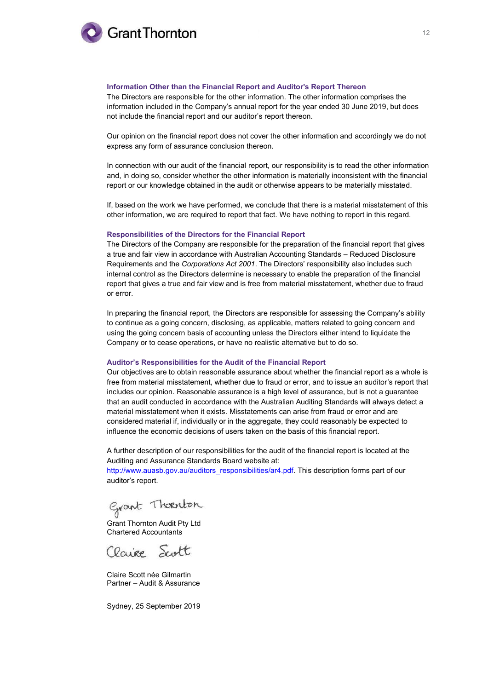

#### **Information Other than the Financial Report and Auditor's Report Thereon**

The Directors are responsible for the other information. The other information comprises the information included in the Company's annual report for the year ended 30 June 2019, but does not include the financial report and our auditor's report thereon.

Our opinion on the financial report does not cover the other information and accordingly we do not express any form of assurance conclusion thereon.

In connection with our audit of the financial report, our responsibility is to read the other information and, in doing so, consider whether the other information is materially inconsistent with the financial report or our knowledge obtained in the audit or otherwise appears to be materially misstated.

If, based on the work we have performed, we conclude that there is a material misstatement of this other information, we are required to report that fact. We have nothing to report in this regard.

#### **Responsibilities of the Directors for the Financial Report**

The Directors of the Company are responsible for the preparation of the financial report that gives a true and fair view in accordance with Australian Accounting Standards – Reduced Disclosure Requirements and the *Corporations Act 2001*. The Directors' responsibility also includes such internal control as the Directors determine is necessary to enable the preparation of the financial report that gives a true and fair view and is free from material misstatement, whether due to fraud or error.

In preparing the financial report, the Directors are responsible for assessing the Company's ability to continue as a going concern, disclosing, as applicable, matters related to going concern and using the going concern basis of accounting unless the Directors either intend to liquidate the Company or to cease operations, or have no realistic alternative but to do so.

#### **Auditor's Responsibilities for the Audit of the Financial Report**

Our objectives are to obtain reasonable assurance about whether the financial report as a whole is free from material misstatement, whether due to fraud or error, and to issue an auditor's report that includes our opinion. Reasonable assurance is a high level of assurance, but is not a guarantee that an audit conducted in accordance with the Australian Auditing Standards will always detect a material misstatement when it exists. Misstatements can arise from fraud or error and are considered material if, individually or in the aggregate, they could reasonably be expected to influence the economic decisions of users taken on the basis of this financial report.

A further description of our responsibilities for the audit of the financial report is located at the Auditing and Assurance Standards Board website at:

[http://www.auasb.gov.au/auditors\\_responsibilities/ar4.pdf.](http://www.auasb.gov.au/auditors_responsibilities/ar4.pdf) This description forms part of our auditor's report.

Grant Thoenton

Grant Thornton Audit Pty Ltd Chartered Accountants

Claire Scott

Claire Scott née Gilmartin Partner – Audit & Assurance

Sydney, 25 September 2019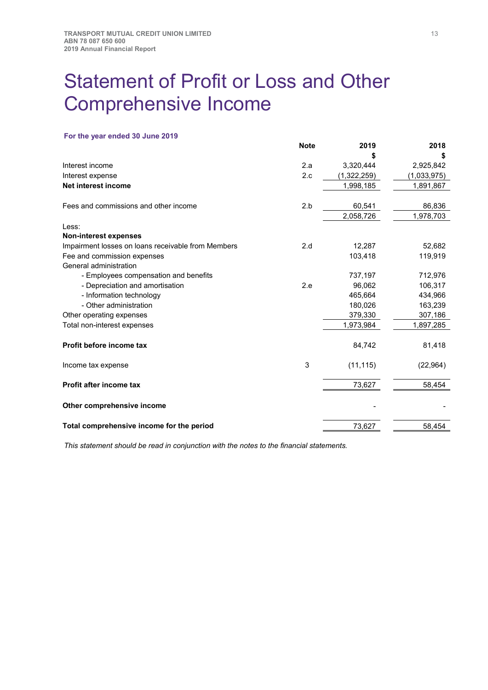## <span id="page-17-0"></span>Statement of Profit or Loss and Other Comprehensive Income

## **For the year ended 30 June 2019**

|                                                    | <b>Note</b> | 2019        | 2018        |
|----------------------------------------------------|-------------|-------------|-------------|
|                                                    |             |             |             |
| Interest income                                    | 2.a         | 3,320,444   | 2,925,842   |
| Interest expense                                   | 2.c         | (1,322,259) | (1,033,975) |
| Net interest income                                |             | 1,998,185   | 1,891,867   |
| Fees and commissions and other income              | 2.b         | 60,541      | 86,836      |
|                                                    |             | 2,058,726   | 1,978,703   |
| Less:                                              |             |             |             |
| <b>Non-interest expenses</b>                       |             |             |             |
| Impairment losses on loans receivable from Members | 2.d         | 12,287      | 52,682      |
| Fee and commission expenses                        |             | 103,418     | 119,919     |
| General administration                             |             |             |             |
| - Employees compensation and benefits              |             | 737,197     | 712,976     |
| - Depreciation and amortisation                    | 2.e         | 96,062      | 106,317     |
| - Information technology                           |             | 465,664     | 434,966     |
| - Other administration                             |             | 180,026     | 163,239     |
| Other operating expenses                           |             | 379,330     | 307,186     |
| Total non-interest expenses                        |             | 1,973,984   | 1,897,285   |
| Profit before income tax                           |             | 84,742      | 81,418      |
| Income tax expense                                 | 3           | (11, 115)   | (22, 964)   |
| Profit after income tax                            |             | 73,627      | 58,454      |
| Other comprehensive income                         |             |             |             |
| Total comprehensive income for the period          |             | 73,627      | 58,454      |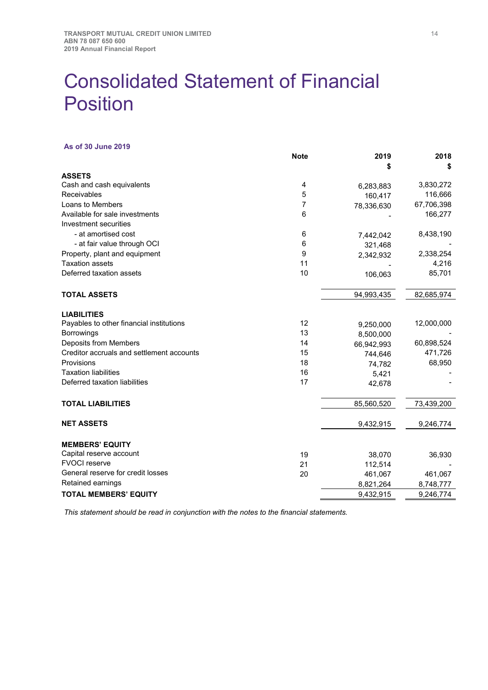## <span id="page-18-0"></span>Consolidated Statement of Financial **Position**

#### **As of 30 June 2019**

|                                           | <b>Note</b> | 2019<br>\$ | 2018<br>\$ |
|-------------------------------------------|-------------|------------|------------|
| <b>ASSETS</b>                             |             |            |            |
| Cash and cash equivalents                 | 4           | 6,283,883  | 3,830,272  |
| Receivables                               | 5           | 160,417    | 116,666    |
| Loans to Members                          | 7           | 78,336,630 | 67,706,398 |
| Available for sale investments            | 6           |            | 166,277    |
| Investment securities                     |             |            |            |
| - at amortised cost                       | 6           | 7,442,042  | 8,438,190  |
| - at fair value through OCI               | 6           | 321,468    |            |
| Property, plant and equipment             | 9           | 2,342,932  | 2,338,254  |
| <b>Taxation assets</b>                    | 11          |            | 4,216      |
| Deferred taxation assets                  | 10          | 106,063    | 85,701     |
| <b>TOTAL ASSETS</b>                       |             | 94,993,435 | 82,685,974 |
| <b>LIABILITIES</b>                        |             |            |            |
| Payables to other financial institutions  | 12          | 9,250,000  | 12,000,000 |
| Borrowings                                | 13          | 8,500,000  |            |
| <b>Deposits from Members</b>              | 14          | 66,942,993 | 60,898,524 |
| Creditor accruals and settlement accounts | 15          | 744,646    | 471,726    |
| Provisions                                | 18          | 74,782     | 68,950     |
| <b>Taxation liabilities</b>               | 16          | 5,421      |            |
| Deferred taxation liabilities             | 17          | 42,678     |            |
| <b>TOTAL LIABILITIES</b>                  |             | 85,560,520 | 73,439,200 |
| <b>NET ASSETS</b>                         |             | 9,432,915  | 9,246,774  |
| <b>MEMBERS' EQUITY</b>                    |             |            |            |
| Capital reserve account                   | 19          | 38,070     | 36,930     |
| <b>FVOCI</b> reserve                      | 21          | 112,514    |            |
| General reserve for credit losses         | 20          | 461,067    | 461,067    |
| Retained earnings                         |             | 8,821,264  | 8,748,777  |
| <b>TOTAL MEMBERS' EQUITY</b>              |             | 9,432,915  | 9,246,774  |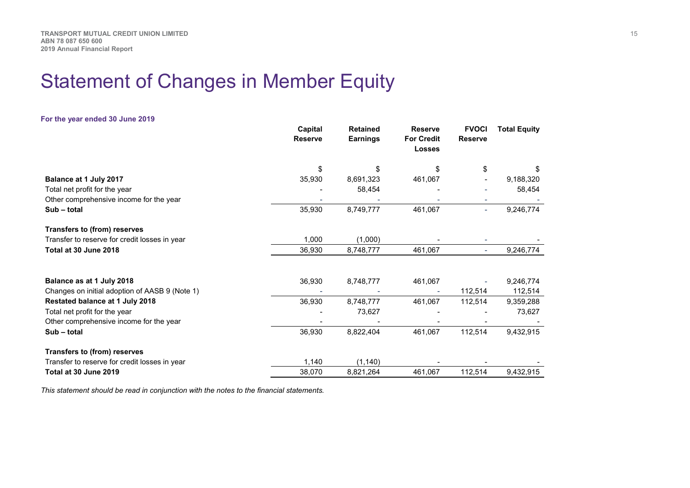## Statement of Changes in Member Equity

<span id="page-19-0"></span>

| For the year ended 30 June 2019                |                           |                                    |                                                      |                                |                     |
|------------------------------------------------|---------------------------|------------------------------------|------------------------------------------------------|--------------------------------|---------------------|
|                                                | Capital<br><b>Reserve</b> | <b>Retained</b><br><b>Earnings</b> | <b>Reserve</b><br><b>For Credit</b><br><b>Losses</b> | <b>FVOCI</b><br><b>Reserve</b> | <b>Total Equity</b> |
|                                                | \$                        | \$                                 | \$                                                   | \$                             | \$.                 |
| Balance at 1 July 2017                         | 35,930                    | 8,691,323                          | 461,067                                              |                                | 9,188,320           |
| Total net profit for the year                  |                           | 58,454                             |                                                      |                                | 58,454              |
| Other comprehensive income for the year        |                           |                                    |                                                      |                                |                     |
| Sub - total                                    | 35,930                    | 8,749,777                          | 461,067                                              | ÷.                             | 9,246,774           |
| <b>Transfers to (from) reserves</b>            |                           |                                    |                                                      |                                |                     |
| Transfer to reserve for credit losses in year  | 1,000                     | (1,000)                            |                                                      |                                |                     |
| Total at 30 June 2018                          | 36,930                    | 8,748,777                          | 461,067                                              |                                | 9,246,774           |
|                                                |                           |                                    |                                                      |                                |                     |
| Balance as at 1 July 2018                      | 36,930                    | 8,748,777                          | 461,067                                              |                                | 9,246,774           |
| Changes on initial adoption of AASB 9 (Note 1) |                           |                                    |                                                      | 112,514                        | 112,514             |
| Restated balance at 1 July 2018                | 36,930                    | 8,748,777                          | 461,067                                              | 112,514                        | 9,359,288           |
| Total net profit for the year                  |                           | 73,627                             |                                                      |                                | 73,627              |
| Other comprehensive income for the year        |                           |                                    |                                                      |                                |                     |
| Sub - total                                    | 36,930                    | 8,822,404                          | 461,067                                              | 112,514                        | 9,432,915           |
| Transfers to (from) reserves                   |                           |                                    |                                                      |                                |                     |
| Transfer to reserve for credit losses in year  | 1,140                     | (1, 140)                           |                                                      |                                |                     |
| Total at 30 June 2019                          | 38,070                    | 8,821,264                          | 461,067                                              | 112,514                        | 9,432,915           |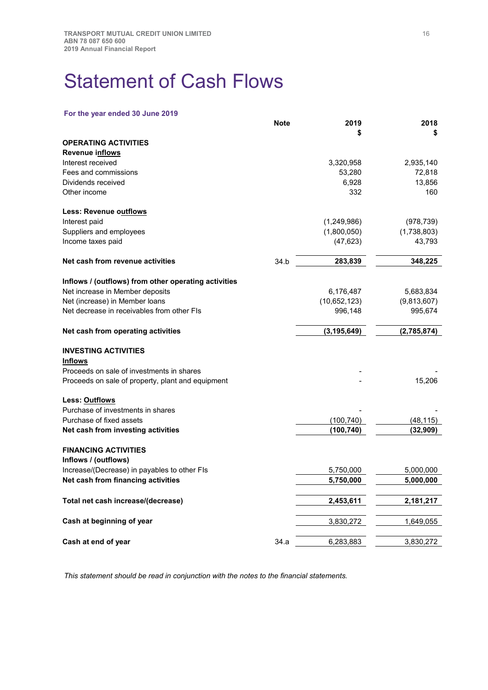## <span id="page-20-0"></span>Statement of Cash Flows

## **For the year ended 30 June 2019**

|                                                      | <b>Note</b> | 2019            | 2018             |
|------------------------------------------------------|-------------|-----------------|------------------|
|                                                      |             | \$              | \$               |
| <b>OPERATING ACTIVITIES</b>                          |             |                 |                  |
| Revenue inflows                                      |             |                 |                  |
| Interest received                                    |             | 3,320,958       | 2,935,140        |
| Fees and commissions<br>Dividends received           |             | 53,280<br>6,928 | 72,818<br>13,856 |
| Other income                                         |             | 332             | 160              |
| Less: Revenue outflows                               |             |                 |                  |
| Interest paid                                        |             | (1,249,986)     | (978, 739)       |
| Suppliers and employees                              |             | (1,800,050)     | (1,738,803)      |
| Income taxes paid                                    |             | (47, 623)       | 43,793           |
| Net cash from revenue activities                     | 34.b        | 283,839         | 348,225          |
| Inflows / (outflows) from other operating activities |             |                 |                  |
| Net increase in Member deposits                      |             | 6,176,487       | 5,683,834        |
| Net (increase) in Member loans                       |             | (10,652,123)    | (9,813,607)      |
| Net decrease in receivables from other FIs           |             | 996,148         | 995,674          |
| Net cash from operating activities                   |             | (3, 195, 649)   | (2,785,874)      |
| <b>INVESTING ACTIVITIES</b>                          |             |                 |                  |
| <b>Inflows</b>                                       |             |                 |                  |
| Proceeds on sale of investments in shares            |             |                 |                  |
| Proceeds on sale of property, plant and equipment    |             |                 | 15,206           |
| Less: <u>Outflows</u>                                |             |                 |                  |
| Purchase of investments in shares                    |             |                 |                  |
| Purchase of fixed assets                             |             | (100, 740)      | (48, 115)        |
| Net cash from investing activities                   |             | (100, 740)      | (32,909)         |
| <b>FINANCING ACTIVITIES</b>                          |             |                 |                  |
| Inflows / (outflows)                                 |             |                 |                  |
| Increase/(Decrease) in payables to other FIs         |             | 5,750,000       | 5,000,000        |
| Net cash from financing activities                   |             | 5,750,000       | 5,000,000        |
| Total net cash increase/(decrease)                   |             | 2,453,611       | 2,181,217        |
| Cash at beginning of year                            |             | 3,830,272       | 1,649,055        |
| Cash at end of year                                  | 34.a        | 6,283,883       | 3,830,272        |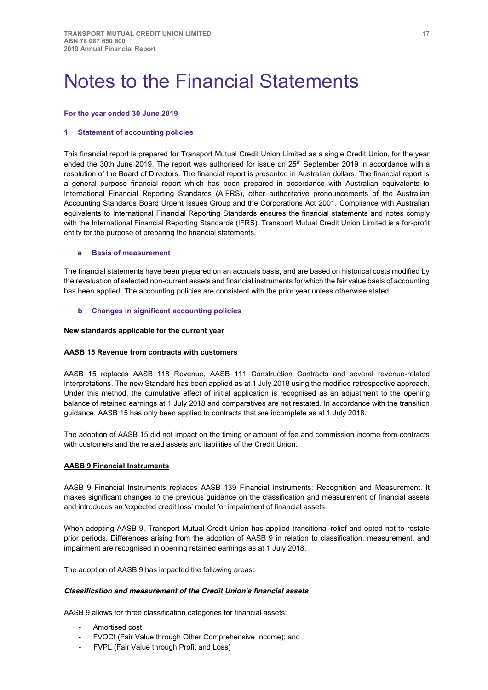## <span id="page-21-0"></span>Notes to the Financial Statements

#### **For the year ended 30 June 2019**

### **1 Statement of accounting policies**

This financial report is prepared for Transport Mutual Credit Union Limited as a single Credit Union, for the year ended the 30th June 2019. The report was authorised for issue on 25<sup>th</sup> September 2019 in accordance with a resolution of the Board of Directors. The financial report is presented in Australian dollars. The financial report is a general purpose financial report which has been prepared in accordance with Australian equivalents to International Financial Reporting Standards (AIFRS), other authoritative pronouncements of the Australian Accounting Standards Board Urgent Issues Group and the Corporations Act 2001. Compliance with Australian equivalents to International Financial Reporting Standards ensures the financial statements and notes comply with the International Financial Reporting Standards (IFRS). Transport Mutual Credit Union Limited is a for-profit entity for the purpose of preparing the financial statements.

#### **a Basis of measurement**

The financial statements have been prepared on an accruals basis, and are based on historical costs modified by the revaluation of selected non-current assets and financial instruments for which the fair value basis of accounting has been applied. The accounting policies are consistent with the prior year unless otherwise stated.

### **b Changes in significant accounting policies**

#### **New standards applicable for the current year**

### **AASB 15 Revenue from contracts with customers**

AASB 15 replaces AASB 118 Revenue, AASB 111 Construction Contracts and several revenue-related Interpretations. The new Standard has been applied as at 1 July 2018 using the modified retrospective approach. Under this method, the cumulative effect of initial application is recognised as an adjustment to the opening balance of retained earnings at 1 July 2018 and comparatives are not restated. In accordance with the transition guidance, AASB 15 has only been applied to contracts that are incomplete as at 1 July 2018.

The adoption of AASB 15 did not impact on the timing or amount of fee and commission income from contracts with customers and the related assets and liabilities of the Credit Union.

### **AASB 9 Financial Instruments**

AASB 9 Financial Instruments replaces AASB 139 Financial Instruments: Recognition and Measurement. It makes significant changes to the previous guidance on the classification and measurement of financial assets and introduces an 'expected credit loss' model for impairment of financial assets.

When adopting AASB 9, Transport Mutual Credit Union has applied transitional relief and opted not to restate prior periods. Differences arising from the adoption of AASB 9 in relation to classification, measurement, and impairment are recognised in opening retained earnings as at 1 July 2018.

The adoption of AASB 9 has impacted the following areas:

### *Classification and measurement of the Credit Union's financial assets*

AASB 9 allows for three classification categories for financial assets:

- Amortised cost
- FVOCI (Fair Value through Other Comprehensive Income); and
- FVPL (Fair Value through Profit and Loss)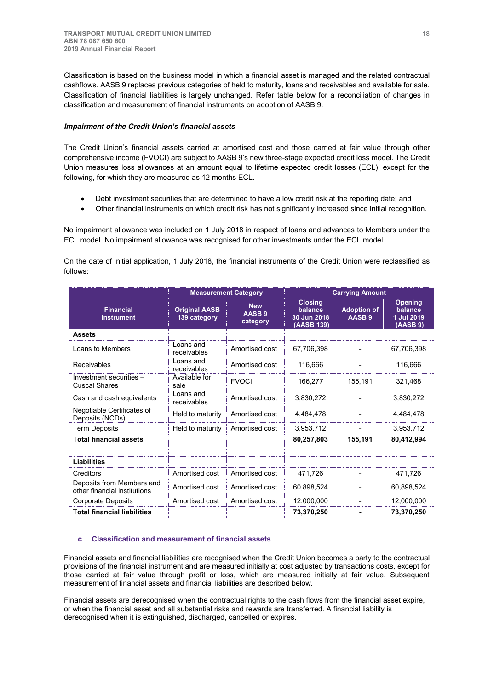Classification is based on the business model in which a financial asset is managed and the related contractual cashflows. AASB 9 replaces previous categories of held to maturity, loans and receivables and available for sale. Classification of financial liabilities is largely unchanged. Refer table below for a reconciliation of changes in classification and measurement of financial instruments on adoption of AASB 9.

## *Impairment of the Credit Union's financial assets*

The Credit Union's financial assets carried at amortised cost and those carried at fair value through other comprehensive income (FVOCI) are subject to AASB 9's new three-stage expected credit loss model. The Credit Union measures loss allowances at an amount equal to lifetime expected credit losses (ECL), except for the following, for which they are measured as 12 months ECL.

- Debt investment securities that are determined to have a low credit risk at the reporting date; and
- Other financial instruments on which credit risk has not significantly increased since initial recognition.

No impairment allowance was included on 1 July 2018 in respect of loans and advances to Members under the ECL model. No impairment allowance was recognised for other investments under the ECL model.

On the date of initial application, 1 July 2018, the financial instruments of the Credit Union were reclassified as follows:

|                                                           |                                      | <b>Measurement Category</b>                 | <b>Carrying Amount</b>                                 |                                         |                                                     |
|-----------------------------------------------------------|--------------------------------------|---------------------------------------------|--------------------------------------------------------|-----------------------------------------|-----------------------------------------------------|
| <b>Financial</b><br><b>Instrument</b>                     | <b>Original AASB</b><br>139 category | <b>New</b><br>AASB <sub>9</sub><br>category | <b>Closing</b><br>balance<br>30 Jun 2018<br>(AASB 139) | <b>Adoption of</b><br>AASB <sub>9</sub> | <b>Opening</b><br>balance<br>1 Jul 2019<br>(AASB 9) |
| <b>Assets</b>                                             |                                      |                                             |                                                        |                                         |                                                     |
| Loans to Members                                          | Loans and<br>receivables             | Amortised cost                              | 67,706,398                                             |                                         | 67,706,398                                          |
| Receivables                                               | Loans and<br>receivables             | Amortised cost                              | 116,666                                                |                                         | 116,666                                             |
| Investment securities -<br><b>Cuscal Shares</b>           | Available for<br>sale                | <b>FVOCI</b>                                | 166,277                                                | 155,191                                 | 321,468                                             |
| Cash and cash equivalents                                 | Loans and<br>receivables             | Amortised cost                              | 3,830,272                                              |                                         | 3,830,272                                           |
| Negotiable Certificates of<br>Deposits (NCDs)             | Held to maturity                     | Amortised cost                              | 4.484.478                                              |                                         | 4.484.478                                           |
| <b>Term Deposits</b>                                      | Held to maturity                     | Amortised cost                              | 3,953,712                                              |                                         | 3,953,712                                           |
| <b>Total financial assets</b>                             |                                      |                                             | 80,257,803                                             | 155,191                                 | 80,412,994                                          |
| <b>Liabilities</b>                                        |                                      |                                             |                                                        |                                         |                                                     |
| Creditors                                                 | Amortised cost                       | Amortised cost                              | 471,726                                                |                                         | 471,726                                             |
| Deposits from Members and<br>other financial institutions | Amortised cost                       | Amortised cost                              | 60,898,524                                             |                                         | 60.898,524                                          |
| <b>Corporate Deposits</b>                                 | Amortised cost                       | Amortised cost                              | 12,000,000                                             |                                         | 12,000,000                                          |
| <b>Total financial liabilities</b>                        |                                      |                                             | 73,370,250                                             |                                         | 73,370,250                                          |

## **c Classification and measurement of financial assets**

Financial assets and financial liabilities are recognised when the Credit Union becomes a party to the contractual provisions of the financial instrument and are measured initially at cost adjusted by transactions costs, except for those carried at fair value through profit or loss, which are measured initially at fair value. Subsequent measurement of financial assets and financial liabilities are described below.

Financial assets are derecognised when the contractual rights to the cash flows from the financial asset expire, or when the financial asset and all substantial risks and rewards are transferred. A financial liability is derecognised when it is extinguished, discharged, cancelled or expires.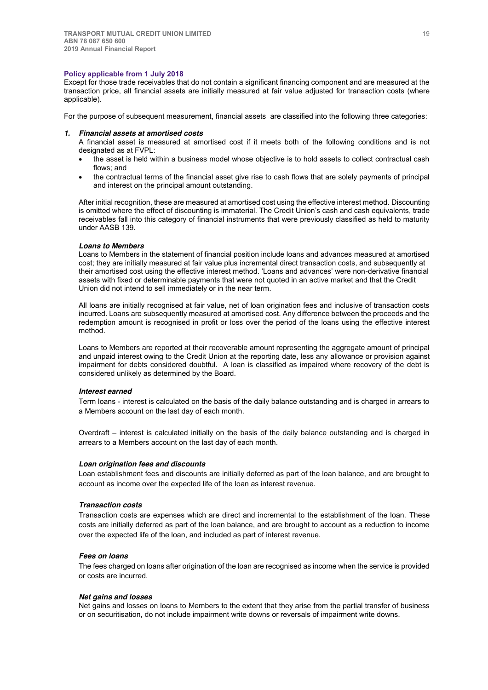#### **Policy applicable from 1 July 2018**

Except for those trade receivables that do not contain a significant financing component and are measured at the transaction price, all financial assets are initially measured at fair value adjusted for transaction costs (where applicable).

For the purpose of subsequent measurement, financial assets are classified into the following three categories:

#### *1. Financial assets at amortised costs*

A financial asset is measured at amortised cost if it meets both of the following conditions and is not designated as at FVPL:

- the asset is held within a business model whose objective is to hold assets to collect contractual cash flows; and
- the contractual terms of the financial asset give rise to cash flows that are solely payments of principal and interest on the principal amount outstanding.

After initial recognition, these are measured at amortised cost using the effective interest method. Discounting is omitted where the effect of discounting is immaterial. The Credit Union's cash and cash equivalents, trade receivables fall into this category of financial instruments that were previously classified as held to maturity under AASB 139.

### *Loans to Members*

Loans to Members in the statement of financial position include loans and advances measured at amortised cost; they are initially measured at fair value plus incremental direct transaction costs, and subsequently at their amortised cost using the effective interest method. 'Loans and advances' were non-derivative financial assets with fixed or determinable payments that were not quoted in an active market and that the Credit Union did not intend to sell immediately or in the near term.

All loans are initially recognised at fair value, net of loan origination fees and inclusive of transaction costs incurred. Loans are subsequently measured at amortised cost. Any difference between the proceeds and the redemption amount is recognised in profit or loss over the period of the loans using the effective interest method.

Loans to Members are reported at their recoverable amount representing the aggregate amount of principal and unpaid interest owing to the Credit Union at the reporting date, less any allowance or provision against impairment for debts considered doubtful. A loan is classified as impaired where recovery of the debt is considered unlikely as determined by the Board.

### *Interest earned*

Term loans - interest is calculated on the basis of the daily balance outstanding and is charged in arrears to a Members account on the last day of each month.

Overdraft – interest is calculated initially on the basis of the daily balance outstanding and is charged in arrears to a Members account on the last day of each month.

### *Loan origination fees and discounts*

Loan establishment fees and discounts are initially deferred as part of the loan balance, and are brought to account as income over the expected life of the loan as interest revenue.

### *Transaction costs*

Transaction costs are expenses which are direct and incremental to the establishment of the loan. These costs are initially deferred as part of the loan balance, and are brought to account as a reduction to income over the expected life of the loan, and included as part of interest revenue.

### *Fees on loans*

The fees charged on loans after origination of the loan are recognised as income when the service is provided or costs are incurred.

### *Net gains and losses*

Net gains and losses on loans to Members to the extent that they arise from the partial transfer of business or on securitisation, do not include impairment write downs or reversals of impairment write downs.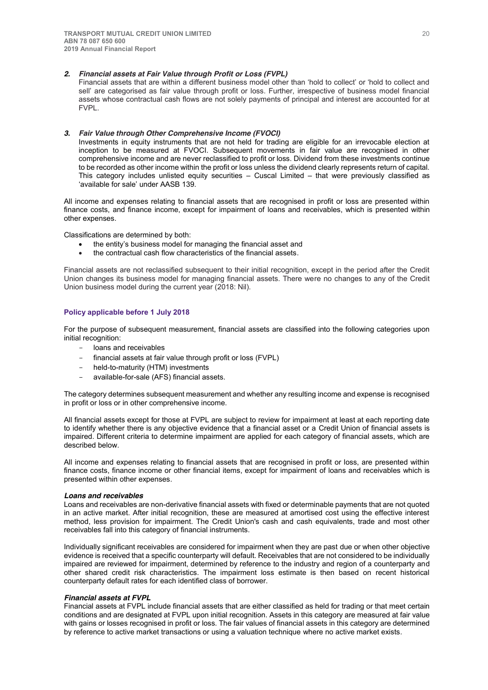#### *2. Financial assets at Fair Value through Profit or Loss (FVPL)*

Financial assets that are within a different business model other than 'hold to collect' or 'hold to collect and sell' are categorised as fair value through profit or loss. Further, irrespective of business model financial assets whose contractual cash flows are not solely payments of principal and interest are accounted for at **FVPL.** 

#### *3. Fair Value through Other Comprehensive Income (FVOCI)*

Investments in equity instruments that are not held for trading are eligible for an irrevocable election at inception to be measured at FVOCI. Subsequent movements in fair value are recognised in other comprehensive income and are never reclassified to profit or loss. Dividend from these investments continue to be recorded as other income within the profit or loss unless the dividend clearly represents return of capital. This category includes unlisted equity securities – Cuscal Limited – that were previously classified as 'available for sale' under AASB 139.

All income and expenses relating to financial assets that are recognised in profit or loss are presented within finance costs, and finance income, except for impairment of loans and receivables, which is presented within other expenses.

Classifications are determined by both:

- the entity's business model for managing the financial asset and
- the contractual cash flow characteristics of the financial assets.

Financial assets are not reclassified subsequent to their initial recognition, except in the period after the Credit Union changes its business model for managing financial assets. There were no changes to any of the Credit Union business model during the current year (2018: Nil).

### **Policy applicable before 1 July 2018**

For the purpose of subsequent measurement, financial assets are classified into the following categories upon initial recognition:

- loans and receivables
- financial assets at fair value through profit or loss (FVPL)
- held-to-maturity (HTM) investments
- available-for-sale (AFS) financial assets.

The category determines subsequent measurement and whether any resulting income and expense is recognised in profit or loss or in other comprehensive income.

All financial assets except for those at FVPL are subject to review for impairment at least at each reporting date to identify whether there is any objective evidence that a financial asset or a Credit Union of financial assets is impaired. Different criteria to determine impairment are applied for each category of financial assets, which are described below.

All income and expenses relating to financial assets that are recognised in profit or loss, are presented within finance costs, finance income or other financial items, except for impairment of loans and receivables which is presented within other expenses.

#### *Loans and receivables*

Loans and receivables are non-derivative financial assets with fixed or determinable payments that are not quoted in an active market. After initial recognition, these are measured at amortised cost using the effective interest method, less provision for impairment. The Credit Union's cash and cash equivalents, trade and most other receivables fall into this category of financial instruments.

Individually significant receivables are considered for impairment when they are past due or when other objective evidence is received that a specific counterparty will default. Receivables that are not considered to be individually impaired are reviewed for impairment, determined by reference to the industry and region of a counterparty and other shared credit risk characteristics. The impairment loss estimate is then based on recent historical counterparty default rates for each identified class of borrower.

### *Financial assets at FVPL*

Financial assets at FVPL include financial assets that are either classified as held for trading or that meet certain conditions and are designated at FVPL upon initial recognition. Assets in this category are measured at fair value with gains or losses recognised in profit or loss. The fair values of financial assets in this category are determined by reference to active market transactions or using a valuation technique where no active market exists.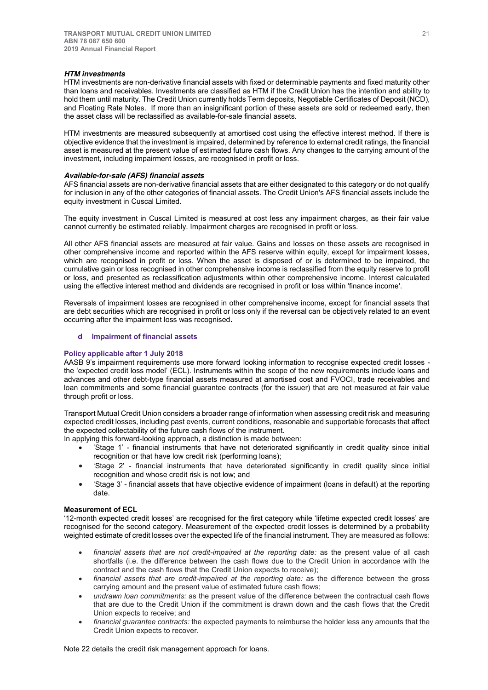#### *HTM investments*

HTM investments are non-derivative financial assets with fixed or determinable payments and fixed maturity other than loans and receivables. Investments are classified as HTM if the Credit Union has the intention and ability to hold them until maturity. The Credit Union currently holds Term deposits, Negotiable Certificates of Deposit (NCD), and Floating Rate Notes. If more than an insignificant portion of these assets are sold or redeemed early, then the asset class will be reclassified as available-for-sale financial assets.

HTM investments are measured subsequently at amortised cost using the effective interest method. If there is objective evidence that the investment is impaired, determined by reference to external credit ratings, the financial asset is measured at the present value of estimated future cash flows. Any changes to the carrying amount of the investment, including impairment losses, are recognised in profit or loss.

### *Available-for-sale (AFS) financial assets*

AFS financial assets are non-derivative financial assets that are either designated to this category or do not qualify for inclusion in any of the other categories of financial assets. The Credit Union's AFS financial assets include the equity investment in Cuscal Limited.

The equity investment in Cuscal Limited is measured at cost less any impairment charges, as their fair value cannot currently be estimated reliably. Impairment charges are recognised in profit or loss.

All other AFS financial assets are measured at fair value. Gains and losses on these assets are recognised in other comprehensive income and reported within the AFS reserve within equity, except for impairment losses, which are recognised in profit or loss. When the asset is disposed of or is determined to be impaired, the cumulative gain or loss recognised in other comprehensive income is reclassified from the equity reserve to profit or loss, and presented as reclassification adjustments within other comprehensive income. Interest calculated using the effective interest method and dividends are recognised in profit or loss within 'finance income'.

Reversals of impairment losses are recognised in other comprehensive income, except for financial assets that are debt securities which are recognised in profit or loss only if the reversal can be objectively related to an event occurring after the impairment loss was recognised**.**

## **d Impairment of financial assets**

### **Policy applicable after 1 July 2018**

AASB 9's impairment requirements use more forward looking information to recognise expected credit losses the 'expected credit loss model' (ECL). Instruments within the scope of the new requirements include loans and advances and other debt-type financial assets measured at amortised cost and FVOCI, trade receivables and loan commitments and some financial guarantee contracts (for the issuer) that are not measured at fair value through profit or loss.

Transport Mutual Credit Union considers a broader range of information when assessing credit risk and measuring expected credit losses, including past events, current conditions, reasonable and supportable forecasts that affect the expected collectability of the future cash flows of the instrument.

In applying this forward-looking approach, a distinction is made between:

- x 'Stage 1' financial instruments that have not deteriorated significantly in credit quality since initial recognition or that have low credit risk (performing loans);
- x 'Stage 2' financial instruments that have deteriorated significantly in credit quality since initial recognition and whose credit risk is not low; and
- x 'Stage 3' financial assets that have objective evidence of impairment (loans in default) at the reporting date.

#### **Measurement of ECL**

'12-month expected credit losses' are recognised for the first category while 'lifetime expected credit losses' are recognised for the second category. Measurement of the expected credit losses is determined by a probability weighted estimate of credit losses over the expected life of the financial instrument. They are measured as follows:

- financial assets that are not credit-impaired at the reporting date: as the present value of all cash shortfalls (i.e. the difference between the cash flows due to the Credit Union in accordance with the contract and the cash flows that the Credit Union expects to receive);
- financial assets that are credit-impaired at the reporting date: as the difference between the gross carrying amount and the present value of estimated future cash flows;
- x *undrawn loan commitments:* as the present value of the difference between the contractual cash flows that are due to the Credit Union if the commitment is drawn down and the cash flows that the Credit Union expects to receive; and
- *financial guarantee contracts:* the expected payments to reimburse the holder less any amounts that the Credit Union expects to recover.

### Note 22 details the credit risk management approach for loans.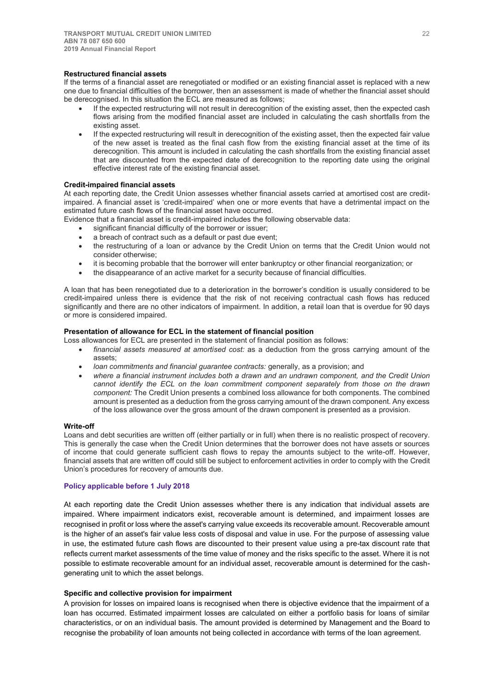#### **Restructured financial assets**

If the terms of a financial asset are renegotiated or modified or an existing financial asset is replaced with a new one due to financial difficulties of the borrower, then an assessment is made of whether the financial asset should be derecognised. In this situation the ECL are measured as follows;

- If the expected restructuring will not result in derecognition of the existing asset, then the expected cash flows arising from the modified financial asset are included in calculating the cash shortfalls from the existing asset.
- If the expected restructuring will result in derecognition of the existing asset, then the expected fair value of the new asset is treated as the final cash flow from the existing financial asset at the time of its derecognition. This amount is included in calculating the cash shortfalls from the existing financial asset that are discounted from the expected date of derecognition to the reporting date using the original effective interest rate of the existing financial asset.

### **Credit-impaired financial assets**

At each reporting date, the Credit Union assesses whether financial assets carried at amortised cost are creditimpaired. A financial asset is 'credit-impaired' when one or more events that have a detrimental impact on the estimated future cash flows of the financial asset have occurred.

Evidence that a financial asset is credit-impaired includes the following observable data:

- significant financial difficulty of the borrower or issuer;
- a breach of contract such as a default or past due event;
- the restructuring of a loan or advance by the Credit Union on terms that the Credit Union would not consider otherwise;
- it is becoming probable that the borrower will enter bankruptcy or other financial reorganization; or
- the disappearance of an active market for a security because of financial difficulties.

A loan that has been renegotiated due to a deterioration in the borrower's condition is usually considered to be credit-impaired unless there is evidence that the risk of not receiving contractual cash flows has reduced significantly and there are no other indicators of impairment. In addition, a retail loan that is overdue for 90 days or more is considered impaired.

#### **Presentation of allowance for ECL in the statement of financial position**

- Loss allowances for ECL are presented in the statement of financial position as follows:
	- x *financial assets measured at amortised cost:* as a deduction from the gross carrying amount of the assets;
	- *loan commitments and financial guarantee contracts: generally, as a provision; and*
	- x *where a financial instrument includes both a drawn and an undrawn component, and the Credit Union cannot identify the ECL on the loan commitment component separately from those on the drawn component:* The Credit Union presents a combined loss allowance for both components. The combined amount is presented as a deduction from the gross carrying amount of the drawn component. Any excess of the loss allowance over the gross amount of the drawn component is presented as a provision.

### **Write-off**

Loans and debt securities are written off (either partially or in full) when there is no realistic prospect of recovery. This is generally the case when the Credit Union determines that the borrower does not have assets or sources of income that could generate sufficient cash flows to repay the amounts subject to the write-off. However, financial assets that are written off could still be subject to enforcement activities in order to comply with the Credit Union's procedures for recovery of amounts due.

#### **Policy applicable before 1 July 2018**

At each reporting date the Credit Union assesses whether there is any indication that individual assets are impaired. Where impairment indicators exist, recoverable amount is determined, and impairment losses are recognised in profit or loss where the asset's carrying value exceeds its recoverable amount. Recoverable amount is the higher of an asset's fair value less costs of disposal and value in use. For the purpose of assessing value in use, the estimated future cash flows are discounted to their present value using a pre-tax discount rate that reflects current market assessments of the time value of money and the risks specific to the asset. Where it is not possible to estimate recoverable amount for an individual asset, recoverable amount is determined for the cashgenerating unit to which the asset belongs.

#### **Specific and collective provision for impairment**

A provision for losses on impaired loans is recognised when there is objective evidence that the impairment of a loan has occurred. Estimated impairment losses are calculated on either a portfolio basis for loans of similar characteristics, or on an individual basis. The amount provided is determined by Management and the Board to recognise the probability of loan amounts not being collected in accordance with terms of the loan agreement.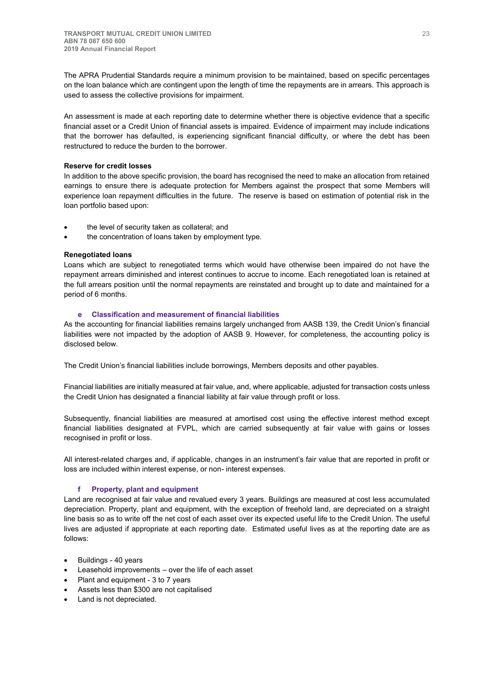The APRA Prudential Standards require a minimum provision to be maintained, based on specific percentages on the loan balance which are contingent upon the length of time the repayments are in arrears. This approach is used to assess the collective provisions for impairment.

An assessment is made at each reporting date to determine whether there is objective evidence that a specific financial asset or a Credit Union of financial assets is impaired. Evidence of impairment may include indications that the borrower has defaulted, is experiencing significant financial difficulty, or where the debt has been restructured to reduce the burden to the borrower.

## **Reserve for credit losses**

In addition to the above specific provision, the board has recognised the need to make an allocation from retained earnings to ensure there is adequate protection for Members against the prospect that some Members will experience loan repayment difficulties in the future. The reserve is based on estimation of potential risk in the loan portfolio based upon:

- the level of security taken as collateral; and
- the concentration of loans taken by employment type.

## **Renegotiated loans**

Loans which are subject to renegotiated terms which would have otherwise been impaired do not have the repayment arrears diminished and interest continues to accrue to income. Each renegotiated loan is retained at the full arrears position until the normal repayments are reinstated and brought up to date and maintained for a period of 6 months.

## **e Classification and measurement of financial liabilities**

As the accounting for financial liabilities remains largely unchanged from AASB 139, the Credit Union's financial liabilities were not impacted by the adoption of AASB 9. However, for completeness, the accounting policy is disclosed below.

The Credit Union's financial liabilities include borrowings, Members deposits and other payables.

Financial liabilities are initially measured at fair value, and, where applicable, adjusted for transaction costs unless the Credit Union has designated a financial liability at fair value through profit or loss.

Subsequently, financial liabilities are measured at amortised cost using the effective interest method except financial liabilities designated at FVPL, which are carried subsequently at fair value with gains or losses recognised in profit or loss.

All interest-related charges and, if applicable, changes in an instrument's fair value that are reported in profit or loss are included within interest expense, or non- interest expenses.

## **f Property, plant and equipment**

Land are recognised at fair value and revalued every 3 years. Buildings are measured at cost less accumulated depreciation. Property, plant and equipment, with the exception of freehold land, are depreciated on a straight line basis so as to write off the net cost of each asset over its expected useful life to the Credit Union. The useful lives are adjusted if appropriate at each reporting date. Estimated useful lives as at the reporting date are as follows:

- Buildings 40 years
- Leasehold improvements over the life of each asset
- Plant and equipment 3 to 7 years
- Assets less than \$300 are not capitalised
- Land is not depreciated.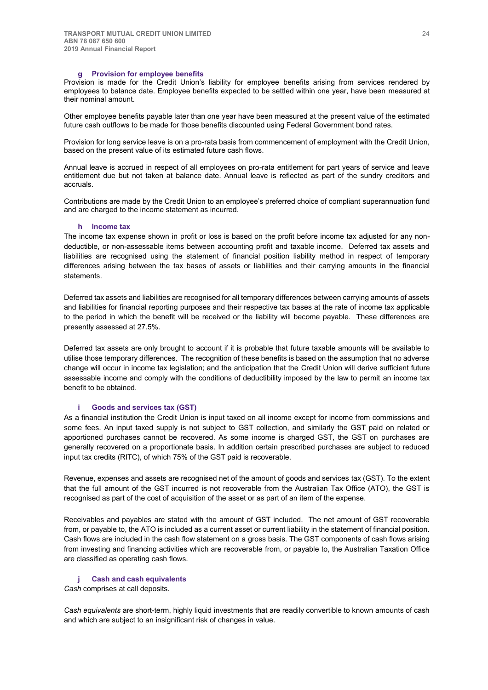#### **g Provision for employee benefits**

Provision is made for the Credit Union's liability for employee benefits arising from services rendered by employees to balance date. Employee benefits expected to be settled within one year, have been measured at their nominal amount.

Other employee benefits payable later than one year have been measured at the present value of the estimated future cash outflows to be made for those benefits discounted using Federal Government bond rates.

Provision for long service leave is on a pro-rata basis from commencement of employment with the Credit Union, based on the present value of its estimated future cash flows.

Annual leave is accrued in respect of all employees on pro-rata entitlement for part years of service and leave entitlement due but not taken at balance date. Annual leave is reflected as part of the sundry creditors and accruals.

Contributions are made by the Credit Union to an employee's preferred choice of compliant superannuation fund and are charged to the income statement as incurred.

#### **h Income tax**

The income tax expense shown in profit or loss is based on the profit before income tax adjusted for any nondeductible, or non-assessable items between accounting profit and taxable income. Deferred tax assets and liabilities are recognised using the statement of financial position liability method in respect of temporary differences arising between the tax bases of assets or liabilities and their carrying amounts in the financial statements.

Deferred tax assets and liabilities are recognised for all temporary differences between carrying amounts of assets and liabilities for financial reporting purposes and their respective tax bases at the rate of income tax applicable to the period in which the benefit will be received or the liability will become payable. These differences are presently assessed at 27.5%.

Deferred tax assets are only brought to account if it is probable that future taxable amounts will be available to utilise those temporary differences. The recognition of these benefits is based on the assumption that no adverse change will occur in income tax legislation; and the anticipation that the Credit Union will derive sufficient future assessable income and comply with the conditions of deductibility imposed by the law to permit an income tax benefit to be obtained.

## **i Goods and services tax (GST)**

As a financial institution the Credit Union is input taxed on all income except for income from commissions and some fees. An input taxed supply is not subject to GST collection, and similarly the GST paid on related or apportioned purchases cannot be recovered. As some income is charged GST, the GST on purchases are generally recovered on a proportionate basis. In addition certain prescribed purchases are subject to reduced input tax credits (RITC), of which 75% of the GST paid is recoverable.

Revenue, expenses and assets are recognised net of the amount of goods and services tax (GST). To the extent that the full amount of the GST incurred is not recoverable from the Australian Tax Office (ATO), the GST is recognised as part of the cost of acquisition of the asset or as part of an item of the expense.

Receivables and payables are stated with the amount of GST included. The net amount of GST recoverable from, or payable to, the ATO is included as a current asset or current liability in the statement of financial position. Cash flows are included in the cash flow statement on a gross basis. The GST components of cash flows arising from investing and financing activities which are recoverable from, or payable to, the Australian Taxation Office are classified as operating cash flows.

### **j Cash and cash equivalents**

*Cash* comprises at call deposits.

*Cash equivalents* are short-term, highly liquid investments that are readily convertible to known amounts of cash and which are subject to an insignificant risk of changes in value.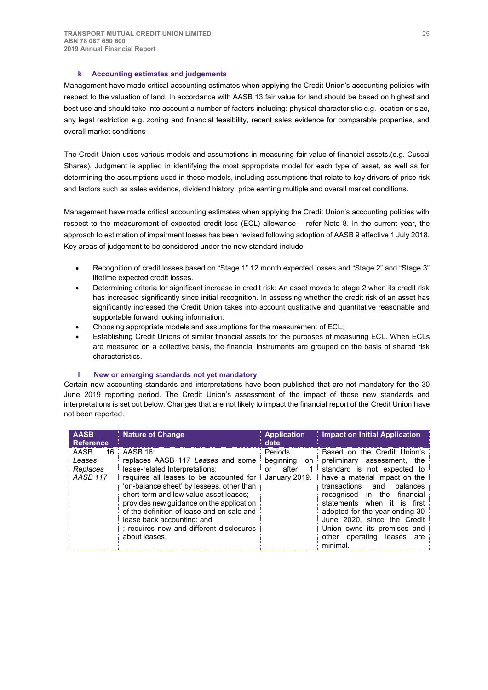## **k Accounting estimates and judgements**

Management have made critical accounting estimates when applying the Credit Union's accounting policies with respect to the valuation of land. In accordance with AASB 13 fair value for land should be based on highest and best use and should take into account a number of factors including: physical characteristic e.g. location or size, any legal restriction e.g. zoning and financial feasibility, recent sales evidence for comparable properties, and overall market conditions

The Credit Union uses various models and assumptions in measuring fair value of financial assets.(e.g. Cuscal Shares). Judgment is applied in identifying the most appropriate model for each type of asset, as well as for determining the assumptions used in these models, including assumptions that relate to key drivers of price risk and factors such as sales evidence, dividend history, price earning multiple and overall market conditions.

Management have made critical accounting estimates when applying the Credit Union's accounting policies with respect to the measurement of expected credit loss (ECL) allowance – refer Note 8. In the current year, the approach to estimation of impairment losses has been revised following adoption of AASB 9 effective 1 July 2018. Key areas of judgement to be considered under the new standard include:

- x Recognition of credit losses based on "Stage 1" 12 month expected losses and "Stage 2" and "Stage 3" lifetime expected credit losses.
- Determining criteria for significant increase in credit risk: An asset moves to stage 2 when its credit risk has increased significantly since initial recognition. In assessing whether the credit risk of an asset has significantly increased the Credit Union takes into account qualitative and quantitative reasonable and supportable forward looking information.
- Choosing appropriate models and assumptions for the measurement of ECL:
- Establishing Credit Unions of similar financial assets for the purposes of measuring ECL. When ECLs are measured on a collective basis, the financial instruments are grouped on the basis of shared risk characteristics.

### **l New or emerging standards not yet mandatory**

Certain new accounting standards and interpretations have been published that are not mandatory for the 30 June 2019 reporting period. The Credit Union's assessment of the impact of these new standards and interpretations is set out below. Changes that are not likely to impact the financial report of the Credit Union have not been reported.

| <b>AASB</b><br><b>Reference</b>                     | <b>Nature of Change</b>                                                                                                                                                                                                                                                                                                                                                                                | <b>Application</b><br>date                                       | <b>Impact on Initial Application</b>                                                                                                                                                                                                                                                                                                                                     |
|-----------------------------------------------------|--------------------------------------------------------------------------------------------------------------------------------------------------------------------------------------------------------------------------------------------------------------------------------------------------------------------------------------------------------------------------------------------------------|------------------------------------------------------------------|--------------------------------------------------------------------------------------------------------------------------------------------------------------------------------------------------------------------------------------------------------------------------------------------------------------------------------------------------------------------------|
| AASB<br>16<br>Leases<br>Replaces<br><b>AASB 117</b> | AASB 16:<br>replaces AASB 117 Leases and some<br>lease-related Interpretations;<br>requires all leases to be accounted for<br>'on-balance sheet' by lessees, other than<br>short-term and low value asset leases;<br>provides new quidance on the application<br>of the definition of lease and on sale and<br>lease back accounting; and<br>; requires new and different disclosures<br>about leases. | Periods<br>beginning<br>on.<br>after<br>1<br>or<br>January 2019. | Based on the Credit Union's<br>preliminary assessment, the<br>standard is not expected to<br>have a material impact on the<br>balances<br>transactions<br>and<br>recognised in the financial<br>statements when it is first<br>adopted for the year ending 30<br>June 2020, since the Credit<br>Union owns its premises and<br>operating leases are<br>other<br>minimal. |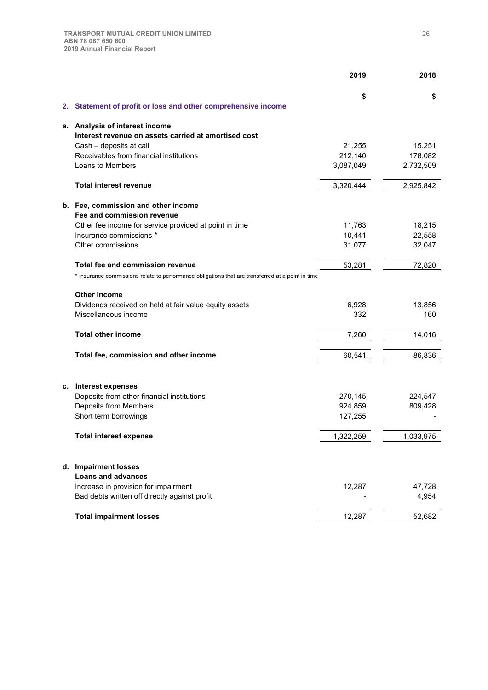|    |                                                                                                   | 2019      | 2018      |
|----|---------------------------------------------------------------------------------------------------|-----------|-----------|
|    |                                                                                                   | \$        | \$        |
|    | 2. Statement of profit or loss and other comprehensive income                                     |           |           |
| а. | Analysis of interest income                                                                       |           |           |
|    | Interest revenue on assets carried at amortised cost                                              |           |           |
|    | Cash - deposits at call                                                                           | 21,255    | 15,251    |
|    | Receivables from financial institutions                                                           | 212,140   | 178,082   |
|    | Loans to Members                                                                                  | 3,087,049 | 2,732,509 |
|    | <b>Total interest revenue</b>                                                                     | 3,320,444 | 2,925,842 |
|    | b. Fee, commission and other income                                                               |           |           |
|    | Fee and commission revenue                                                                        |           |           |
|    | Other fee income for service provided at point in time                                            | 11,763    | 18,215    |
|    | Insurance commissions *                                                                           | 10,441    | 22,558    |
|    | Other commissions                                                                                 | 31,077    | 32,047    |
|    | Total fee and commission revenue                                                                  | 53,281    | 72,820    |
|    | * Insurance commissions relate to performance obligations that are transferred at a point in time |           |           |
|    | Other income                                                                                      |           |           |
|    | Dividends received on held at fair value equity assets                                            | 6,928     | 13,856    |
|    | Miscellaneous income                                                                              | 332       | 160       |
|    | <b>Total other income</b>                                                                         | 7,260     | 14,016    |
|    |                                                                                                   |           |           |
|    | Total fee, commission and other income                                                            | 60,541    | 86,836    |
|    |                                                                                                   |           |           |
|    | c. Interest expenses                                                                              |           |           |
|    | Deposits from other financial institutions                                                        | 270,145   | 224,547   |
|    | Deposits from Members                                                                             | 924,859   | 809,428   |
|    | Short term borrowings                                                                             | 127,255   |           |
|    | <b>Total interest expense</b>                                                                     | 1,322,259 | 1,033,975 |
|    | d. Impairment losses                                                                              |           |           |
|    | <b>Loans and advances</b>                                                                         |           |           |
|    | Increase in provision for impairment                                                              | 12,287    | 47,728    |
|    | Bad debts written off directly against profit                                                     |           | 4,954     |
|    |                                                                                                   |           |           |
|    | <b>Total impairment losses</b>                                                                    | 12,287    | 52,682    |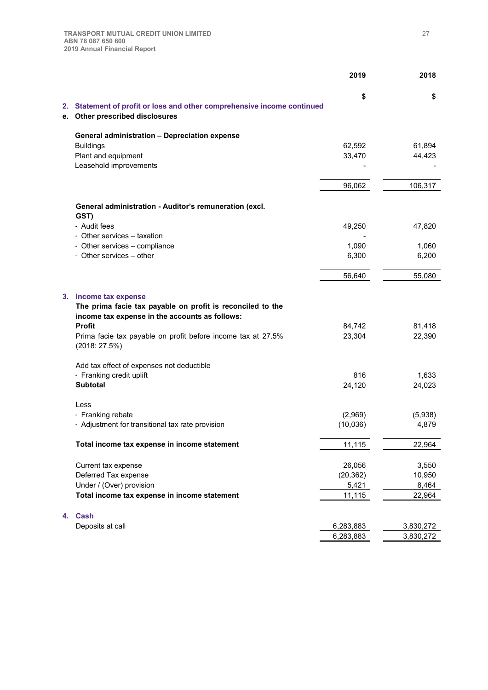|    |                                                                                                              | 2019      | 2018      |
|----|--------------------------------------------------------------------------------------------------------------|-----------|-----------|
|    |                                                                                                              | \$        | \$        |
|    | 2. Statement of profit or loss and other comprehensive income continued<br>e. Other prescribed disclosures   |           |           |
|    | General administration - Depreciation expense                                                                |           |           |
|    | <b>Buildings</b>                                                                                             | 62,592    | 61,894    |
|    | Plant and equipment                                                                                          | 33,470    | 44,423    |
|    | Leasehold improvements                                                                                       |           |           |
|    |                                                                                                              | 96,062    | 106,317   |
|    | General administration - Auditor's remuneration (excl.                                                       |           |           |
|    | GST)                                                                                                         |           |           |
|    | - Audit fees                                                                                                 | 49,250    | 47,820    |
|    | - Other services - taxation                                                                                  |           |           |
|    | - Other services - compliance                                                                                | 1,090     | 1,060     |
|    | - Other services - other                                                                                     | 6,300     | 6,200     |
|    |                                                                                                              | 56,640    | 55,080    |
| 3. | Income tax expense                                                                                           |           |           |
|    | The prima facie tax payable on profit is reconciled to the<br>income tax expense in the accounts as follows: |           |           |
|    | Profit                                                                                                       | 84,742    | 81,418    |
|    | Prima facie tax payable on profit before income tax at 27.5%<br>(2018:27.5%)                                 | 23,304    | 22,390    |
|    | Add tax effect of expenses not deductible                                                                    |           |           |
|    | - Franking credit uplift                                                                                     | 816       | 1,633     |
|    | <b>Subtotal</b>                                                                                              | 24,120    | 24,023    |
|    | Less                                                                                                         |           |           |
|    | - Franking rebate                                                                                            | (2,969)   | (5,938)   |
|    | - Adjustment for transitional tax rate provision                                                             | (10,036)  | 4,879     |
|    | Total income tax expense in income statement                                                                 | 11,115    | 22,964    |
|    | Current tax expense                                                                                          | 26,056    | 3,550     |
|    | Deferred Tax expense                                                                                         | (20, 362) | 10,950    |
|    | Under / (Over) provision                                                                                     | 5,421     | 8,464     |
|    | Total income tax expense in income statement                                                                 | 11,115    | 22,964    |
| 4. | <b>Cash</b>                                                                                                  |           |           |
|    | Deposits at call                                                                                             | 6,283,883 | 3,830,272 |
|    |                                                                                                              | 6,283,883 | 3,830,272 |
|    |                                                                                                              |           |           |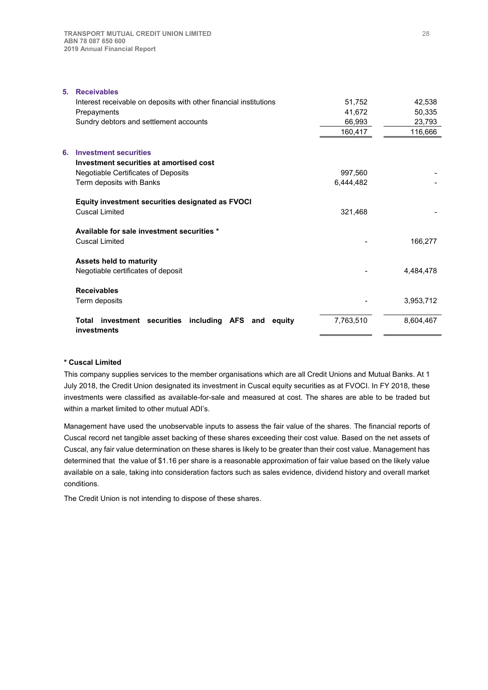| <b>Receivables</b><br>5.                                                  |           |           |
|---------------------------------------------------------------------------|-----------|-----------|
| Interest receivable on deposits with other financial institutions         | 51,752    | 42,538    |
| Prepayments                                                               | 41,672    | 50,335    |
| Sundry debtors and settlement accounts                                    | 66,993    | 23,793    |
|                                                                           | 160,417   | 116,666   |
| <b>Investment securities</b><br>6.                                        |           |           |
| Investment securities at amortised cost                                   |           |           |
| Negotiable Certificates of Deposits                                       | 997,560   |           |
| Term deposits with Banks                                                  | 6,444,482 |           |
| Equity investment securities designated as FVOCI                          |           |           |
| <b>Cuscal Limited</b>                                                     | 321,468   |           |
| Available for sale investment securities *                                |           |           |
| <b>Cuscal Limited</b>                                                     |           | 166,277   |
| <b>Assets held to maturity</b>                                            |           |           |
| Negotiable certificates of deposit                                        |           | 4,484,478 |
| <b>Receivables</b>                                                        |           |           |
| Term deposits                                                             |           | 3,953,712 |
| investment securities including AFS and<br>Total<br>equity<br>investments | 7,763,510 | 8,604,467 |

## **\* Cuscal Limited**

This company supplies services to the member organisations which are all Credit Unions and Mutual Banks. At 1 July 2018, the Credit Union designated its investment in Cuscal equity securities as at FVOCI. In FY 2018, these investments were classified as available-for-sale and measured at cost. The shares are able to be traded but within a market limited to other mutual ADI's.

Management have used the unobservable inputs to assess the fair value of the shares. The financial reports of Cuscal record net tangible asset backing of these shares exceeding their cost value. Based on the net assets of Cuscal, any fair value determination on these shares is likely to be greater than their cost value. Management has determined that the value of \$1.16 per share is a reasonable approximation of fair value based on the likely value available on a sale, taking into consideration factors such as sales evidence, dividend history and overall market conditions.

The Credit Union is not intending to dispose of these shares.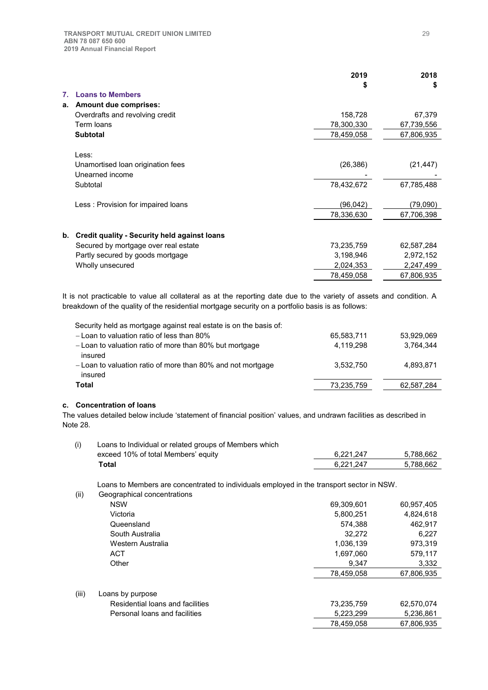|    |                                                     | 2019<br>\$ | 2018<br>\$ |
|----|-----------------------------------------------------|------------|------------|
| 7. | <b>Loans to Members</b>                             |            |            |
|    |                                                     |            |            |
| a. | <b>Amount due comprises:</b>                        |            |            |
|    | Overdrafts and revolving credit                     | 158,728    | 67,379     |
|    | Term loans                                          | 78,300,330 | 67,739,556 |
|    | <b>Subtotal</b>                                     | 78,459,058 | 67,806,935 |
|    | Less:                                               |            |            |
|    | Unamortised loan origination fees                   | (26, 386)  | (21, 447)  |
|    | Unearned income                                     |            |            |
|    |                                                     |            |            |
|    | Subtotal                                            | 78,432,672 | 67,785,488 |
|    | Less: Provision for impaired loans                  | (96, 042)  | (79,090)   |
|    |                                                     | 78,336,630 | 67,706,398 |
|    |                                                     |            |            |
| b. | <b>Credit quality - Security held against loans</b> |            |            |
|    | Secured by mortgage over real estate                | 73,235,759 | 62,587,284 |
|    | Partly secured by goods mortgage                    | 3,198,946  | 2,972,152  |
|    | Wholly unsecured                                    | 2,024,353  | 2,247,499  |
|    |                                                     | 78,459,058 | 67,806,935 |

It is not practicable to value all collateral as at the reporting date due to the variety of assets and condition. A breakdown of the quality of the residential mortgage security on a portfolio basis is as follows:

| Security held as mortgage against real estate is on the basis of:      |            |            |
|------------------------------------------------------------------------|------------|------------|
| - Loan to valuation ratio of less than 80%                             | 65,583,711 | 53,929,069 |
| - Loan to valuation ratio of more than 80% but mortgage<br>insured     | 4.119.298  | 3.764.344  |
| - Loan to valuation ratio of more than 80% and not mortgage<br>insured | 3.532.750  | 4.893.871  |
| Total                                                                  | 73,235,759 | 62,587,284 |

## **c. Concentration of loans**

The values detailed below include 'statement of financial position' values, and undrawn facilities as described in Note 28.

| Loans to Individual or related groups of Members which |           |           |
|--------------------------------------------------------|-----------|-----------|
| exceed 10% of total Members' equity                    | 6.221.247 | 5.788.662 |
| Total                                                  | 6.221.247 | 5.788.662 |

Loans to Members are concentrated to individuals employed in the transport sector in NSW.

| (ii)  | Geographical concentrations      |            |            |
|-------|----------------------------------|------------|------------|
|       | <b>NSW</b>                       | 69,309,601 | 60,957,405 |
|       | Victoria                         | 5,800,251  | 4,824,618  |
|       | Queensland                       | 574,388    | 462,917    |
|       | South Australia                  | 32,272     | 6,227      |
|       | Western Australia                | 1.036.139  | 973.319    |
|       | <b>ACT</b>                       | 1,697,060  | 579,117    |
|       | Other                            | 9,347      | 3,332      |
|       |                                  | 78,459,058 | 67,806,935 |
|       |                                  |            |            |
| (iii) | Loans by purpose                 |            |            |
|       | Residential loans and facilities | 73,235,759 | 62,570,074 |
|       | Personal loans and facilities    | 5,223,299  | 5,236,861  |
|       |                                  | 78.459.058 | 67.806.935 |
|       |                                  |            |            |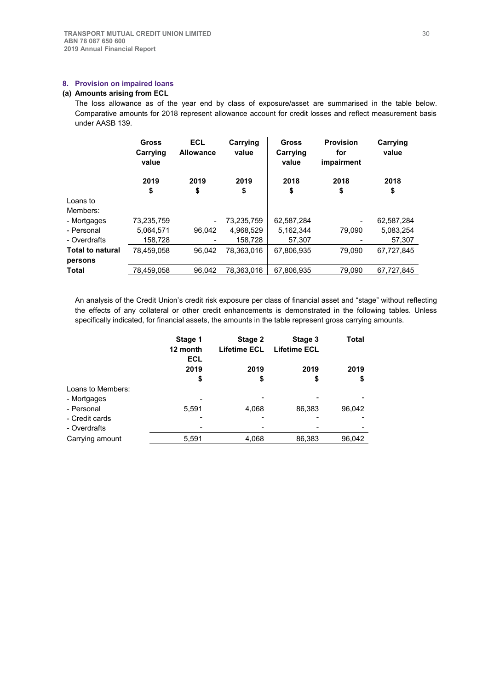## **8. Provision on impaired loans**

## **(a) Amounts arising from ECL**

The loss allowance as of the year end by class of exposure/asset are summarised in the table below. Comparative amounts for 2018 represent allowance account for credit losses and reflect measurement basis under AASB 139.

|                         | <b>Gross</b><br>Carrying<br>value | <b>ECL</b><br><b>Allowance</b> | Carrying<br>value | Gross<br>Carrying<br>value | <b>Provision</b><br>for<br>impairment | Carrying<br>value |
|-------------------------|-----------------------------------|--------------------------------|-------------------|----------------------------|---------------------------------------|-------------------|
|                         | 2019                              | 2019                           | 2019              | 2018                       | 2018                                  | 2018              |
|                         | \$                                | \$                             | \$                | \$                         | \$                                    | \$                |
| Loans to                |                                   |                                |                   |                            |                                       |                   |
| Members:                |                                   |                                |                   |                            |                                       |                   |
| - Mortgages             | 73,235,759                        | $\overline{\phantom{a}}$       | 73,235,759        | 62,587,284                 | $\overline{\phantom{0}}$              | 62,587,284        |
| - Personal              | 5,064,571                         | 96.042                         | 4,968,529         | 5,162,344                  | 79,090                                | 5,083,254         |
| - Overdrafts            | 158,728                           |                                | 158,728           | 57.307                     |                                       | 57.307            |
| <b>Total to natural</b> | 78.459.058                        | 96.042                         | 78.363.016        | 67,806,935                 | 79,090                                | 67.727.845        |
| persons                 |                                   |                                |                   |                            |                                       |                   |
| <b>Total</b>            | 78,459,058                        | 96.042                         | 78.363.016        | 67,806,935                 | 79.090                                | 67,727,845        |

An analysis of the Credit Union's credit risk exposure per class of financial asset and "stage" without reflecting the effects of any collateral or other credit enhancements is demonstrated in the following tables. Unless specifically indicated, for financial assets, the amounts in the table represent gross carrying amounts.

|                   | Stage 1<br>12 month<br><b>ECL</b> | Stage 2<br>Lifetime ECL | Stage 3<br><b>Lifetime ECL</b> | Total  |
|-------------------|-----------------------------------|-------------------------|--------------------------------|--------|
|                   | 2019                              | 2019                    | 2019                           | 2019   |
|                   | \$                                | \$                      | \$                             | \$     |
| Loans to Members: |                                   |                         |                                |        |
| - Mortgages       |                                   |                         |                                |        |
| - Personal        | 5.591                             | 4,068                   | 86,383                         | 96,042 |
| - Credit cards    |                                   | -                       |                                |        |
| - Overdrafts      |                                   |                         |                                |        |
| Carrying amount   | 5,591                             | 4,068                   | 86,383                         | 96,042 |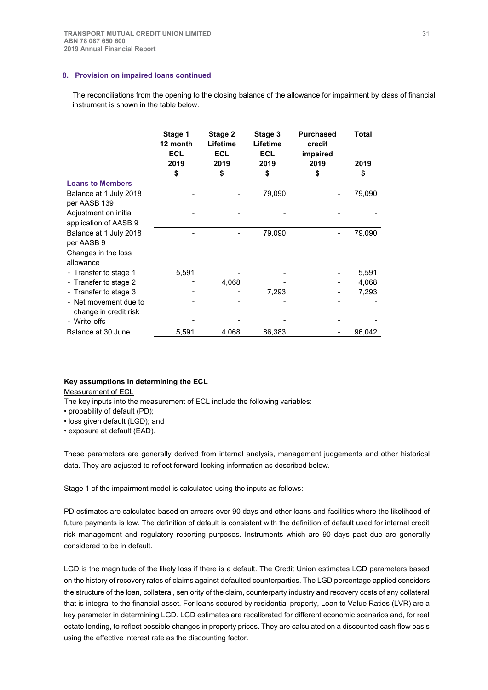## **8. Provision on impaired loans continued**

The reconciliations from the opening to the closing balance of the allowance for impairment by class of financial instrument is shown in the table below.

|                         | Stage 1<br>12 month<br><b>ECL</b><br>2019 | Stage 2<br>Lifetime<br><b>ECL</b><br>2019 | Stage 3<br>Lifetime<br><b>ECL</b><br>2019 | <b>Purchased</b><br>credit<br>impaired<br>2019 | Total<br>2019 |
|-------------------------|-------------------------------------------|-------------------------------------------|-------------------------------------------|------------------------------------------------|---------------|
|                         | \$                                        | \$                                        | \$                                        | \$                                             | \$            |
| <b>Loans to Members</b> |                                           |                                           |                                           |                                                |               |
| Balance at 1 July 2018  |                                           |                                           | 79,090                                    |                                                | 79,090        |
| per AASB 139            |                                           |                                           |                                           |                                                |               |
| Adjustment on initial   |                                           |                                           |                                           |                                                |               |
| application of AASB 9   |                                           |                                           |                                           |                                                |               |
| Balance at 1 July 2018  |                                           |                                           | 79,090                                    |                                                | 79,090        |
| per AASB 9              |                                           |                                           |                                           |                                                |               |
| Changes in the loss     |                                           |                                           |                                           |                                                |               |
| allowance               |                                           |                                           |                                           |                                                |               |
| - Transfer to stage 1   | 5,591                                     |                                           |                                           |                                                | 5,591         |
| - Transfer to stage 2   |                                           | 4,068                                     |                                           |                                                | 4,068         |
| - Transfer to stage 3   |                                           |                                           | 7,293                                     |                                                | 7,293         |
| - Net movement due to   |                                           |                                           |                                           |                                                |               |
| change in credit risk   |                                           |                                           |                                           |                                                |               |
| - Write-offs            |                                           |                                           |                                           |                                                |               |
| Balance at 30 June      | 5,591                                     | 4,068                                     | 86,383                                    |                                                | 96,042        |

#### **Key assumptions in determining the ECL**

Measurement of ECL

The key inputs into the measurement of ECL include the following variables:

• probability of default (PD);

• loss given default (LGD); and

• exposure at default (EAD).

These parameters are generally derived from internal analysis, management judgements and other historical data. They are adjusted to reflect forward-looking information as described below.

Stage 1 of the impairment model is calculated using the inputs as follows:

PD estimates are calculated based on arrears over 90 days and other loans and facilities where the likelihood of future payments is low. The definition of default is consistent with the definition of default used for internal credit risk management and regulatory reporting purposes. Instruments which are 90 days past due are generally considered to be in default.

LGD is the magnitude of the likely loss if there is a default. The Credit Union estimates LGD parameters based on the history of recovery rates of claims against defaulted counterparties. The LGD percentage applied considers the structure of the loan, collateral, seniority of the claim, counterparty industry and recovery costs of any collateral that is integral to the financial asset. For loans secured by residential property, Loan to Value Ratios (LVR) are a key parameter in determining LGD. LGD estimates are recalibrated for different economic scenarios and, for real estate lending, to reflect possible changes in property prices. They are calculated on a discounted cash flow basis using the effective interest rate as the discounting factor.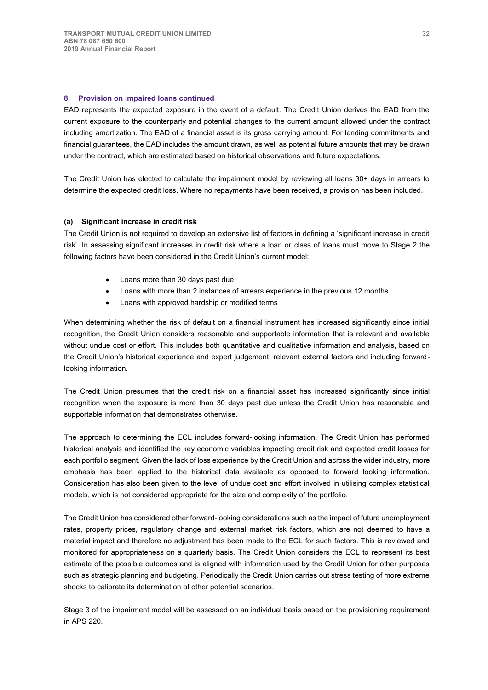## **8. Provision on impaired loans continued**

EAD represents the expected exposure in the event of a default. The Credit Union derives the EAD from the current exposure to the counterparty and potential changes to the current amount allowed under the contract including amortization. The EAD of a financial asset is its gross carrying amount. For lending commitments and financial guarantees, the EAD includes the amount drawn, as well as potential future amounts that may be drawn under the contract, which are estimated based on historical observations and future expectations.

The Credit Union has elected to calculate the impairment model by reviewing all loans 30+ days in arrears to determine the expected credit loss. Where no repayments have been received, a provision has been included.

## **(a) Significant increase in credit risk**

The Credit Union is not required to develop an extensive list of factors in defining a 'significant increase in credit risk'. In assessing significant increases in credit risk where a loan or class of loans must move to Stage 2 the following factors have been considered in the Credit Union's current model:

- Loans more than 30 days past due
- Loans with more than 2 instances of arrears experience in the previous 12 months
- Loans with approved hardship or modified terms

When determining whether the risk of default on a financial instrument has increased significantly since initial recognition, the Credit Union considers reasonable and supportable information that is relevant and available without undue cost or effort. This includes both quantitative and qualitative information and analysis, based on the Credit Union's historical experience and expert judgement, relevant external factors and including forwardlooking information.

The Credit Union presumes that the credit risk on a financial asset has increased significantly since initial recognition when the exposure is more than 30 days past due unless the Credit Union has reasonable and supportable information that demonstrates otherwise.

The approach to determining the ECL includes forward-looking information. The Credit Union has performed historical analysis and identified the key economic variables impacting credit risk and expected credit losses for each portfolio segment. Given the lack of loss experience by the Credit Union and across the wider industry, more emphasis has been applied to the historical data available as opposed to forward looking information. Consideration has also been given to the level of undue cost and effort involved in utilising complex statistical models, which is not considered appropriate for the size and complexity of the portfolio.

The Credit Union has considered other forward-looking considerations such as the impact of future unemployment rates, property prices, regulatory change and external market risk factors, which are not deemed to have a material impact and therefore no adjustment has been made to the ECL for such factors. This is reviewed and monitored for appropriateness on a quarterly basis. The Credit Union considers the ECL to represent its best estimate of the possible outcomes and is aligned with information used by the Credit Union for other purposes such as strategic planning and budgeting. Periodically the Credit Union carries out stress testing of more extreme shocks to calibrate its determination of other potential scenarios.

Stage 3 of the impairment model will be assessed on an individual basis based on the provisioning requirement in APS 220.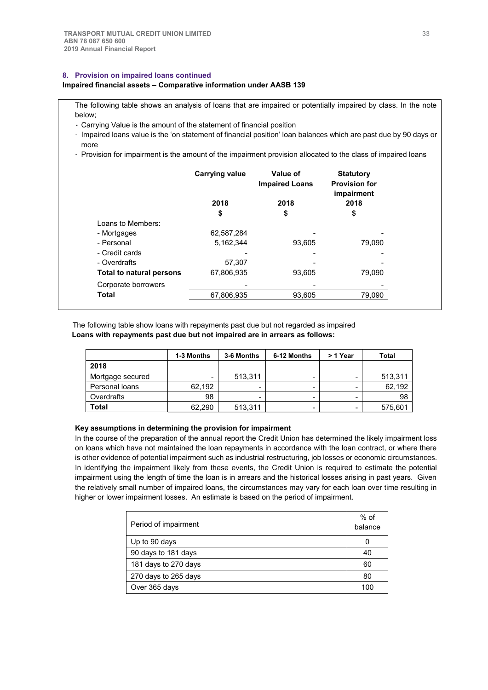## **8. Provision on impaired loans continued**

## **Impaired financial assets – Comparative information under AASB 139**

The following table shows an analysis of loans that are impaired or potentially impaired by class. In the note below;

- Carrying Value is the amount of the statement of financial position

- Impaired loans value is the 'on statement of financial position' loan balances which are past due by 90 days or more
- Provision for impairment is the amount of the impairment provision allocated to the class of impaired loans

|                          | <b>Carrying value</b> | Value of<br><b>Impaired Loans</b> | <b>Statutory</b><br><b>Provision for</b><br>impairment |
|--------------------------|-----------------------|-----------------------------------|--------------------------------------------------------|
|                          | 2018                  | 2018                              | 2018                                                   |
|                          | \$                    | \$                                | \$                                                     |
| Loans to Members:        |                       |                                   |                                                        |
| - Mortgages              | 62,587,284            |                                   |                                                        |
| - Personal               | 5,162,344             | 93.605                            | 79.090                                                 |
| - Credit cards           |                       |                                   |                                                        |
| - Overdrafts             | 57,307                |                                   |                                                        |
| Total to natural persons | 67,806,935            | 93.605                            | 79.090                                                 |
| Corporate borrowers      |                       |                                   |                                                        |
| <b>Total</b>             | 67,806,935            | 93,605                            | 79,090                                                 |

The following table show loans with repayments past due but not regarded as impaired **Loans with repayments past due but not impaired are in arrears as follows:**

|                  | 1-3 Months | 3-6 Months | 6-12 Months | > 1 Year | Total   |
|------------------|------------|------------|-------------|----------|---------|
| 2018             |            |            |             |          |         |
| Mortgage secured | -          | 513,311    | -           | -        | 513,311 |
| Personal loans   | 62,192     | -          | -           |          | 62,192  |
| Overdrafts       | 98         | -          | -           |          | 98      |
| Total            | 62.290     | 513,311    | -           |          | 575,601 |

### **Key assumptions in determining the provision for impairment**

In the course of the preparation of the annual report the Credit Union has determined the likely impairment loss on loans which have not maintained the loan repayments in accordance with the loan contract, or where there is other evidence of potential impairment such as industrial restructuring, job losses or economic circumstances. In identifying the impairment likely from these events, the Credit Union is required to estimate the potential impairment using the length of time the loan is in arrears and the historical losses arising in past years. Given the relatively small number of impaired loans, the circumstances may vary for each loan over time resulting in higher or lower impairment losses. An estimate is based on the period of impairment.

| Period of impairment | $%$ of<br>balance |
|----------------------|-------------------|
| Up to 90 days        |                   |
| 90 days to 181 days  | 40                |
| 181 days to 270 days | 60                |
| 270 days to 265 days | 80                |
| Over 365 days        | 100               |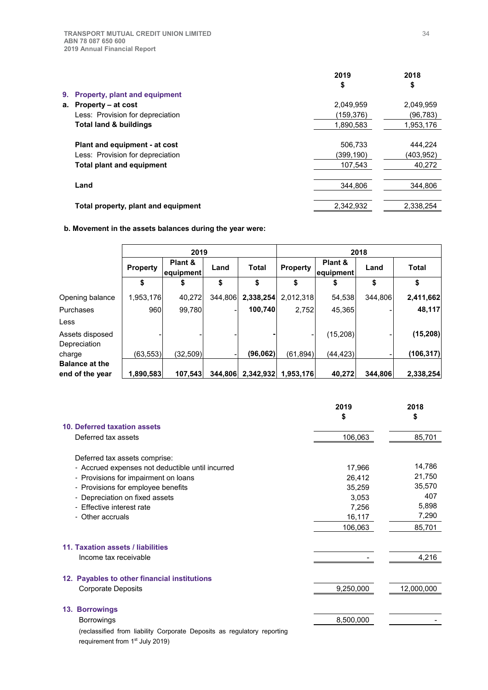|                                   |                                      | 2019      | 2018      |
|-----------------------------------|--------------------------------------|-----------|-----------|
|                                   |                                      | \$        | \$        |
| 9. .                              | <b>Property, plant and equipment</b> |           |           |
| Property - at cost<br>а.          |                                      | 2,049,959 | 2,049,959 |
|                                   | Less: Provision for depreciation     | (159,376) | (96, 783) |
| <b>Total land &amp; buildings</b> |                                      | 1,890,583 | 1,953,176 |
|                                   | Plant and equipment - at cost        | 506,733   | 444,224   |
|                                   | Less: Provision for depreciation     | (399.190) | (403,952) |
|                                   | <b>Total plant and equipment</b>     | 107,543   | 40,272    |
| Land                              |                                      | 344.806   | 344.806   |
|                                   | Total property, plant and equipment  | 2.342.932 | 2.338.254 |

## **b. Movement in the assets balances during the year were:**

|                       | 2019            |                      |         | 2018         |           |                                         |         |            |      |              |
|-----------------------|-----------------|----------------------|---------|--------------|-----------|-----------------------------------------|---------|------------|------|--------------|
|                       | <b>Property</b> | Plant &<br>equipment | Land    | <b>Total</b> |           | Plant &<br><b>Property</b><br>equipment |         |            | Land | <b>Total</b> |
|                       | \$              | \$                   | \$      | \$           |           | \$                                      | \$      | \$         |      |              |
| Opening balance       | 1,953,176       | 40,272               | 344,806 | 2,338,254    | 2,012,318 | 54,538                                  | 344.806 | 2,411,662  |      |              |
| Purchases             | 960             | 99,780               | -       | 100,740      | 2,752     | 45,365                                  |         | 48,117     |      |              |
| Less                  |                 |                      |         |              |           |                                         |         |            |      |              |
| Assets disposed       |                 |                      |         |              |           | (15, 208)                               |         | (15, 208)  |      |              |
| Depreciation          |                 |                      |         |              |           |                                         |         |            |      |              |
| charge                | (63, 553)       | (32, 509)            |         | (96,062)     | (61.894)  | (44,423)                                |         | (106, 317) |      |              |
| <b>Balance at the</b> |                 |                      |         |              |           |                                         |         |            |      |              |
| end of the year       | 1,890,583       | 107,543              | 344.806 | 2,342,932    | 1,953,176 | 40,272                                  | 344.806 | 2,338,254  |      |              |

|                                                                         | 2019<br>\$ | 2018<br>\$ |
|-------------------------------------------------------------------------|------------|------------|
| 10. Deferred taxation assets                                            |            |            |
| Deferred tax assets                                                     | 106,063    | 85,701     |
| Deferred tax assets comprise:                                           |            |            |
| - Accrued expenses not deductible until incurred                        | 17,966     | 14,786     |
| - Provisions for impairment on loans                                    | 26,412     | 21,750     |
| - Provisions for employee benefits                                      | 35,259     | 35,570     |
| - Depreciation on fixed assets                                          | 3,053      | 407        |
| - Effective interest rate                                               | 7,256      | 5,898      |
| - Other accruals                                                        | 16,117     | 7,290      |
|                                                                         | 106,063    | 85,701     |
| 11. Taxation assets / liabilities                                       |            |            |
| Income tax receivable                                                   |            | 4,216      |
| 12. Payables to other financial institutions                            |            |            |
| <b>Corporate Deposits</b>                                               | 9,250,000  | 12,000,000 |
| 13. Borrowings                                                          |            |            |
| <b>Borrowings</b>                                                       | 8,500,000  |            |
| (reclassified from liability Corporate Deposits as regulatory reporting |            |            |

requirement from 1<sup>st</sup> July 2019)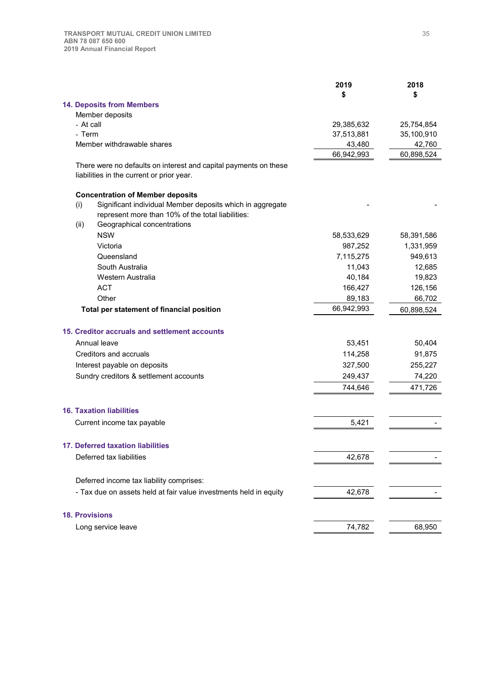| <b>14. Deposits from Members</b><br>Member deposits<br>- At call<br>29,385,632<br>25,754,854<br>- Term<br>35,100,910<br>37,513,881<br>Member withdrawable shares<br>43,480<br>42,760<br>66,942,993<br>60,898,524<br>There were no defaults on interest and capital payments on these<br>liabilities in the current or prior year.<br><b>Concentration of Member deposits</b><br>Significant individual Member deposits which in aggregate<br>(i)<br>represent more than 10% of the total liabilities:<br>Geographical concentrations<br>(ii)<br><b>NSW</b><br>58,533,629<br>58,391,586<br>Victoria<br>987,252<br>1,331,959<br>7,115,275<br>949,613<br>Queensland<br>South Australia<br>11,043<br>12,685<br>Western Australia<br>40,184<br>19,823<br><b>ACT</b><br>166,427<br>126,156<br>Other<br>89,183<br>66,702<br>66,942,993<br>Total per statement of financial position<br>60,898,524<br>15. Creditor accruals and settlement accounts<br>Annual leave<br>53,451<br>50,404<br>91,875<br>Creditors and accruals<br>114,258<br>255,227<br>Interest payable on deposits<br>327,500<br>249,437<br>74,220<br>Sundry creditors & settlement accounts<br>744,646<br>471,726<br><b>16. Taxation liabilities</b><br>Current income tax payable<br>5,421<br>Deferred tax liabilities<br>42,678<br>Deferred income tax liability comprises:<br>- Tax due on assets held at fair value investments held in equity<br>42,678<br><b>18. Provisions</b><br>74,782<br>68,950<br>Long service leave |                                   | 2019 | 2018 |
|-----------------------------------------------------------------------------------------------------------------------------------------------------------------------------------------------------------------------------------------------------------------------------------------------------------------------------------------------------------------------------------------------------------------------------------------------------------------------------------------------------------------------------------------------------------------------------------------------------------------------------------------------------------------------------------------------------------------------------------------------------------------------------------------------------------------------------------------------------------------------------------------------------------------------------------------------------------------------------------------------------------------------------------------------------------------------------------------------------------------------------------------------------------------------------------------------------------------------------------------------------------------------------------------------------------------------------------------------------------------------------------------------------------------------------------------------------------------------------------------|-----------------------------------|------|------|
|                                                                                                                                                                                                                                                                                                                                                                                                                                                                                                                                                                                                                                                                                                                                                                                                                                                                                                                                                                                                                                                                                                                                                                                                                                                                                                                                                                                                                                                                                         |                                   | \$   | \$   |
|                                                                                                                                                                                                                                                                                                                                                                                                                                                                                                                                                                                                                                                                                                                                                                                                                                                                                                                                                                                                                                                                                                                                                                                                                                                                                                                                                                                                                                                                                         |                                   |      |      |
|                                                                                                                                                                                                                                                                                                                                                                                                                                                                                                                                                                                                                                                                                                                                                                                                                                                                                                                                                                                                                                                                                                                                                                                                                                                                                                                                                                                                                                                                                         |                                   |      |      |
|                                                                                                                                                                                                                                                                                                                                                                                                                                                                                                                                                                                                                                                                                                                                                                                                                                                                                                                                                                                                                                                                                                                                                                                                                                                                                                                                                                                                                                                                                         |                                   |      |      |
|                                                                                                                                                                                                                                                                                                                                                                                                                                                                                                                                                                                                                                                                                                                                                                                                                                                                                                                                                                                                                                                                                                                                                                                                                                                                                                                                                                                                                                                                                         |                                   |      |      |
|                                                                                                                                                                                                                                                                                                                                                                                                                                                                                                                                                                                                                                                                                                                                                                                                                                                                                                                                                                                                                                                                                                                                                                                                                                                                                                                                                                                                                                                                                         |                                   |      |      |
|                                                                                                                                                                                                                                                                                                                                                                                                                                                                                                                                                                                                                                                                                                                                                                                                                                                                                                                                                                                                                                                                                                                                                                                                                                                                                                                                                                                                                                                                                         |                                   |      |      |
|                                                                                                                                                                                                                                                                                                                                                                                                                                                                                                                                                                                                                                                                                                                                                                                                                                                                                                                                                                                                                                                                                                                                                                                                                                                                                                                                                                                                                                                                                         |                                   |      |      |
|                                                                                                                                                                                                                                                                                                                                                                                                                                                                                                                                                                                                                                                                                                                                                                                                                                                                                                                                                                                                                                                                                                                                                                                                                                                                                                                                                                                                                                                                                         |                                   |      |      |
|                                                                                                                                                                                                                                                                                                                                                                                                                                                                                                                                                                                                                                                                                                                                                                                                                                                                                                                                                                                                                                                                                                                                                                                                                                                                                                                                                                                                                                                                                         |                                   |      |      |
|                                                                                                                                                                                                                                                                                                                                                                                                                                                                                                                                                                                                                                                                                                                                                                                                                                                                                                                                                                                                                                                                                                                                                                                                                                                                                                                                                                                                                                                                                         |                                   |      |      |
|                                                                                                                                                                                                                                                                                                                                                                                                                                                                                                                                                                                                                                                                                                                                                                                                                                                                                                                                                                                                                                                                                                                                                                                                                                                                                                                                                                                                                                                                                         |                                   |      |      |
|                                                                                                                                                                                                                                                                                                                                                                                                                                                                                                                                                                                                                                                                                                                                                                                                                                                                                                                                                                                                                                                                                                                                                                                                                                                                                                                                                                                                                                                                                         |                                   |      |      |
|                                                                                                                                                                                                                                                                                                                                                                                                                                                                                                                                                                                                                                                                                                                                                                                                                                                                                                                                                                                                                                                                                                                                                                                                                                                                                                                                                                                                                                                                                         |                                   |      |      |
|                                                                                                                                                                                                                                                                                                                                                                                                                                                                                                                                                                                                                                                                                                                                                                                                                                                                                                                                                                                                                                                                                                                                                                                                                                                                                                                                                                                                                                                                                         |                                   |      |      |
|                                                                                                                                                                                                                                                                                                                                                                                                                                                                                                                                                                                                                                                                                                                                                                                                                                                                                                                                                                                                                                                                                                                                                                                                                                                                                                                                                                                                                                                                                         |                                   |      |      |
|                                                                                                                                                                                                                                                                                                                                                                                                                                                                                                                                                                                                                                                                                                                                                                                                                                                                                                                                                                                                                                                                                                                                                                                                                                                                                                                                                                                                                                                                                         |                                   |      |      |
|                                                                                                                                                                                                                                                                                                                                                                                                                                                                                                                                                                                                                                                                                                                                                                                                                                                                                                                                                                                                                                                                                                                                                                                                                                                                                                                                                                                                                                                                                         |                                   |      |      |
|                                                                                                                                                                                                                                                                                                                                                                                                                                                                                                                                                                                                                                                                                                                                                                                                                                                                                                                                                                                                                                                                                                                                                                                                                                                                                                                                                                                                                                                                                         |                                   |      |      |
|                                                                                                                                                                                                                                                                                                                                                                                                                                                                                                                                                                                                                                                                                                                                                                                                                                                                                                                                                                                                                                                                                                                                                                                                                                                                                                                                                                                                                                                                                         |                                   |      |      |
|                                                                                                                                                                                                                                                                                                                                                                                                                                                                                                                                                                                                                                                                                                                                                                                                                                                                                                                                                                                                                                                                                                                                                                                                                                                                                                                                                                                                                                                                                         |                                   |      |      |
|                                                                                                                                                                                                                                                                                                                                                                                                                                                                                                                                                                                                                                                                                                                                                                                                                                                                                                                                                                                                                                                                                                                                                                                                                                                                                                                                                                                                                                                                                         |                                   |      |      |
|                                                                                                                                                                                                                                                                                                                                                                                                                                                                                                                                                                                                                                                                                                                                                                                                                                                                                                                                                                                                                                                                                                                                                                                                                                                                                                                                                                                                                                                                                         |                                   |      |      |
|                                                                                                                                                                                                                                                                                                                                                                                                                                                                                                                                                                                                                                                                                                                                                                                                                                                                                                                                                                                                                                                                                                                                                                                                                                                                                                                                                                                                                                                                                         |                                   |      |      |
|                                                                                                                                                                                                                                                                                                                                                                                                                                                                                                                                                                                                                                                                                                                                                                                                                                                                                                                                                                                                                                                                                                                                                                                                                                                                                                                                                                                                                                                                                         |                                   |      |      |
|                                                                                                                                                                                                                                                                                                                                                                                                                                                                                                                                                                                                                                                                                                                                                                                                                                                                                                                                                                                                                                                                                                                                                                                                                                                                                                                                                                                                                                                                                         |                                   |      |      |
|                                                                                                                                                                                                                                                                                                                                                                                                                                                                                                                                                                                                                                                                                                                                                                                                                                                                                                                                                                                                                                                                                                                                                                                                                                                                                                                                                                                                                                                                                         |                                   |      |      |
|                                                                                                                                                                                                                                                                                                                                                                                                                                                                                                                                                                                                                                                                                                                                                                                                                                                                                                                                                                                                                                                                                                                                                                                                                                                                                                                                                                                                                                                                                         |                                   |      |      |
|                                                                                                                                                                                                                                                                                                                                                                                                                                                                                                                                                                                                                                                                                                                                                                                                                                                                                                                                                                                                                                                                                                                                                                                                                                                                                                                                                                                                                                                                                         |                                   |      |      |
|                                                                                                                                                                                                                                                                                                                                                                                                                                                                                                                                                                                                                                                                                                                                                                                                                                                                                                                                                                                                                                                                                                                                                                                                                                                                                                                                                                                                                                                                                         |                                   |      |      |
|                                                                                                                                                                                                                                                                                                                                                                                                                                                                                                                                                                                                                                                                                                                                                                                                                                                                                                                                                                                                                                                                                                                                                                                                                                                                                                                                                                                                                                                                                         |                                   |      |      |
|                                                                                                                                                                                                                                                                                                                                                                                                                                                                                                                                                                                                                                                                                                                                                                                                                                                                                                                                                                                                                                                                                                                                                                                                                                                                                                                                                                                                                                                                                         | 17. Deferred taxation liabilities |      |      |
|                                                                                                                                                                                                                                                                                                                                                                                                                                                                                                                                                                                                                                                                                                                                                                                                                                                                                                                                                                                                                                                                                                                                                                                                                                                                                                                                                                                                                                                                                         |                                   |      |      |
|                                                                                                                                                                                                                                                                                                                                                                                                                                                                                                                                                                                                                                                                                                                                                                                                                                                                                                                                                                                                                                                                                                                                                                                                                                                                                                                                                                                                                                                                                         |                                   |      |      |
|                                                                                                                                                                                                                                                                                                                                                                                                                                                                                                                                                                                                                                                                                                                                                                                                                                                                                                                                                                                                                                                                                                                                                                                                                                                                                                                                                                                                                                                                                         |                                   |      |      |
|                                                                                                                                                                                                                                                                                                                                                                                                                                                                                                                                                                                                                                                                                                                                                                                                                                                                                                                                                                                                                                                                                                                                                                                                                                                                                                                                                                                                                                                                                         |                                   |      |      |
|                                                                                                                                                                                                                                                                                                                                                                                                                                                                                                                                                                                                                                                                                                                                                                                                                                                                                                                                                                                                                                                                                                                                                                                                                                                                                                                                                                                                                                                                                         |                                   |      |      |
|                                                                                                                                                                                                                                                                                                                                                                                                                                                                                                                                                                                                                                                                                                                                                                                                                                                                                                                                                                                                                                                                                                                                                                                                                                                                                                                                                                                                                                                                                         |                                   |      |      |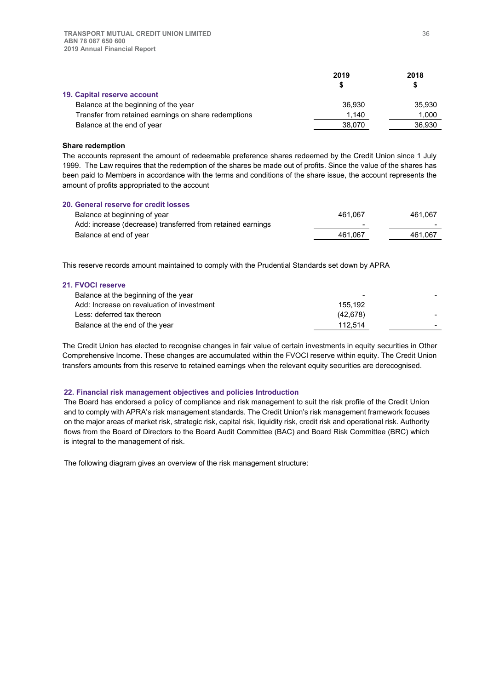|                                                      | 2019   | 2018   |
|------------------------------------------------------|--------|--------|
|                                                      |        | S      |
| 19. Capital reserve account                          |        |        |
| Balance at the beginning of the year                 | 36.930 | 35.930 |
| Transfer from retained earnings on share redemptions | 1.140  | 1.000  |
| Balance at the end of year                           | 38,070 | 36.930 |

#### **Share redemption**

The accounts represent the amount of redeemable preference shares redeemed by the Credit Union since 1 July 1999. The Law requires that the redemption of the shares be made out of profits. Since the value of the shares has been paid to Members in accordance with the terms and conditions of the share issue, the account represents the amount of profits appropriated to the account

| 20. General reserve for credit losses                       |                          |         |
|-------------------------------------------------------------|--------------------------|---------|
| Balance at beginning of year                                | 461.067                  | 461.067 |
| Add: increase (decrease) transferred from retained earnings | $\overline{\phantom{0}}$ |         |
| Balance at end of year                                      | 461.067                  | 461.067 |
|                                                             |                          |         |

This reserve records amount maintained to comply with the Prudential Standards set down by APRA

#### **21. FVOCI reserve**

| Balance at the beginning of the year       |          |  |
|--------------------------------------------|----------|--|
| Add: Increase on revaluation of investment | 155.192  |  |
| Less: deferred tax thereon                 | (42.678) |  |
| Balance at the end of the year             | 112.514  |  |
|                                            |          |  |

The Credit Union has elected to recognise changes in fair value of certain investments in equity securities in Other Comprehensive Income. These changes are accumulated within the FVOCI reserve within equity. The Credit Union transfers amounts from this reserve to retained earnings when the relevant equity securities are derecognised.

### **22. Financial risk management objectives and policies Introduction**

The Board has endorsed a policy of compliance and risk management to suit the risk profile of the Credit Union and to comply with APRA's risk management standards. The Credit Union's risk management framework focuses on the major areas of market risk, strategic risk, capital risk, liquidity risk, credit risk and operational risk. Authority flows from the Board of Directors to the Board Audit Committee (BAC) and Board Risk Committee (BRC) which is integral to the management of risk.

The following diagram gives an overview of the risk management structure: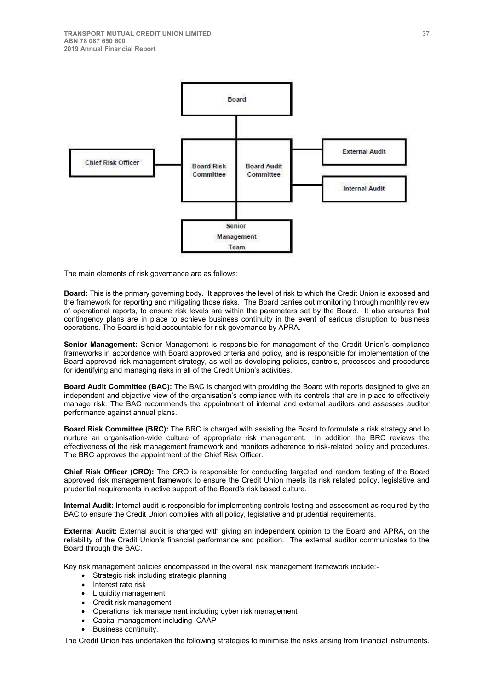

The main elements of risk governance are as follows:

**Board:** This is the primary governing body. It approves the level of risk to which the Credit Union is exposed and the framework for reporting and mitigating those risks. The Board carries out monitoring through monthly review of operational reports, to ensure risk levels are within the parameters set by the Board. It also ensures that contingency plans are in place to achieve business continuity in the event of serious disruption to business operations. The Board is held accountable for risk governance by APRA.

**Senior Management:** Senior Management is responsible for management of the Credit Union's compliance frameworks in accordance with Board approved criteria and policy, and is responsible for implementation of the Board approved risk management strategy, as well as developing policies, controls, processes and procedures for identifying and managing risks in all of the Credit Union's activities.

**Board Audit Committee (BAC):** The BAC is charged with providing the Board with reports designed to give an independent and objective view of the organisation's compliance with its controls that are in place to effectively manage risk. The BAC recommends the appointment of internal and external auditors and assesses auditor performance against annual plans.

**Board Risk Committee (BRC):** The BRC is charged with assisting the Board to formulate a risk strategy and to nurture an organisation-wide culture of appropriate risk management. In addition the BRC reviews the effectiveness of the risk management framework and monitors adherence to risk-related policy and procedures. The BRC approves the appointment of the Chief Risk Officer.

**Chief Risk Officer (CRO):** The CRO is responsible for conducting targeted and random testing of the Board approved risk management framework to ensure the Credit Union meets its risk related policy, legislative and prudential requirements in active support of the Board's risk based culture.

**Internal Audit:** Internal audit is responsible for implementing controls testing and assessment as required by the BAC to ensure the Credit Union complies with all policy, legislative and prudential requirements.

**External Audit:** External audit is charged with giving an independent opinion to the Board and APRA, on the reliability of the Credit Union's financial performance and position. The external auditor communicates to the Board through the BAC.

Key risk management policies encompassed in the overall risk management framework include:-

- Strategic risk including strategic planning
- Interest rate risk
- Liquidity management
- Credit risk management
- Operations risk management including cyber risk management
- Capital management including ICAAP
- Business continuity.

The Credit Union has undertaken the following strategies to minimise the risks arising from financial instruments.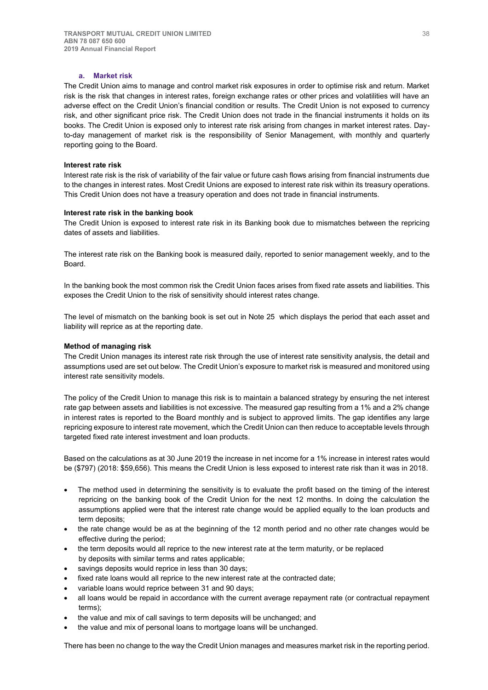## **a. Market risk**

The Credit Union aims to manage and control market risk exposures in order to optimise risk and return. Market risk is the risk that changes in interest rates, foreign exchange rates or other prices and volatilities will have an adverse effect on the Credit Union's financial condition or results. The Credit Union is not exposed to currency risk, and other significant price risk. The Credit Union does not trade in the financial instruments it holds on its books. The Credit Union is exposed only to interest rate risk arising from changes in market interest rates. Dayto-day management of market risk is the responsibility of Senior Management, with monthly and quarterly reporting going to the Board.

#### **Interest rate risk**

Interest rate risk is the risk of variability of the fair value or future cash flows arising from financial instruments due to the changes in interest rates. Most Credit Unions are exposed to interest rate risk within its treasury operations. This Credit Union does not have a treasury operation and does not trade in financial instruments.

#### **Interest rate risk in the banking book**

The Credit Union is exposed to interest rate risk in its Banking book due to mismatches between the repricing dates of assets and liabilities.

The interest rate risk on the Banking book is measured daily, reported to senior management weekly, and to the Board.

In the banking book the most common risk the Credit Union faces arises from fixed rate assets and liabilities. This exposes the Credit Union to the risk of sensitivity should interest rates change.

The level of mismatch on the banking book is set out in Note 25 which displays the period that each asset and liability will reprice as at the reporting date.

#### **Method of managing risk**

The Credit Union manages its interest rate risk through the use of interest rate sensitivity analysis, the detail and assumptions used are set out below. The Credit Union's exposure to market risk is measured and monitored using interest rate sensitivity models.

The policy of the Credit Union to manage this risk is to maintain a balanced strategy by ensuring the net interest rate gap between assets and liabilities is not excessive. The measured gap resulting from a 1% and a 2% change in interest rates is reported to the Board monthly and is subject to approved limits. The gap identifies any large repricing exposure to interest rate movement, which the Credit Union can then reduce to acceptable levels through targeted fixed rate interest investment and loan products.

Based on the calculations as at 30 June 2019 the increase in net income for a 1% increase in interest rates would be (\$797) (2018: \$59,656). This means the Credit Union is less exposed to interest rate risk than it was in 2018.

- The method used in determining the sensitivity is to evaluate the profit based on the timing of the interest repricing on the banking book of the Credit Union for the next 12 months. In doing the calculation the assumptions applied were that the interest rate change would be applied equally to the loan products and term deposits;
- the rate change would be as at the beginning of the 12 month period and no other rate changes would be effective during the period;
- the term deposits would all reprice to the new interest rate at the term maturity, or be replaced by deposits with similar terms and rates applicable;
- savings deposits would reprice in less than 30 days;
- fixed rate loans would all reprice to the new interest rate at the contracted date;
- variable loans would reprice between 31 and 90 days:
- all loans would be repaid in accordance with the current average repayment rate (or contractual repayment terms);
- the value and mix of call savings to term deposits will be unchanged; and
- the value and mix of personal loans to mortgage loans will be unchanged.

There has been no change to the way the Credit Union manages and measures market risk in the reporting period.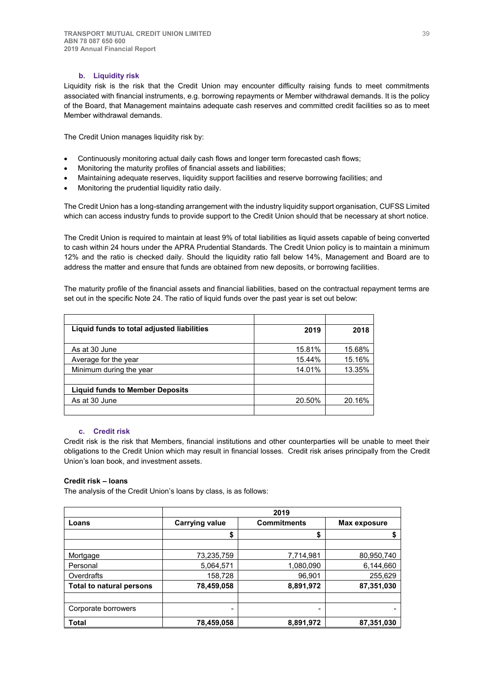## **b. Liquidity risk**

Liquidity risk is the risk that the Credit Union may encounter difficulty raising funds to meet commitments associated with financial instruments, e.g. borrowing repayments or Member withdrawal demands. It is the policy of the Board, that Management maintains adequate cash reserves and committed credit facilities so as to meet Member withdrawal demands.

The Credit Union manages liquidity risk by:

- Continuously monitoring actual daily cash flows and longer term forecasted cash flows;
- Monitoring the maturity profiles of financial assets and liabilities;
- x Maintaining adequate reserves, liquidity support facilities and reserve borrowing facilities; and
- Monitoring the prudential liquidity ratio daily.

The Credit Union has a long-standing arrangement with the industry liquidity support organisation, CUFSS Limited which can access industry funds to provide support to the Credit Union should that be necessary at short notice.

The Credit Union is required to maintain at least 9% of total liabilities as liquid assets capable of being converted to cash within 24 hours under the APRA Prudential Standards. The Credit Union policy is to maintain a minimum 12% and the ratio is checked daily. Should the liquidity ratio fall below 14%, Management and Board are to address the matter and ensure that funds are obtained from new deposits, or borrowing facilities.

The maturity profile of the financial assets and financial liabilities, based on the contractual repayment terms are set out in the specific Note 24. The ratio of liquid funds over the past year is set out below:

| Liquid funds to total adjusted liabilities | 2019   | 2018   |
|--------------------------------------------|--------|--------|
|                                            |        |        |
| As at 30 June                              | 15.81% | 15.68% |
| Average for the year                       | 15.44% | 15.16% |
| Minimum during the year                    | 14.01% | 13.35% |
|                                            |        |        |
| <b>Liquid funds to Member Deposits</b>     |        |        |
| As at 30 June                              | 20.50% | 20.16% |
|                                            |        |        |

## **c. Credit risk**

Credit risk is the risk that Members, financial institutions and other counterparties will be unable to meet their obligations to the Credit Union which may result in financial losses. Credit risk arises principally from the Credit Union's loan book, and investment assets.

## **Credit risk – loans**

The analysis of the Credit Union's loans by class, is as follows:

|                          |                       | 2019                     |            |  |  |  |  |
|--------------------------|-----------------------|--------------------------|------------|--|--|--|--|
| Loans                    | <b>Carrying value</b> | <b>Commitments</b>       |            |  |  |  |  |
|                          | S                     | \$                       |            |  |  |  |  |
|                          |                       |                          |            |  |  |  |  |
| Mortgage                 | 73,235,759            | 7,714,981                | 80,950,740 |  |  |  |  |
| Personal                 | 5,064,571             | 1,080,090                | 6,144,660  |  |  |  |  |
| Overdrafts               | 158,728               | 96,901                   | 255,629    |  |  |  |  |
| Total to natural persons | 78,459,058            | 8,891,972                | 87,351,030 |  |  |  |  |
|                          |                       |                          |            |  |  |  |  |
| Corporate borrowers      |                       | $\overline{\phantom{0}}$ |            |  |  |  |  |
| <b>Total</b>             | 78,459,058            | 8,891,972                | 87,351,030 |  |  |  |  |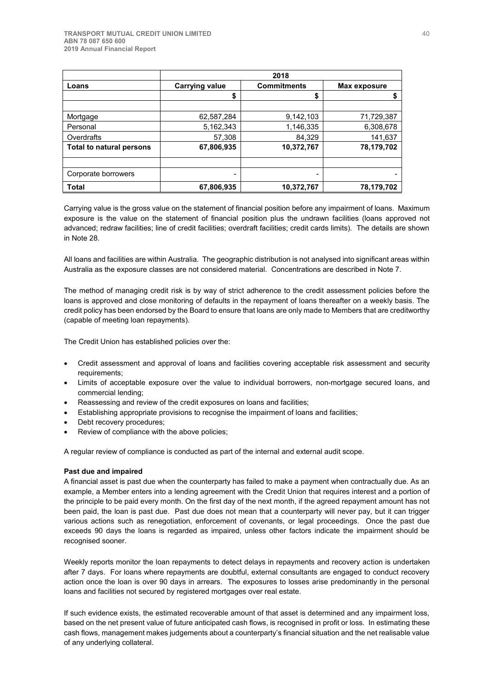|                                 | 2018                  |                    |              |  |  |  |
|---------------------------------|-----------------------|--------------------|--------------|--|--|--|
| Loans                           | <b>Carrying value</b> | <b>Commitments</b> | Max exposure |  |  |  |
|                                 | \$                    | \$                 |              |  |  |  |
|                                 |                       |                    |              |  |  |  |
| Mortgage                        | 62,587,284            | 9,142,103          | 71,729,387   |  |  |  |
| Personal                        | 5,162,343             | 1,146,335          | 6,308,678    |  |  |  |
| Overdrafts                      | 57,308                | 84,329             | 141,637      |  |  |  |
| <b>Total to natural persons</b> | 67,806,935            | 10,372,767         | 78,179,702   |  |  |  |
|                                 |                       |                    |              |  |  |  |
| Corporate borrowers             | -                     | -                  |              |  |  |  |
| Total                           | 67,806,935            | 10,372,767         | 78,179,702   |  |  |  |

Carrying value is the gross value on the statement of financial position before any impairment of loans.Maximum exposure is the value on the statement of financial position plus the undrawn facilities (loans approved not advanced; redraw facilities; line of credit facilities; overdraft facilities; credit cards limits). The details are shown in Note 28.

All loans and facilities are within Australia. The geographic distribution is not analysed into significant areas within Australia as the exposure classes are not considered material. Concentrations are described in Note 7.

The method of managing credit risk is by way of strict adherence to the credit assessment policies before the loans is approved and close monitoring of defaults in the repayment of loans thereafter on a weekly basis. The credit policy has been endorsed by the Board to ensure that loans are only made to Members that are creditworthy (capable of meeting loan repayments).

The Credit Union has established policies over the:

- Credit assessment and approval of loans and facilities covering acceptable risk assessment and security requirements;
- Limits of acceptable exposure over the value to individual borrowers, non-mortgage secured loans, and commercial lending;
- Reassessing and review of the credit exposures on loans and facilities:
- Establishing appropriate provisions to recognise the impairment of loans and facilities;
- Debt recovery procedures;
- Review of compliance with the above policies;

A regular review of compliance is conducted as part of the internal and external audit scope.

### **Past due and impaired**

A financial asset is past due when the counterparty has failed to make a payment when contractually due. As an example, a Member enters into a lending agreement with the Credit Union that requires interest and a portion of the principle to be paid every month. On the first day of the next month, if the agreed repayment amount has not been paid, the loan is past due. Past due does not mean that a counterparty will never pay, but it can trigger various actions such as renegotiation, enforcement of covenants, or legal proceedings. Once the past due exceeds 90 days the loans is regarded as impaired, unless other factors indicate the impairment should be recognised sooner.

Weekly reports monitor the loan repayments to detect delays in repayments and recovery action is undertaken after 7 days. For loans where repayments are doubtful, external consultants are engaged to conduct recovery action once the loan is over 90 days in arrears. The exposures to losses arise predominantly in the personal loans and facilities not secured by registered mortgages over real estate.

If such evidence exists, the estimated recoverable amount of that asset is determined and any impairment loss, based on the net present value of future anticipated cash flows, is recognised in profit or loss. In estimating these cash flows, management makes judgements about a counterparty's financial situation and the net realisable value of any underlying collateral.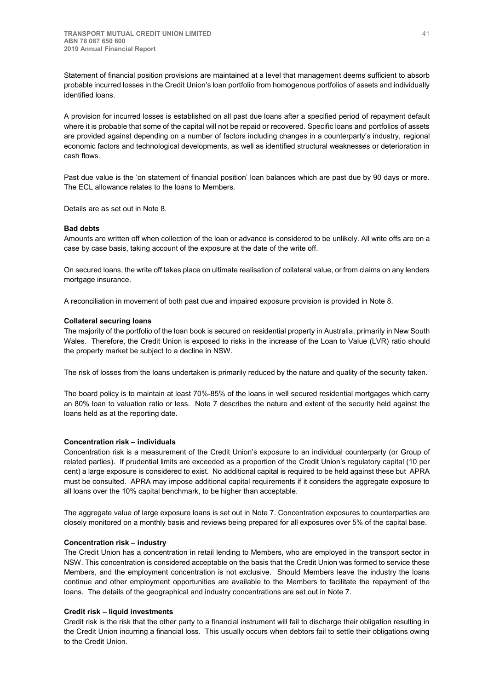Statement of financial position provisions are maintained at a level that management deems sufficient to absorb probable incurred losses in the Credit Union's loan portfolio from homogenous portfolios of assets and individually identified loans.

A provision for incurred losses is established on all past due loans after a specified period of repayment default where it is probable that some of the capital will not be repaid or recovered. Specific loans and portfolios of assets are provided against depending on a number of factors including changes in a counterparty's industry, regional economic factors and technological developments, as well as identified structural weaknesses or deterioration in cash flows.

Past due value is the 'on statement of financial position' loan balances which are past due by 90 days or more. The ECL allowance relates to the loans to Members.

Details are as set out in Note 8.

## **Bad debts**

Amounts are written off when collection of the loan or advance is considered to be unlikely. All write offs are on a case by case basis, taking account of the exposure at the date of the write off.

On secured loans, the write off takes place on ultimate realisation of collateral value, or from claims on any lenders mortgage insurance.

A reconciliation in movement of both past due and impaired exposure provision is provided in Note 8.

#### **Collateral securing loans**

The majority of the portfolio of the loan book is secured on residential property in Australia, primarily in New South Wales. Therefore, the Credit Union is exposed to risks in the increase of the Loan to Value (LVR) ratio should the property market be subject to a decline in NSW.

The risk of losses from the loans undertaken is primarily reduced by the nature and quality of the security taken.

The board policy is to maintain at least 70%-85% of the loans in well secured residential mortgages which carry an 80% loan to valuation ratio or less. Note 7 describes the nature and extent of the security held against the loans held as at the reporting date.

### **Concentration risk – individuals**

Concentration risk is a measurement of the Credit Union's exposure to an individual counterparty (or Group of related parties). If prudential limits are exceeded as a proportion of the Credit Union's regulatory capital (10 per cent) a large exposure is considered to exist. No additional capital is required to be held against these but APRA must be consulted. APRA may impose additional capital requirements if it considers the aggregate exposure to all loans over the 10% capital benchmark, to be higher than acceptable.

The aggregate value of large exposure loans is set out in Note 7. Concentration exposures to counterparties are closely monitored on a monthly basis and reviews being prepared for all exposures over 5% of the capital base.

## **Concentration risk – industry**

The Credit Union has a concentration in retail lending to Members, who are employed in the transport sector in NSW. This concentration is considered acceptable on the basis that the Credit Union was formed to service these Members, and the employment concentration is not exclusive. Should Members leave the industry the loans continue and other employment opportunities are available to the Members to facilitate the repayment of the loans. The details of the geographical and industry concentrations are set out in Note 7.

### **Credit risk – liquid investments**

Credit risk is the risk that the other party to a financial instrument will fail to discharge their obligation resulting in the Credit Union incurring a financial loss. This usually occurs when debtors fail to settle their obligations owing to the Credit Union.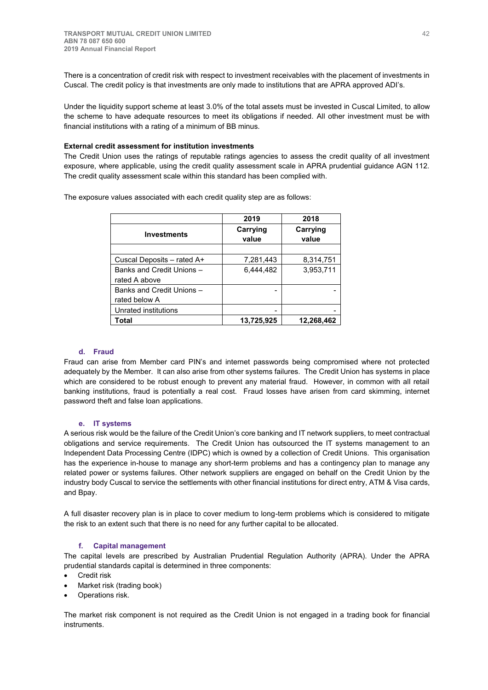There is a concentration of credit risk with respect to investment receivables with the placement of investments in Cuscal. The credit policy is that investments are only made to institutions that are APRA approved ADI's.

Under the liquidity support scheme at least 3.0% of the total assets must be invested in Cuscal Limited, to allow the scheme to have adequate resources to meet its obligations if needed. All other investment must be with financial institutions with a rating of a minimum of BB minus.

#### **External credit assessment for institution investments**

The Credit Union uses the ratings of reputable ratings agencies to assess the credit quality of all investment exposure, where applicable, using the credit quality assessment scale in APRA prudential guidance AGN 112. The credit quality assessment scale within this standard has been complied with.

The exposure values associated with each credit quality step are as follows:

|                            | 2019              | 2018              |
|----------------------------|-------------------|-------------------|
| <b>Investments</b>         | Carrying<br>value | Carrying<br>value |
|                            |                   |                   |
| Cuscal Deposits – rated A+ | 7,281,443         | 8,314,751         |
| Banks and Credit Unions -  | 6,444,482         | 3,953,711         |
| rated A above              |                   |                   |
| Banks and Credit Unions -  |                   |                   |
| rated below A              |                   |                   |
| Unrated institutions       |                   |                   |
| Total                      | 13,725,925        | 12,268,462        |

### **d. Fraud**

Fraud can arise from Member card PIN's and internet passwords being compromised where not protected adequately by the Member. It can also arise from other systems failures. The Credit Union has systems in place which are considered to be robust enough to prevent any material fraud. However, in common with all retail banking institutions, fraud is potentially a real cost. Fraud losses have arisen from card skimming, internet password theft and false loan applications.

### **e. IT systems**

A serious risk would be the failure of the Credit Union's core banking and IT network suppliers, to meet contractual obligations and service requirements. The Credit Union has outsourced the IT systems management to an Independent Data Processing Centre (IDPC) which is owned by a collection of Credit Unions. This organisation has the experience in-house to manage any short-term problems and has a contingency plan to manage any related power or systems failures. Other network suppliers are engaged on behalf on the Credit Union by the industry body Cuscal to service the settlements with other financial institutions for direct entry, ATM & Visa cards, and Bpay.

A full disaster recovery plan is in place to cover medium to long-term problems which is considered to mitigate the risk to an extent such that there is no need for any further capital to be allocated.

## **f. Capital management**

The capital levels are prescribed by Australian Prudential Regulation Authority (APRA). Under the APRA prudential standards capital is determined in three components:

- Credit risk
- Market risk (trading book)
- Operations risk.

The market risk component is not required as the Credit Union is not engaged in a trading book for financial **instruments**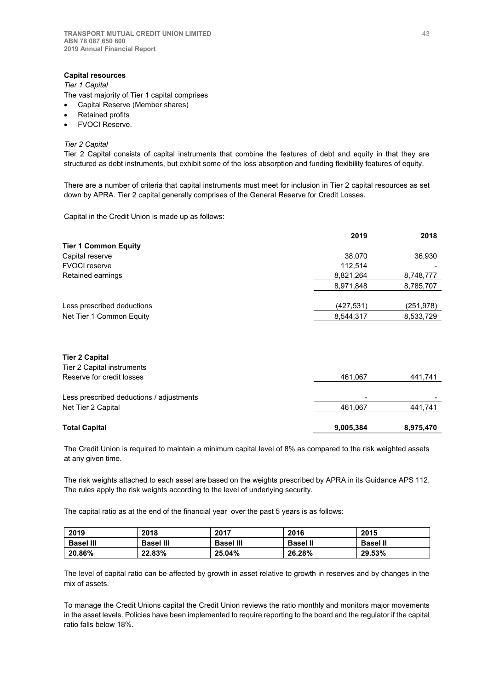## **Capital resources**

*Tier 1 Capital*

The vast majority of Tier 1 capital comprises

- Capital Reserve (Member shares)
- Retained profits
- FVOCI Reserve.

#### *Tier 2 Capital*

Tier 2 Capital consists of capital instruments that combine the features of debt and equity in that they are structured as debt instruments, but exhibit some of the loss absorption and funding flexibility features of equity.

There are a number of criteria that capital instruments must meet for inclusion in Tier 2 capital resources as set down by APRA. Tier 2 capital generally comprises of the General Reserve for Credit Losses.

Capital in the Credit Union is made up as follows:

|                             | 2019       | 2018       |
|-----------------------------|------------|------------|
| <b>Tier 1 Common Equity</b> |            |            |
| Capital reserve             | 38,070     | 36,930     |
| <b>FVOCI</b> reserve        | 112.514    |            |
| Retained earnings           | 8,821,264  | 8,748,777  |
|                             | 8,971,848  | 8,785,707  |
| Less prescribed deductions  | (427, 531) | (251, 978) |
| Net Tier 1 Common Equity    | 8,544,317  | 8,533,729  |
|                             |            |            |

## **Tier 2 Capital**

| <b>Total Capital</b>                     | 9,005,384 | 8,975,470 |
|------------------------------------------|-----------|-----------|
| Net Tier 2 Capital                       | 461.067   | 441,741   |
| Less prescribed deductions / adjustments | -         |           |
| Reserve for credit losses                | 461.067   | 441,741   |
| Tier 2 Capital instruments               |           |           |

The Credit Union is required to maintain a minimum capital level of 8% as compared to the risk weighted assets at any given time.

The risk weights attached to each asset are based on the weights prescribed by APRA in its Guidance APS 112. The rules apply the risk weights according to the level of underlying security.

The capital ratio as at the end of the financial year over the past 5 years is as follows:

| 2019             | 2018             | 2017             | 2016            | 2015            |
|------------------|------------------|------------------|-----------------|-----------------|
| <b>Basel III</b> | <b>Basel III</b> | <b>Basel III</b> | <b>Basel II</b> | <b>Basel II</b> |
| 20.86%           | 22.83%           | 25.04%           | 26.28%          | 29.53%          |

The level of capital ratio can be affected by growth in asset relative to growth in reserves and by changes in the mix of assets.

To manage the Credit Unions capital the Credit Union reviews the ratio monthly and monitors major movements in the asset levels. Policies have been implemented to require reporting to the board and the regulator if the capital ratio falls below 18%.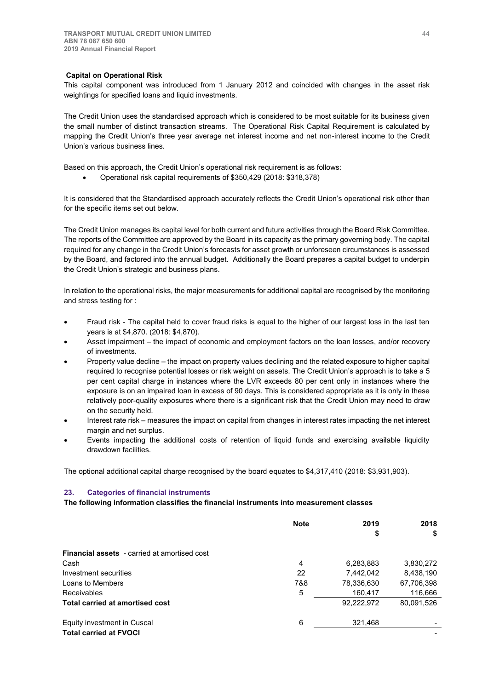### **Capital on Operational Risk**

This capital component was introduced from 1 January 2012 and coincided with changes in the asset risk weightings for specified loans and liquid investments.

The Credit Union uses the standardised approach which is considered to be most suitable for its business given the small number of distinct transaction streams. The Operational Risk Capital Requirement is calculated by mapping the Credit Union's three year average net interest income and net non-interest income to the Credit Union's various business lines.

Based on this approach, the Credit Union's operational risk requirement is as follows:

x Operational risk capital requirements of \$350,429 (2018: \$318,378)

It is considered that the Standardised approach accurately reflects the Credit Union's operational risk other than for the specific items set out below.

The Credit Union manages its capital level for both current and future activities through the Board Risk Committee. The reports of the Committee are approved by the Board in its capacity as the primary governing body. The capital required for any change in the Credit Union's forecasts for asset growth or unforeseen circumstances is assessed by the Board, and factored into the annual budget. Additionally the Board prepares a capital budget to underpin the Credit Union's strategic and business plans.

In relation to the operational risks, the major measurements for additional capital are recognised by the monitoring and stress testing for :

- Fraud risk The capital held to cover fraud risks is equal to the higher of our largest loss in the last ten years is at \$4,870. (2018: \$4,870).
- Asset impairment the impact of economic and employment factors on the loan losses, and/or recovery of investments.
- Property value decline the impact on property values declining and the related exposure to higher capital required to recognise potential losses or risk weight on assets. The Credit Union's approach is to take a 5 per cent capital charge in instances where the LVR exceeds 80 per cent only in instances where the exposure is on an impaired loan in excess of 90 days. This is considered appropriate as it is only in these relatively poor-quality exposures where there is a significant risk that the Credit Union may need to draw on the security held.
- Interest rate risk measures the impact on capital from changes in interest rates impacting the net interest margin and net surplus.
- Events impacting the additional costs of retention of liquid funds and exercising available liquidity drawdown facilities.

The optional additional capital charge recognised by the board equates to \$4,317,410 (2018: \$3,931,903).

#### **23. Categories of financial instruments**

**The following information classifies the financial instruments into measurement classes**

|                                                     | <b>Note</b> | 2019       | 2018       |  |
|-----------------------------------------------------|-------------|------------|------------|--|
|                                                     |             | \$         | \$         |  |
| <b>Financial assets</b> - carried at amortised cost |             |            |            |  |
| Cash                                                | 4           | 6,283,883  | 3,830,272  |  |
| Investment securities                               | 22          | 7.442.042  | 8,438,190  |  |
| Loans to Members                                    | 7&8         | 78,336,630 | 67,706,398 |  |
| Receivables                                         | 5           | 160,417    | 116,666    |  |
| <b>Total carried at amortised cost</b>              |             | 92,222,972 | 80,091,526 |  |
| Equity investment in Cuscal                         | 6           | 321,468    |            |  |
| <b>Total carried at FVOCI</b>                       |             |            |            |  |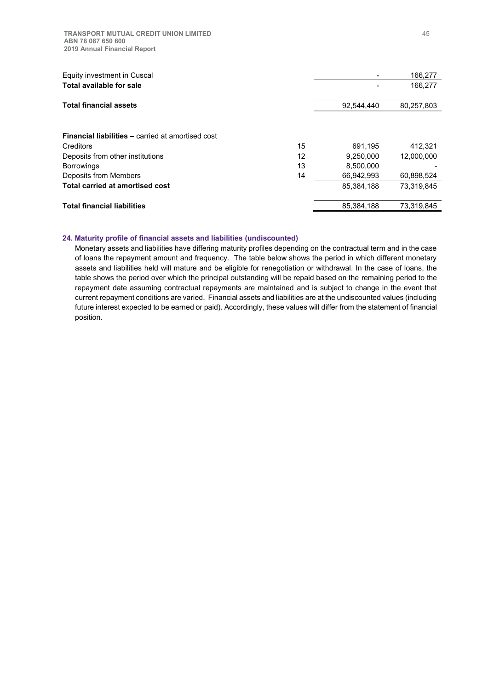**TRANSPORT MUTUAL CREDIT UNION LIMITED ABN 78 087 650 600 2019 Annual Financial Report**

| Equity investment in Cuscal                              |    |            | 166,277    |
|----------------------------------------------------------|----|------------|------------|
| <b>Total available for sale</b>                          |    |            | 166,277    |
|                                                          |    |            |            |
| <b>Total financial assets</b>                            |    | 92,544,440 | 80,257,803 |
|                                                          |    |            |            |
|                                                          |    |            |            |
| <b>Financial liabilities – carried at amortised cost</b> |    |            |            |
| Creditors                                                | 15 | 691,195    | 412.321    |
| Deposits from other institutions                         | 12 | 9.250.000  | 12,000,000 |
| <b>Borrowings</b>                                        | 13 | 8.500.000  |            |
| Deposits from Members                                    | 14 | 66,942,993 | 60.898.524 |
| Total carried at amortised cost                          |    | 85.384.188 | 73.319.845 |
|                                                          |    |            |            |
| <b>Total financial liabilities</b>                       |    | 85,384,188 | 73,319,845 |

## **24. Maturity profile of financial assets and liabilities (undiscounted)**

Monetary assets and liabilities have differing maturity profiles depending on the contractual term and in the case of loans the repayment amount and frequency. The table below shows the period in which different monetary assets and liabilities held will mature and be eligible for renegotiation or withdrawal. In the case of loans, the table shows the period over which the principal outstanding will be repaid based on the remaining period to the repayment date assuming contractual repayments are maintained and is subject to change in the event that current repayment conditions are varied. Financial assets and liabilities are at the undiscounted values (including future interest expected to be earned or paid). Accordingly, these values will differ from the statement of financial position.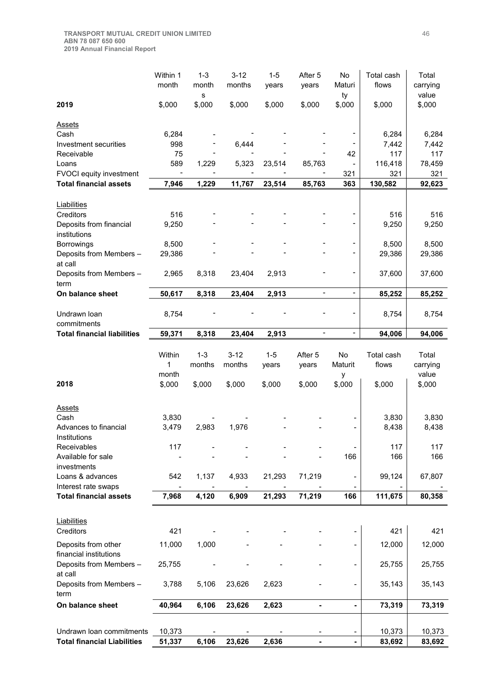| 2019<br>\$,000<br>\$,000<br>\$,000<br>\$,000<br>\$,000<br>\$,000<br>\$,000<br>\$,000<br><b>Assets</b><br>Cash<br>6,284<br>6,284<br>6,284<br>Investment securities<br>998<br>6,444<br>7,442<br>7,442<br>75<br>117<br>Receivable<br>42<br>117<br>589<br>1,229<br>116,418<br>78,459<br>Loans<br>5,323<br>23,514<br>85,763<br>FVOCI equity investment<br>321<br>321<br>321<br><b>Total financial assets</b><br>1,229<br>11,767<br>363<br>7,946<br>23,514<br>85,763<br>130,582<br>92,623<br>Liabilities<br>516<br>Creditors<br>516<br>516<br>9,250<br>9,250<br>Deposits from financial<br>9,250<br>institutions<br>Borrowings<br>8,500<br>8,500<br>8,500<br>$\overline{\phantom{a}}$<br>29,386<br>Deposits from Members -<br>29,386<br>29,386<br>at call<br>Deposits from Members -<br>2,965<br>8,318<br>2,913<br>37,600<br>37,600<br>23,404<br>term<br>50,617<br>8,318<br>2,913<br>85,252<br>85,252<br>23,404<br>$\overline{\phantom{a}}$<br>$\overline{\phantom{a}}$<br>Undrawn Ioan<br>8,754<br>8,754<br>8,754<br>commitments<br>8,318<br>23,404<br>2,913<br>$\overline{\phantom{a}}$<br>94,006<br><b>Total financial liabilities</b><br>59,371<br>$\blacksquare$<br>94,006<br>$1 - 3$<br>$3 - 12$<br>$1 - 5$<br>Within<br>After 5<br>No<br>Total cash<br>Total<br>1<br>months<br>months<br>Maturit<br>flows<br>carrying<br>years<br>years<br>value<br>month<br>у<br>\$,000<br>2018<br>\$,000<br>\$,000<br>\$,000<br>\$,000<br>\$,000<br>\$,000<br>\$,000<br><b>Assets</b><br>Cash<br>3,830<br>3,830<br>3,830<br>3,479<br>2,983<br>1,976<br>8,438<br>8,438<br>Advances to financial<br>Institutions<br>117<br>117<br>117<br>Receivables<br>Available for sale<br>166<br>166<br>166<br>investments<br>71,219<br>Loans & advances<br>1,137<br>4,933<br>21,293<br>99,124<br>67,807<br>542<br>Interest rate swaps<br><b>Total financial assets</b><br>7,968<br>71,219<br>4,120<br>6,909<br>21,293<br>166<br>111,675<br>80,358<br>Liabilities<br>421<br>421<br>Creditors<br>421<br>11,000<br>1,000<br>Deposits from other<br>12,000<br>12,000<br>financial institutions<br>Deposits from Members -<br>25,755<br>25,755<br>25,755<br>at call<br>Deposits from Members -<br>5,106<br>23,626<br>2,623<br>35,143<br>3,788<br>35,143<br>term<br>40,964<br>6,106<br>23,626<br>2,623<br>73,319<br>On balance sheet<br>73,319<br>$\overline{\phantom{0}}$<br>Undrawn Ioan commitments<br>10,373<br>10,373<br>10,373<br>$\qquad \qquad \blacksquare$<br><b>Total financial Liabilities</b><br>51,337<br>6,106<br>23,626<br>2,636<br>83,692<br>83,692<br>$\qquad \qquad \blacksquare$ |                  | Within 1<br>month | $1 - 3$<br>month | $3 - 12$<br>months | $1 - 5$<br>years | After 5<br>years | No<br>Maturi | Total cash<br>flows | Total<br>carrying<br>value |
|----------------------------------------------------------------------------------------------------------------------------------------------------------------------------------------------------------------------------------------------------------------------------------------------------------------------------------------------------------------------------------------------------------------------------------------------------------------------------------------------------------------------------------------------------------------------------------------------------------------------------------------------------------------------------------------------------------------------------------------------------------------------------------------------------------------------------------------------------------------------------------------------------------------------------------------------------------------------------------------------------------------------------------------------------------------------------------------------------------------------------------------------------------------------------------------------------------------------------------------------------------------------------------------------------------------------------------------------------------------------------------------------------------------------------------------------------------------------------------------------------------------------------------------------------------------------------------------------------------------------------------------------------------------------------------------------------------------------------------------------------------------------------------------------------------------------------------------------------------------------------------------------------------------------------------------------------------------------------------------------------------------------------------------------------------------------------------------------------------------------------------------------------------------------------------------------------------------------------------------------------------------------------------------------------------------------------------------------------------------------------------------------------------------------------------------------------------------------------------------------------------------------------------------------------------------------|------------------|-------------------|------------------|--------------------|------------------|------------------|--------------|---------------------|----------------------------|
|                                                                                                                                                                                                                                                                                                                                                                                                                                                                                                                                                                                                                                                                                                                                                                                                                                                                                                                                                                                                                                                                                                                                                                                                                                                                                                                                                                                                                                                                                                                                                                                                                                                                                                                                                                                                                                                                                                                                                                                                                                                                                                                                                                                                                                                                                                                                                                                                                                                                                                                                                                      |                  |                   | s                |                    |                  |                  | ty           |                     |                            |
|                                                                                                                                                                                                                                                                                                                                                                                                                                                                                                                                                                                                                                                                                                                                                                                                                                                                                                                                                                                                                                                                                                                                                                                                                                                                                                                                                                                                                                                                                                                                                                                                                                                                                                                                                                                                                                                                                                                                                                                                                                                                                                                                                                                                                                                                                                                                                                                                                                                                                                                                                                      |                  |                   |                  |                    |                  |                  |              |                     |                            |
|                                                                                                                                                                                                                                                                                                                                                                                                                                                                                                                                                                                                                                                                                                                                                                                                                                                                                                                                                                                                                                                                                                                                                                                                                                                                                                                                                                                                                                                                                                                                                                                                                                                                                                                                                                                                                                                                                                                                                                                                                                                                                                                                                                                                                                                                                                                                                                                                                                                                                                                                                                      |                  |                   |                  |                    |                  |                  |              |                     |                            |
|                                                                                                                                                                                                                                                                                                                                                                                                                                                                                                                                                                                                                                                                                                                                                                                                                                                                                                                                                                                                                                                                                                                                                                                                                                                                                                                                                                                                                                                                                                                                                                                                                                                                                                                                                                                                                                                                                                                                                                                                                                                                                                                                                                                                                                                                                                                                                                                                                                                                                                                                                                      |                  |                   |                  |                    |                  |                  |              |                     |                            |
|                                                                                                                                                                                                                                                                                                                                                                                                                                                                                                                                                                                                                                                                                                                                                                                                                                                                                                                                                                                                                                                                                                                                                                                                                                                                                                                                                                                                                                                                                                                                                                                                                                                                                                                                                                                                                                                                                                                                                                                                                                                                                                                                                                                                                                                                                                                                                                                                                                                                                                                                                                      |                  |                   |                  |                    |                  |                  |              |                     |                            |
|                                                                                                                                                                                                                                                                                                                                                                                                                                                                                                                                                                                                                                                                                                                                                                                                                                                                                                                                                                                                                                                                                                                                                                                                                                                                                                                                                                                                                                                                                                                                                                                                                                                                                                                                                                                                                                                                                                                                                                                                                                                                                                                                                                                                                                                                                                                                                                                                                                                                                                                                                                      |                  |                   |                  |                    |                  |                  |              |                     |                            |
|                                                                                                                                                                                                                                                                                                                                                                                                                                                                                                                                                                                                                                                                                                                                                                                                                                                                                                                                                                                                                                                                                                                                                                                                                                                                                                                                                                                                                                                                                                                                                                                                                                                                                                                                                                                                                                                                                                                                                                                                                                                                                                                                                                                                                                                                                                                                                                                                                                                                                                                                                                      |                  |                   |                  |                    |                  |                  |              |                     |                            |
|                                                                                                                                                                                                                                                                                                                                                                                                                                                                                                                                                                                                                                                                                                                                                                                                                                                                                                                                                                                                                                                                                                                                                                                                                                                                                                                                                                                                                                                                                                                                                                                                                                                                                                                                                                                                                                                                                                                                                                                                                                                                                                                                                                                                                                                                                                                                                                                                                                                                                                                                                                      |                  |                   |                  |                    |                  |                  |              |                     |                            |
|                                                                                                                                                                                                                                                                                                                                                                                                                                                                                                                                                                                                                                                                                                                                                                                                                                                                                                                                                                                                                                                                                                                                                                                                                                                                                                                                                                                                                                                                                                                                                                                                                                                                                                                                                                                                                                                                                                                                                                                                                                                                                                                                                                                                                                                                                                                                                                                                                                                                                                                                                                      |                  |                   |                  |                    |                  |                  |              |                     |                            |
|                                                                                                                                                                                                                                                                                                                                                                                                                                                                                                                                                                                                                                                                                                                                                                                                                                                                                                                                                                                                                                                                                                                                                                                                                                                                                                                                                                                                                                                                                                                                                                                                                                                                                                                                                                                                                                                                                                                                                                                                                                                                                                                                                                                                                                                                                                                                                                                                                                                                                                                                                                      |                  |                   |                  |                    |                  |                  |              |                     |                            |
|                                                                                                                                                                                                                                                                                                                                                                                                                                                                                                                                                                                                                                                                                                                                                                                                                                                                                                                                                                                                                                                                                                                                                                                                                                                                                                                                                                                                                                                                                                                                                                                                                                                                                                                                                                                                                                                                                                                                                                                                                                                                                                                                                                                                                                                                                                                                                                                                                                                                                                                                                                      |                  |                   |                  |                    |                  |                  |              |                     |                            |
|                                                                                                                                                                                                                                                                                                                                                                                                                                                                                                                                                                                                                                                                                                                                                                                                                                                                                                                                                                                                                                                                                                                                                                                                                                                                                                                                                                                                                                                                                                                                                                                                                                                                                                                                                                                                                                                                                                                                                                                                                                                                                                                                                                                                                                                                                                                                                                                                                                                                                                                                                                      |                  |                   |                  |                    |                  |                  |              |                     |                            |
|                                                                                                                                                                                                                                                                                                                                                                                                                                                                                                                                                                                                                                                                                                                                                                                                                                                                                                                                                                                                                                                                                                                                                                                                                                                                                                                                                                                                                                                                                                                                                                                                                                                                                                                                                                                                                                                                                                                                                                                                                                                                                                                                                                                                                                                                                                                                                                                                                                                                                                                                                                      |                  |                   |                  |                    |                  |                  |              |                     |                            |
|                                                                                                                                                                                                                                                                                                                                                                                                                                                                                                                                                                                                                                                                                                                                                                                                                                                                                                                                                                                                                                                                                                                                                                                                                                                                                                                                                                                                                                                                                                                                                                                                                                                                                                                                                                                                                                                                                                                                                                                                                                                                                                                                                                                                                                                                                                                                                                                                                                                                                                                                                                      |                  |                   |                  |                    |                  |                  |              |                     |                            |
|                                                                                                                                                                                                                                                                                                                                                                                                                                                                                                                                                                                                                                                                                                                                                                                                                                                                                                                                                                                                                                                                                                                                                                                                                                                                                                                                                                                                                                                                                                                                                                                                                                                                                                                                                                                                                                                                                                                                                                                                                                                                                                                                                                                                                                                                                                                                                                                                                                                                                                                                                                      |                  |                   |                  |                    |                  |                  |              |                     |                            |
|                                                                                                                                                                                                                                                                                                                                                                                                                                                                                                                                                                                                                                                                                                                                                                                                                                                                                                                                                                                                                                                                                                                                                                                                                                                                                                                                                                                                                                                                                                                                                                                                                                                                                                                                                                                                                                                                                                                                                                                                                                                                                                                                                                                                                                                                                                                                                                                                                                                                                                                                                                      |                  |                   |                  |                    |                  |                  |              |                     |                            |
|                                                                                                                                                                                                                                                                                                                                                                                                                                                                                                                                                                                                                                                                                                                                                                                                                                                                                                                                                                                                                                                                                                                                                                                                                                                                                                                                                                                                                                                                                                                                                                                                                                                                                                                                                                                                                                                                                                                                                                                                                                                                                                                                                                                                                                                                                                                                                                                                                                                                                                                                                                      | On balance sheet |                   |                  |                    |                  |                  |              |                     |                            |
|                                                                                                                                                                                                                                                                                                                                                                                                                                                                                                                                                                                                                                                                                                                                                                                                                                                                                                                                                                                                                                                                                                                                                                                                                                                                                                                                                                                                                                                                                                                                                                                                                                                                                                                                                                                                                                                                                                                                                                                                                                                                                                                                                                                                                                                                                                                                                                                                                                                                                                                                                                      |                  |                   |                  |                    |                  |                  |              |                     |                            |
|                                                                                                                                                                                                                                                                                                                                                                                                                                                                                                                                                                                                                                                                                                                                                                                                                                                                                                                                                                                                                                                                                                                                                                                                                                                                                                                                                                                                                                                                                                                                                                                                                                                                                                                                                                                                                                                                                                                                                                                                                                                                                                                                                                                                                                                                                                                                                                                                                                                                                                                                                                      |                  |                   |                  |                    |                  |                  |              |                     |                            |
|                                                                                                                                                                                                                                                                                                                                                                                                                                                                                                                                                                                                                                                                                                                                                                                                                                                                                                                                                                                                                                                                                                                                                                                                                                                                                                                                                                                                                                                                                                                                                                                                                                                                                                                                                                                                                                                                                                                                                                                                                                                                                                                                                                                                                                                                                                                                                                                                                                                                                                                                                                      |                  |                   |                  |                    |                  |                  |              |                     |                            |
|                                                                                                                                                                                                                                                                                                                                                                                                                                                                                                                                                                                                                                                                                                                                                                                                                                                                                                                                                                                                                                                                                                                                                                                                                                                                                                                                                                                                                                                                                                                                                                                                                                                                                                                                                                                                                                                                                                                                                                                                                                                                                                                                                                                                                                                                                                                                                                                                                                                                                                                                                                      |                  |                   |                  |                    |                  |                  |              |                     |                            |
|                                                                                                                                                                                                                                                                                                                                                                                                                                                                                                                                                                                                                                                                                                                                                                                                                                                                                                                                                                                                                                                                                                                                                                                                                                                                                                                                                                                                                                                                                                                                                                                                                                                                                                                                                                                                                                                                                                                                                                                                                                                                                                                                                                                                                                                                                                                                                                                                                                                                                                                                                                      |                  |                   |                  |                    |                  |                  |              |                     |                            |
|                                                                                                                                                                                                                                                                                                                                                                                                                                                                                                                                                                                                                                                                                                                                                                                                                                                                                                                                                                                                                                                                                                                                                                                                                                                                                                                                                                                                                                                                                                                                                                                                                                                                                                                                                                                                                                                                                                                                                                                                                                                                                                                                                                                                                                                                                                                                                                                                                                                                                                                                                                      |                  |                   |                  |                    |                  |                  |              |                     |                            |
|                                                                                                                                                                                                                                                                                                                                                                                                                                                                                                                                                                                                                                                                                                                                                                                                                                                                                                                                                                                                                                                                                                                                                                                                                                                                                                                                                                                                                                                                                                                                                                                                                                                                                                                                                                                                                                                                                                                                                                                                                                                                                                                                                                                                                                                                                                                                                                                                                                                                                                                                                                      |                  |                   |                  |                    |                  |                  |              |                     |                            |
|                                                                                                                                                                                                                                                                                                                                                                                                                                                                                                                                                                                                                                                                                                                                                                                                                                                                                                                                                                                                                                                                                                                                                                                                                                                                                                                                                                                                                                                                                                                                                                                                                                                                                                                                                                                                                                                                                                                                                                                                                                                                                                                                                                                                                                                                                                                                                                                                                                                                                                                                                                      |                  |                   |                  |                    |                  |                  |              |                     |                            |
|                                                                                                                                                                                                                                                                                                                                                                                                                                                                                                                                                                                                                                                                                                                                                                                                                                                                                                                                                                                                                                                                                                                                                                                                                                                                                                                                                                                                                                                                                                                                                                                                                                                                                                                                                                                                                                                                                                                                                                                                                                                                                                                                                                                                                                                                                                                                                                                                                                                                                                                                                                      |                  |                   |                  |                    |                  |                  |              |                     |                            |
|                                                                                                                                                                                                                                                                                                                                                                                                                                                                                                                                                                                                                                                                                                                                                                                                                                                                                                                                                                                                                                                                                                                                                                                                                                                                                                                                                                                                                                                                                                                                                                                                                                                                                                                                                                                                                                                                                                                                                                                                                                                                                                                                                                                                                                                                                                                                                                                                                                                                                                                                                                      |                  |                   |                  |                    |                  |                  |              |                     |                            |
|                                                                                                                                                                                                                                                                                                                                                                                                                                                                                                                                                                                                                                                                                                                                                                                                                                                                                                                                                                                                                                                                                                                                                                                                                                                                                                                                                                                                                                                                                                                                                                                                                                                                                                                                                                                                                                                                                                                                                                                                                                                                                                                                                                                                                                                                                                                                                                                                                                                                                                                                                                      |                  |                   |                  |                    |                  |                  |              |                     |                            |
|                                                                                                                                                                                                                                                                                                                                                                                                                                                                                                                                                                                                                                                                                                                                                                                                                                                                                                                                                                                                                                                                                                                                                                                                                                                                                                                                                                                                                                                                                                                                                                                                                                                                                                                                                                                                                                                                                                                                                                                                                                                                                                                                                                                                                                                                                                                                                                                                                                                                                                                                                                      |                  |                   |                  |                    |                  |                  |              |                     |                            |
|                                                                                                                                                                                                                                                                                                                                                                                                                                                                                                                                                                                                                                                                                                                                                                                                                                                                                                                                                                                                                                                                                                                                                                                                                                                                                                                                                                                                                                                                                                                                                                                                                                                                                                                                                                                                                                                                                                                                                                                                                                                                                                                                                                                                                                                                                                                                                                                                                                                                                                                                                                      |                  |                   |                  |                    |                  |                  |              |                     |                            |
|                                                                                                                                                                                                                                                                                                                                                                                                                                                                                                                                                                                                                                                                                                                                                                                                                                                                                                                                                                                                                                                                                                                                                                                                                                                                                                                                                                                                                                                                                                                                                                                                                                                                                                                                                                                                                                                                                                                                                                                                                                                                                                                                                                                                                                                                                                                                                                                                                                                                                                                                                                      |                  |                   |                  |                    |                  |                  |              |                     |                            |
|                                                                                                                                                                                                                                                                                                                                                                                                                                                                                                                                                                                                                                                                                                                                                                                                                                                                                                                                                                                                                                                                                                                                                                                                                                                                                                                                                                                                                                                                                                                                                                                                                                                                                                                                                                                                                                                                                                                                                                                                                                                                                                                                                                                                                                                                                                                                                                                                                                                                                                                                                                      |                  |                   |                  |                    |                  |                  |              |                     |                            |
|                                                                                                                                                                                                                                                                                                                                                                                                                                                                                                                                                                                                                                                                                                                                                                                                                                                                                                                                                                                                                                                                                                                                                                                                                                                                                                                                                                                                                                                                                                                                                                                                                                                                                                                                                                                                                                                                                                                                                                                                                                                                                                                                                                                                                                                                                                                                                                                                                                                                                                                                                                      |                  |                   |                  |                    |                  |                  |              |                     |                            |
|                                                                                                                                                                                                                                                                                                                                                                                                                                                                                                                                                                                                                                                                                                                                                                                                                                                                                                                                                                                                                                                                                                                                                                                                                                                                                                                                                                                                                                                                                                                                                                                                                                                                                                                                                                                                                                                                                                                                                                                                                                                                                                                                                                                                                                                                                                                                                                                                                                                                                                                                                                      |                  |                   |                  |                    |                  |                  |              |                     |                            |
|                                                                                                                                                                                                                                                                                                                                                                                                                                                                                                                                                                                                                                                                                                                                                                                                                                                                                                                                                                                                                                                                                                                                                                                                                                                                                                                                                                                                                                                                                                                                                                                                                                                                                                                                                                                                                                                                                                                                                                                                                                                                                                                                                                                                                                                                                                                                                                                                                                                                                                                                                                      |                  |                   |                  |                    |                  |                  |              |                     |                            |
|                                                                                                                                                                                                                                                                                                                                                                                                                                                                                                                                                                                                                                                                                                                                                                                                                                                                                                                                                                                                                                                                                                                                                                                                                                                                                                                                                                                                                                                                                                                                                                                                                                                                                                                                                                                                                                                                                                                                                                                                                                                                                                                                                                                                                                                                                                                                                                                                                                                                                                                                                                      |                  |                   |                  |                    |                  |                  |              |                     |                            |
|                                                                                                                                                                                                                                                                                                                                                                                                                                                                                                                                                                                                                                                                                                                                                                                                                                                                                                                                                                                                                                                                                                                                                                                                                                                                                                                                                                                                                                                                                                                                                                                                                                                                                                                                                                                                                                                                                                                                                                                                                                                                                                                                                                                                                                                                                                                                                                                                                                                                                                                                                                      |                  |                   |                  |                    |                  |                  |              |                     |                            |
|                                                                                                                                                                                                                                                                                                                                                                                                                                                                                                                                                                                                                                                                                                                                                                                                                                                                                                                                                                                                                                                                                                                                                                                                                                                                                                                                                                                                                                                                                                                                                                                                                                                                                                                                                                                                                                                                                                                                                                                                                                                                                                                                                                                                                                                                                                                                                                                                                                                                                                                                                                      |                  |                   |                  |                    |                  |                  |              |                     |                            |
|                                                                                                                                                                                                                                                                                                                                                                                                                                                                                                                                                                                                                                                                                                                                                                                                                                                                                                                                                                                                                                                                                                                                                                                                                                                                                                                                                                                                                                                                                                                                                                                                                                                                                                                                                                                                                                                                                                                                                                                                                                                                                                                                                                                                                                                                                                                                                                                                                                                                                                                                                                      |                  |                   |                  |                    |                  |                  |              |                     |                            |
|                                                                                                                                                                                                                                                                                                                                                                                                                                                                                                                                                                                                                                                                                                                                                                                                                                                                                                                                                                                                                                                                                                                                                                                                                                                                                                                                                                                                                                                                                                                                                                                                                                                                                                                                                                                                                                                                                                                                                                                                                                                                                                                                                                                                                                                                                                                                                                                                                                                                                                                                                                      |                  |                   |                  |                    |                  |                  |              |                     |                            |
|                                                                                                                                                                                                                                                                                                                                                                                                                                                                                                                                                                                                                                                                                                                                                                                                                                                                                                                                                                                                                                                                                                                                                                                                                                                                                                                                                                                                                                                                                                                                                                                                                                                                                                                                                                                                                                                                                                                                                                                                                                                                                                                                                                                                                                                                                                                                                                                                                                                                                                                                                                      |                  |                   |                  |                    |                  |                  |              |                     |                            |
|                                                                                                                                                                                                                                                                                                                                                                                                                                                                                                                                                                                                                                                                                                                                                                                                                                                                                                                                                                                                                                                                                                                                                                                                                                                                                                                                                                                                                                                                                                                                                                                                                                                                                                                                                                                                                                                                                                                                                                                                                                                                                                                                                                                                                                                                                                                                                                                                                                                                                                                                                                      |                  |                   |                  |                    |                  |                  |              |                     |                            |
|                                                                                                                                                                                                                                                                                                                                                                                                                                                                                                                                                                                                                                                                                                                                                                                                                                                                                                                                                                                                                                                                                                                                                                                                                                                                                                                                                                                                                                                                                                                                                                                                                                                                                                                                                                                                                                                                                                                                                                                                                                                                                                                                                                                                                                                                                                                                                                                                                                                                                                                                                                      |                  |                   |                  |                    |                  |                  |              |                     |                            |
|                                                                                                                                                                                                                                                                                                                                                                                                                                                                                                                                                                                                                                                                                                                                                                                                                                                                                                                                                                                                                                                                                                                                                                                                                                                                                                                                                                                                                                                                                                                                                                                                                                                                                                                                                                                                                                                                                                                                                                                                                                                                                                                                                                                                                                                                                                                                                                                                                                                                                                                                                                      |                  |                   |                  |                    |                  |                  |              |                     |                            |
|                                                                                                                                                                                                                                                                                                                                                                                                                                                                                                                                                                                                                                                                                                                                                                                                                                                                                                                                                                                                                                                                                                                                                                                                                                                                                                                                                                                                                                                                                                                                                                                                                                                                                                                                                                                                                                                                                                                                                                                                                                                                                                                                                                                                                                                                                                                                                                                                                                                                                                                                                                      |                  |                   |                  |                    |                  |                  |              |                     |                            |
|                                                                                                                                                                                                                                                                                                                                                                                                                                                                                                                                                                                                                                                                                                                                                                                                                                                                                                                                                                                                                                                                                                                                                                                                                                                                                                                                                                                                                                                                                                                                                                                                                                                                                                                                                                                                                                                                                                                                                                                                                                                                                                                                                                                                                                                                                                                                                                                                                                                                                                                                                                      |                  |                   |                  |                    |                  |                  |              |                     |                            |
|                                                                                                                                                                                                                                                                                                                                                                                                                                                                                                                                                                                                                                                                                                                                                                                                                                                                                                                                                                                                                                                                                                                                                                                                                                                                                                                                                                                                                                                                                                                                                                                                                                                                                                                                                                                                                                                                                                                                                                                                                                                                                                                                                                                                                                                                                                                                                                                                                                                                                                                                                                      |                  |                   |                  |                    |                  |                  |              |                     |                            |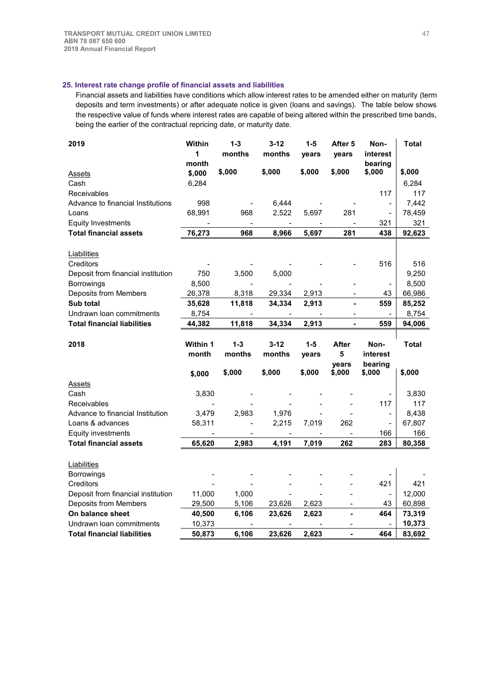## **25. Interest rate change profile of financial assets and liabilities**

Financial assets and liabilities have conditions which allow interest rates to be amended either on maturity (term deposits and term investments) or after adequate notice is given (loans and savings). The table below shows the respective value of funds where interest rates are capable of being altered within the prescribed time bands, being the earlier of the contractual repricing date, or maturity date.

| 2019                               | Within<br>1     | $1 - 3$<br>months | $3 - 12$<br>months | $1 - 5$<br>vears | After 5<br>vears         | Non-<br>interest             | <b>Total</b> |
|------------------------------------|-----------------|-------------------|--------------------|------------------|--------------------------|------------------------------|--------------|
|                                    | month           |                   |                    |                  |                          | bearing                      |              |
| <b>Assets</b>                      | \$,000          | \$,000            | \$,000             | \$,000           | \$,000                   | \$,000                       | \$,000       |
| Cash                               | 6,284           |                   |                    |                  |                          |                              | 6,284        |
| Receivables                        |                 |                   |                    |                  |                          | 117                          | 117          |
| Advance to financial Institutions  | 998             |                   | 6,444              |                  |                          | $\qquad \qquad \blacksquare$ | 7,442        |
| Loans                              | 68,991          | 968               | 2,522              | 5,697            | 281                      | $\blacksquare$               | 78,459       |
| <b>Equity Investments</b>          |                 |                   |                    |                  |                          | 321                          | 321          |
| <b>Total financial assets</b>      | 76,273          | 968               | 8,966              | 5,697            | 281                      | 438                          | 92,623       |
| Liabilities                        |                 |                   |                    |                  |                          |                              |              |
| Creditors                          |                 |                   |                    |                  |                          | 516                          | 516          |
| Deposit from financial institution | 750             | 3,500             | 5,000              |                  |                          |                              | 9,250        |
| Borrowings                         | 8,500           |                   |                    |                  |                          |                              | 8,500        |
| Deposits from Members              | 26,378          | 8,318             | 29,334             | 2,913            |                          | 43                           | 66,986       |
| Sub total                          | 35,628          | 11,818            | 34,334             | 2,913            |                          | 559                          | 85,252       |
| Undrawn Ioan commitments           | 8,754           |                   |                    |                  |                          |                              | 8,754        |
| <b>Total financial liabilities</b> | 44,382          | 11,818            | 34,334             | 2,913            | L.                       | 559                          | 94,006       |
| 2018                               | <b>Within 1</b> | $1 - 3$           | $3 - 12$           | $1-5$            | <b>After</b>             | Non-                         | <b>Total</b> |
|                                    | month           | months            | months             | years            | 5                        | interest                     |              |
|                                    |                 |                   |                    |                  | years                    | bearing                      |              |
|                                    | \$,000          | \$,000            | \$,000             | \$,000           | \$,000                   | \$,000                       | \$,000       |
| <b>Assets</b>                      |                 |                   |                    |                  |                          |                              |              |
|                                    |                 |                   |                    |                  |                          |                              |              |
| Cash                               | 3,830           |                   |                    |                  |                          |                              | 3,830        |
| Receivables                        |                 |                   |                    |                  |                          | 117                          | 117          |
| Advance to financial Institution   | 3,479           | 2,983             | 1,976              |                  |                          | $\overline{\phantom{a}}$     | 8,438        |
| Loans & advances                   | 58,311          |                   | 2,215              | 7,019            | 262                      | $\blacksquare$               | 67,807       |
| Equity investments                 |                 |                   |                    |                  |                          | 166                          | 166          |
| <b>Total financial assets</b>      | 65,620          | 2,983             | 4,191              | 7,019            | 262                      | 283                          | 80,358       |
|                                    |                 |                   |                    |                  |                          |                              |              |
| Liabilities                        |                 |                   |                    |                  |                          |                              |              |
| Borrowings<br>Creditors            |                 |                   |                    |                  |                          | 421                          | 421          |
| Deposit from financial institution | 11,000          | 1,000             |                    |                  |                          | $\overline{\phantom{m}}$     | 12,000       |
| Deposits from Members              | 29,500          | 5,106             |                    | 2,623            | $\overline{\phantom{a}}$ | 43                           | 60,898       |
| On balance sheet                   | 40,500          | 6,106             | 23,626<br>23,626   | 2,623            | -                        | 464                          | 73,319       |
| Undrawn Ioan commitments           | 10,373          |                   |                    |                  |                          |                              | 10,373       |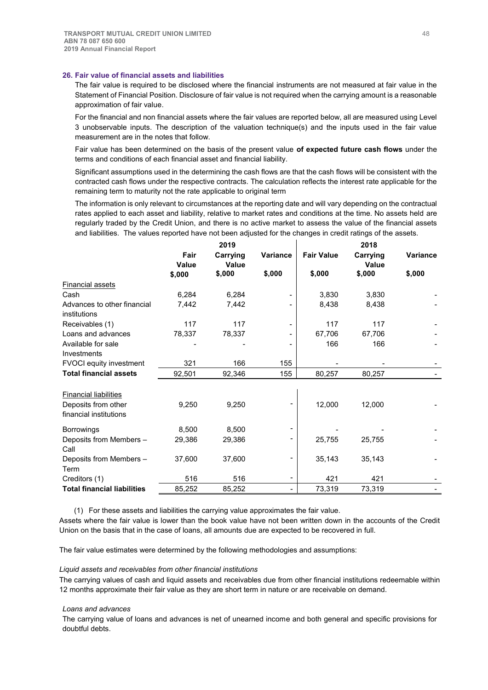### **26. Fair value of financial assets and liabilities**

The fair value is required to be disclosed where the financial instruments are not measured at fair value in the Statement of Financial Position. Disclosure of fair value is not required when the carrying amount is a reasonable approximation of fair value.

For the financial and non financial assets where the fair values are reported below, all are measured using Level 3 unobservable inputs. The description of the valuation technique(s) and the inputs used in the fair value measurement are in the notes that follow.

Fair value has been determined on the basis of the present value **of expected future cash flows** under the terms and conditions of each financial asset and financial liability.

Significant assumptions used in the determining the cash flows are that the cash flows will be consistent with the contracted cash flows under the respective contracts. The calculation reflects the interest rate applicable for the remaining term to maturity not the rate applicable to original term

The information is only relevant to circumstances at the reporting date and will vary depending on the contractual rates applied to each asset and liability, relative to market rates and conditions at the time. No assets held are regularly traded by the Credit Union, and there is no active market to assess the value of the financial assets and liabilities. The values reported have not been adjusted for the changes in credit ratings of the assets.

|                                             |                      | 2019              |          | 2018              |                   |                 |  |
|---------------------------------------------|----------------------|-------------------|----------|-------------------|-------------------|-----------------|--|
|                                             | Fair<br><b>Value</b> | Carrying<br>Value | Variance | <b>Fair Value</b> | Carrying<br>Value | <b>Variance</b> |  |
|                                             | \$,000               | \$,000            | \$,000   | \$,000            | \$,000            | \$,000          |  |
| <b>Financial assets</b>                     |                      |                   |          |                   |                   |                 |  |
| Cash                                        | 6,284                | 6,284             |          | 3,830             | 3,830             |                 |  |
| Advances to other financial<br>institutions | 7,442                | 7,442             |          | 8,438             | 8,438             |                 |  |
| Receivables (1)                             | 117                  | 117               |          | 117               | 117               |                 |  |
| Loans and advances                          | 78,337               | 78,337            |          | 67,706            | 67,706            |                 |  |
| Available for sale                          |                      |                   |          | 166               | 166               |                 |  |
| Investments                                 |                      |                   |          |                   |                   |                 |  |
| <b>FVOCI</b> equity investment              | 321                  | 166               | 155      |                   |                   |                 |  |
| <b>Total financial assets</b>               | 92,501               | 92,346            | 155      | 80,257            | 80,257            |                 |  |
|                                             |                      |                   |          |                   |                   |                 |  |
| <b>Financial liabilities</b>                |                      |                   |          |                   |                   |                 |  |
| Deposits from other                         | 9,250                | 9,250             |          | 12,000            | 12,000            |                 |  |
| financial institutions                      |                      |                   |          |                   |                   |                 |  |
| <b>Borrowings</b>                           | 8,500                | 8,500             |          |                   |                   |                 |  |
| Deposits from Members -                     | 29,386               | 29,386            |          | 25,755            | 25,755            |                 |  |
| Call                                        |                      |                   |          |                   |                   |                 |  |
| Deposits from Members -                     | 37,600               | 37,600            |          | 35,143            | 35,143            |                 |  |
| Term                                        |                      |                   |          |                   |                   |                 |  |
| Creditors (1)                               | 516                  | 516               |          | 421               | 421               |                 |  |
| <b>Total financial liabilities</b>          | 85,252               | 85,252            |          | 73,319            | 73,319            |                 |  |

(1) For these assets and liabilities the carrying value approximates the fair value.

Assets where the fair value is lower than the book value have not been written down in the accounts of the Credit Union on the basis that in the case of loans, all amounts due are expected to be recovered in full.

The fair value estimates were determined by the following methodologies and assumptions:

#### *Liquid assets and receivables from other financial institutions*

The carrying values of cash and liquid assets and receivables due from other financial institutions redeemable within 12 months approximate their fair value as they are short term in nature or are receivable on demand.

#### *Loans and advances*

The carrying value of loans and advances is net of unearned income and both general and specific provisions for doubtful debts.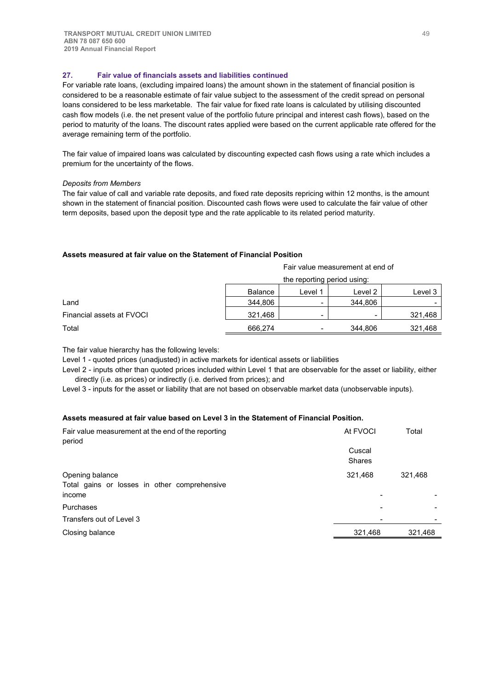## **27. Fair value of financials assets and liabilities continued**

For variable rate loans, (excluding impaired loans) the amount shown in the statement of financial position is considered to be a reasonable estimate of fair value subject to the assessment of the credit spread on personal loans considered to be less marketable. The fair value for fixed rate loans is calculated by utilising discounted cash flow models (i.e. the net present value of the portfolio future principal and interest cash flows), based on the period to maturity of the loans. The discount rates applied were based on the current applicable rate offered for the average remaining term of the portfolio.

The fair value of impaired loans was calculated by discounting expected cash flows using a rate which includes a premium for the uncertainty of the flows.

### *Deposits from Members*

The fair value of call and variable rate deposits, and fixed rate deposits repricing within 12 months, is the amount shown in the statement of financial position. Discounted cash flows were used to calculate the fair value of other term deposits, based upon the deposit type and the rate applicable to its related period maturity.

### **Assets measured at fair value on the Statement of Financial Position**

| Fair value measurement at end of |  |
|----------------------------------|--|
|----------------------------------|--|

|                           | the reporting period using: |       |         |         |
|---------------------------|-----------------------------|-------|---------|---------|
|                           | <b>Balance</b>              | Level | Level 2 | Level 3 |
| Land                      | 344,806                     |       | 344,806 |         |
| Financial assets at FVOCI | 321.468                     | -     | -       | 321,468 |
| Total                     | 666.274                     | -     | 344.806 | 321,468 |

The fair value hierarchy has the following levels:

Level 1 - quoted prices (unadjusted) in active markets for identical assets or liabilities

Level 2 - inputs other than quoted prices included within Level 1 that are observable for the asset or liability, either directly (i.e. as prices) or indirectly (i.e. derived from prices); and

Level 3 - inputs for the asset or liability that are not based on observable market data (unobservable inputs).

## **Assets measured at fair value based on Level 3 in the Statement of Financial Position.**

| Fair value measurement at the end of the reporting<br>period              | At FVOCI                | Total   |
|---------------------------------------------------------------------------|-------------------------|---------|
|                                                                           | Cuscal<br><b>Shares</b> |         |
| Opening balance<br>Total gains or losses in other comprehensive<br>income | 321,468                 | 321,468 |
| Purchases                                                                 |                         |         |
| Transfers out of Level 3                                                  |                         |         |
| Closing balance                                                           | 321,468                 | 321,468 |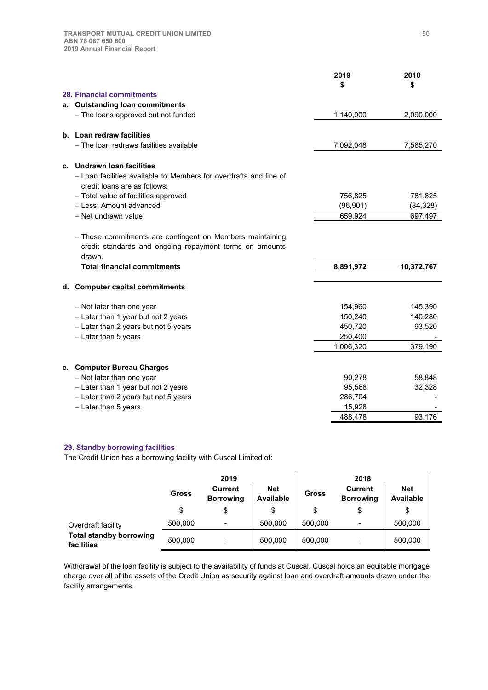|                                                                                                                                                                      | 2019<br>\$ | 2018<br>\$ |
|----------------------------------------------------------------------------------------------------------------------------------------------------------------------|------------|------------|
| 28. Financial commitments                                                                                                                                            |            |            |
| a. Outstanding loan commitments                                                                                                                                      |            |            |
| - The loans approved but not funded                                                                                                                                  | 1,140,000  | 2,090,000  |
| b. Loan redraw facilities                                                                                                                                            |            |            |
| - The loan redraws facilities available                                                                                                                              | 7,092,048  | 7,585,270  |
| c. Undrawn loan facilities                                                                                                                                           |            |            |
| - Loan facilities available to Members for overdrafts and line of<br>credit loans are as follows:                                                                    |            |            |
| - Total value of facilities approved                                                                                                                                 | 756,825    | 781,825    |
| - Less: Amount advanced                                                                                                                                              | (96, 901)  | (84, 328)  |
| - Net undrawn value                                                                                                                                                  | 659,924    | 697,497    |
| - These commitments are contingent on Members maintaining<br>credit standards and ongoing repayment terms on amounts<br>drawn.<br><b>Total financial commitments</b> | 8,891,972  | 10,372,767 |
|                                                                                                                                                                      |            |            |
| d. Computer capital commitments                                                                                                                                      |            |            |
| - Not later than one year                                                                                                                                            | 154,960    | 145,390    |
| - Later than 1 year but not 2 years                                                                                                                                  | 150,240    | 140,280    |
| - Later than 2 years but not 5 years                                                                                                                                 | 450,720    | 93,520     |
| - Later than 5 years                                                                                                                                                 | 250,400    |            |
|                                                                                                                                                                      | 1,006,320  | 379,190    |
| e. Computer Bureau Charges                                                                                                                                           |            |            |
| - Not later than one year                                                                                                                                            | 90,278     | 58,848     |
| - Later than 1 year but not 2 years                                                                                                                                  | 95,568     | 32,328     |
| - Later than 2 years but not 5 years                                                                                                                                 | 286,704    |            |
| - Later than 5 years                                                                                                                                                 | 15,928     |            |
|                                                                                                                                                                      | 488,478    | 93,176     |

#### **29. Standby borrowing facilities**

The Credit Union has a borrowing facility with Cuscal Limited of:

|                                              | 2019         |                                    |                         | 2018         |                                    |                                |
|----------------------------------------------|--------------|------------------------------------|-------------------------|--------------|------------------------------------|--------------------------------|
|                                              | <b>Gross</b> | <b>Current</b><br><b>Borrowing</b> | <b>Net</b><br>Available | <b>Gross</b> | <b>Current</b><br><b>Borrowing</b> | <b>Net</b><br><b>Available</b> |
|                                              | \$           | \$                                 | \$                      |              | \$                                 | \$                             |
| Overdraft facility                           | 500,000      | $\qquad \qquad$                    | 500,000                 | 500.000      | -                                  | 500,000                        |
| <b>Total standby borrowing</b><br>facilities | 500,000      | $\qquad \qquad$                    | 500,000                 | 500.000      |                                    | 500,000                        |

Withdrawal of the loan facility is subject to the availability of funds at Cuscal. Cuscal holds an equitable mortgage charge over all of the assets of the Credit Union as security against loan and overdraft amounts drawn under the facility arrangements.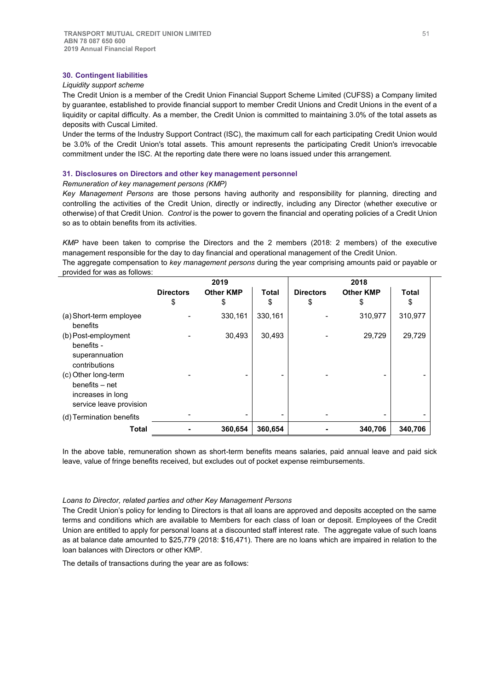### **30. Contingent liabilities**

## *Liquidity support scheme*

The Credit Union is a member of the Credit Union Financial Support Scheme Limited (CUFSS) a Company limited by guarantee, established to provide financial support to member Credit Unions and Credit Unions in the event of a liquidity or capital difficulty. As a member, the Credit Union is committed to maintaining 3.0% of the total assets as deposits with Cuscal Limited.

Under the terms of the Industry Support Contract (ISC), the maximum call for each participating Credit Union would be 3.0% of the Credit Union's total assets. This amount represents the participating Credit Union's irrevocable commitment under the ISC. At the reporting date there were no loans issued under this arrangement.

### **31. Disclosures on Directors and other key management personnel**

#### *Remuneration of key management persons (KMP)*

*Key Management Persons* are those persons having authority and responsibility for planning, directing and controlling the activities of the Credit Union, directly or indirectly, including any Director (whether executive or otherwise) of that Credit Union. *Control* is the power to govern the financial and operating policies of a Credit Union so as to obtain benefits from its activities.

*KMP* have been taken to comprise the Directors and the 2 members (2018: 2 members) of the executive management responsible for the day to day financial and operational management of the Credit Union.

The aggregate compensation to *key management persons* during the year comprising amounts paid or payable or provided for was as follows:

|                                                                                       | 2019             |                  |         | 2018             |                  |              |  |
|---------------------------------------------------------------------------------------|------------------|------------------|---------|------------------|------------------|--------------|--|
|                                                                                       | <b>Directors</b> | <b>Other KMP</b> | Total   | <b>Directors</b> | <b>Other KMP</b> | <b>Total</b> |  |
|                                                                                       | \$               | \$               | \$      | \$               | \$               | \$           |  |
| (a) Short-term employee<br>benefits                                                   |                  | 330,161          | 330,161 |                  | 310,977          | 310,977      |  |
| (b) Post-employment<br>benefits -<br>superannuation<br>contributions                  |                  | 30,493           | 30,493  |                  | 29,729           | 29,729       |  |
| (c) Other long-term<br>benefits – net<br>increases in long<br>service leave provision |                  |                  |         |                  |                  |              |  |
| (d) Termination benefits                                                              |                  |                  | -       |                  | -                |              |  |
| <b>Total</b>                                                                          |                  | 360,654          | 360,654 |                  | 340,706          | 340,706      |  |

In the above table, remuneration shown as short-term benefits means salaries, paid annual leave and paid sick leave, value of fringe benefits received, but excludes out of pocket expense reimbursements.

#### *Loans to Director, related parties and other Key Management Persons*

The Credit Union's policy for lending to Directors is that all loans are approved and deposits accepted on the same terms and conditions which are available to Members for each class of loan or deposit. Employees of the Credit Union are entitled to apply for personal loans at a discounted staff interest rate. The aggregate value of such loans as at balance date amounted to \$25,779 (2018: \$16,471). There are no loans which are impaired in relation to the loan balances with Directors or other KMP.

The details of transactions during the year are as follows: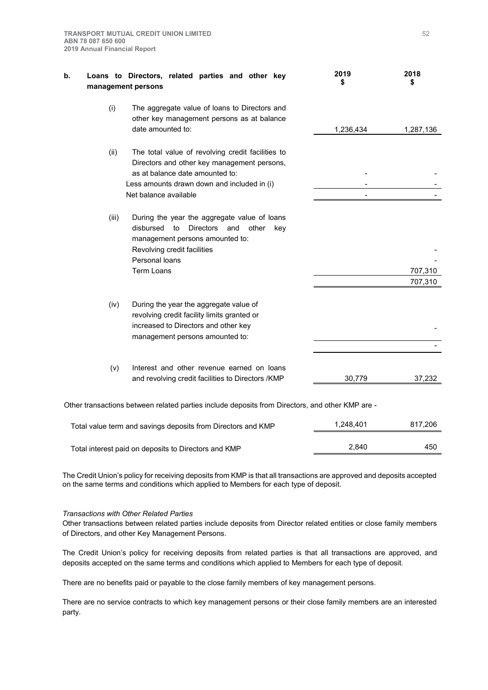| b. |       | Loans to Directors, related parties and other key<br>management persons                                                                                                                                      | 2019<br>S | 2018<br>\$         |
|----|-------|--------------------------------------------------------------------------------------------------------------------------------------------------------------------------------------------------------------|-----------|--------------------|
|    | (i)   | The aggregate value of loans to Directors and<br>other key management persons as at balance<br>date amounted to:                                                                                             | 1,236,434 | 1,287,136          |
|    | (ii)  | The total value of revolving credit facilities to<br>Directors and other key management persons,<br>as at balance date amounted to:<br>Less amounts drawn down and included in (i)<br>Net balance available  |           |                    |
|    | (iii) | During the year the aggregate value of loans<br>disbursed<br><b>Directors</b><br>other<br>to<br>and<br>key<br>management persons amounted to:<br>Revolving credit facilities<br>Personal loans<br>Term Loans |           | 707,310<br>707,310 |
|    | (iv)  | During the year the aggregate value of<br>revolving credit facility limits granted or<br>increased to Directors and other key<br>management persons amounted to:                                             |           |                    |
|    | (v)   | Interest and other revenue earned on loans<br>and revolving credit facilities to Directors /KMP                                                                                                              | 30,779    | 37,232             |
|    |       | Other transactions between related parties include deposits from Directors, and other KMP are -                                                                                                              |           |                    |

| Total value term and savings deposits from Directors and KMP | 1.248.401 | 817.206 |
|--------------------------------------------------------------|-----------|---------|
| Total interest paid on deposits to Directors and KMP         | 2.840     | 450     |

The Credit Union's policy for receiving deposits from KMP is that all transactions are approved and deposits accepted on the same terms and conditions which applied to Members for each type of deposit.

## *Transactions with Other Related Parties*

Other transactions between related parties include deposits from Director related entities or close family members of Directors, and other Key Management Persons.

The Credit Union's policy for receiving deposits from related parties is that all transactions are approved, and deposits accepted on the same terms and conditions which applied to Members for each type of deposit.

There are no benefits paid or payable to the close family members of key management persons.

There are no service contracts to which key management persons or their close family members are an interested party.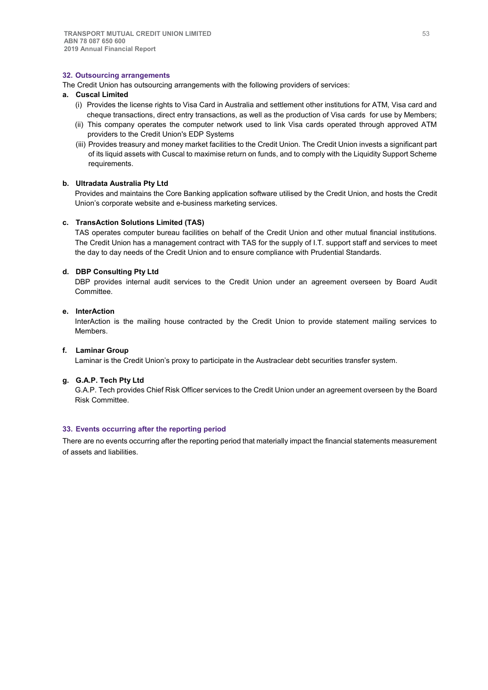## **32. Outsourcing arrangements**

The Credit Union has outsourcing arrangements with the following providers of services:

## **a. Cuscal Limited**

- (i) Provides the license rights to Visa Card in Australia and settlement other institutions for ATM, Visa card and cheque transactions, direct entry transactions, as well as the production of Visa cards for use by Members;
- (ii) This company operates the computer network used to link Visa cards operated through approved ATM providers to the Credit Union's EDP Systems
- (iii) Provides treasury and money market facilities to the Credit Union. The Credit Union invests a significant part of its liquid assets with Cuscal to maximise return on funds, and to comply with the Liquidity Support Scheme requirements.

#### **b. Ultradata Australia Pty Ltd**

Provides and maintains the Core Banking application software utilised by the Credit Union, and hosts the Credit Union's corporate website and e-business marketing services.

#### **c. TransAction Solutions Limited (TAS)**

TAS operates computer bureau facilities on behalf of the Credit Union and other mutual financial institutions. The Credit Union has a management contract with TAS for the supply of I.T. support staff and services to meet the day to day needs of the Credit Union and to ensure compliance with Prudential Standards.

#### **d. DBP Consulting Pty Ltd**

DBP provides internal audit services to the Credit Union under an agreement overseen by Board Audit Committee.

## **e. InterAction**

InterAction is the mailing house contracted by the Credit Union to provide statement mailing services to Members.

#### **f. Laminar Group**

Laminar is the Credit Union's proxy to participate in the Austraclear debt securities transfer system.

## **g. G.A.P. Tech Pty Ltd**

G.A.P. Tech provides Chief Risk Officer services to the Credit Union under an agreement overseen by the Board Risk Committee.

#### **33. Events occurring after the reporting period**

There are no events occurring after the reporting period that materially impact the financial statements measurement of assets and liabilities.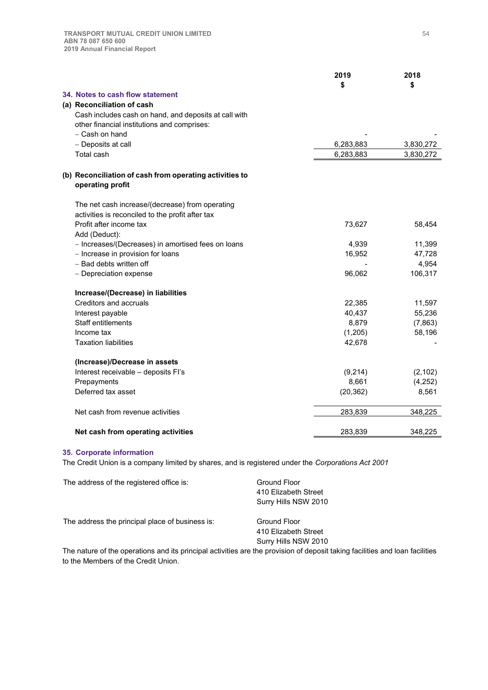|                                                                | 2019      | 2018      |
|----------------------------------------------------------------|-----------|-----------|
|                                                                | \$        | \$        |
| 34. Notes to cash flow statement<br>(a) Reconciliation of cash |           |           |
| Cash includes cash on hand, and deposits at call with          |           |           |
| other financial institutions and comprises:                    |           |           |
| - Cash on hand                                                 |           |           |
| - Deposits at call                                             | 6,283,883 | 3,830,272 |
| Total cash                                                     | 6,283,883 | 3,830,272 |
|                                                                |           |           |
| (b) Reconciliation of cash from operating activities to        |           |           |
| operating profit                                               |           |           |
| The net cash increase/(decrease) from operating                |           |           |
| activities is reconciled to the profit after tax               |           |           |
| Profit after income tax                                        | 73,627    | 58,454    |
| Add (Deduct):                                                  |           |           |
| - Increases/(Decreases) in amortised fees on loans             | 4,939     | 11,399    |
| - Increase in provision for loans                              | 16,952    | 47,728    |
| - Bad debts written off                                        |           | 4,954     |
| - Depreciation expense                                         | 96,062    | 106,317   |
| Increase/(Decrease) in liabilities                             |           |           |
| Creditors and accruals                                         | 22,385    | 11,597    |
| Interest payable                                               | 40,437    | 55,236    |
| Staff entitlements                                             | 8,879     | (7,863)   |
| Income tax                                                     | (1, 205)  | 58,196    |
| <b>Taxation liabilities</b>                                    | 42,678    |           |
| (Increase)/Decrease in assets                                  |           |           |
| Interest receivable - deposits Fl's                            | (9,214)   | (2, 102)  |
| Prepayments                                                    | 8,661     | (4,252)   |
| Deferred tax asset                                             | (20, 362) | 8,561     |
| Net cash from revenue activities                               | 283,839   | 348,225   |
| Net cash from operating activities                             | 283,839   | 348,225   |

## **35. Corporate information**

The Credit Union is a company limited by shares, and is registered under the *Corporations Act 2001*

| The address of the registered office is:        | Ground Floor<br>410 Elizabeth Street<br>Surry Hills NSW 2010 |
|-------------------------------------------------|--------------------------------------------------------------|
| The address the principal place of business is: | Ground Floor<br>410 Elizabeth Street                         |
|                                                 | Surry Hills NSW 2010                                         |

The nature of the operations and its principal activities are the provision of deposit taking facilities and loan facilities to the Members of the Credit Union.